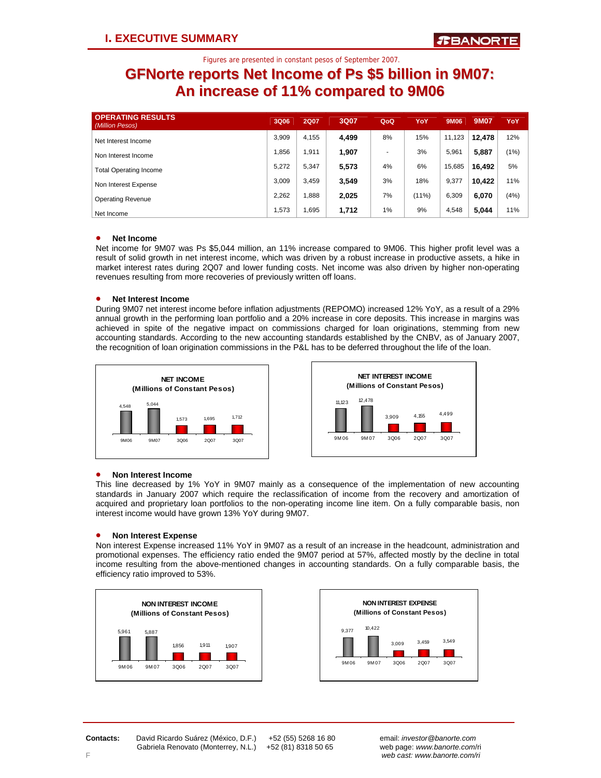### **GFNorte reports Net Income of Ps \$5 billion in 9M07: An increase of 11% compared to 9M06**

| <b>OPERATING RESULTS</b><br>(Million Pesos) | 3Q06  | <b>2Q07</b> | 3Q07  | QoQ                      | YoY      | 9M06   | 9M07   | YoY  |
|---------------------------------------------|-------|-------------|-------|--------------------------|----------|--------|--------|------|
| Net Interest Income                         | 3.909 | 4.155       | 4,499 | 8%                       | 15%      | 11.123 | 12.478 | 12%  |
| Non Interest Income                         | 1.856 | .911        | 1.907 | $\overline{\phantom{a}}$ | 3%       | 5.961  | 5,887  | (1%) |
| <b>Total Operating Income</b>               | 5.272 | 5.347       | 5,573 | 4%                       | 6%       | 15,685 | 16.492 | 5%   |
| Non Interest Expense                        | 3.009 | 3,459       | 3,549 | 3%                       | 18%      | 9,377  | 10.422 | 11%  |
| <b>Operating Revenue</b>                    | 2.262 | .888        | 2,025 | 7%                       | $(11\%)$ | 6,309  | 6,070  | (4%) |
| Net Income                                  | 1.573 | .695        | 1,712 | $1\%$                    | 9%       | 4.548  | 5,044  | 11%  |

### • **Net Income**

Net income for 9M07 was Ps \$5,044 million, an 11% increase compared to 9M06. This higher profit level was a result of solid growth in net interest income, which was driven by a robust increase in productive assets, a hike in market interest rates during 2Q07 and lower funding costs. Net income was also driven by higher non-operating revenues resulting from more recoveries of previously written off loans.

### • **Net Interest Income**

During 9M07 net interest income before inflation adjustments (REPOMO) increased 12% YoY, as a result of a 29% annual growth in the performing loan portfolio and a 20% increase in core deposits. This increase in margins was achieved in spite of the negative impact on commissions charged for loan originations, stemming from new accounting standards. According to the new accounting standards established by the CNBV, as of January 2007, the recognition of loan origination commissions in the P&L has to be deferred throughout the life of the loan.





#### • **Non Interest Income**

This line decreased by 1% YoY in 9M07 mainly as a consequence of the implementation of new accounting standards in January 2007 which require the reclassification of income from the recovery and amortization of acquired and proprietary loan portfolios to the non-operating income line item. On a fully comparable basis, non interest income would have grown 13% YoY during 9M07.

#### • **Non Interest Expense**

Non interest Expense increased 11% YoY in 9M07 as a result of an increase in the headcount, administration and promotional expenses. The efficiency ratio ended the 9M07 period at 57%, affected mostly by the decline in total income resulting from the above-mentioned changes in accounting standards. On a fully comparable basis, the efficiency ratio improved to 53%.





**Contacts:** David Ricardo Suárez (México, D.F.) +52 (55) 5268 16 80 email: *investor@banorte.com* 

 Gabriela Renovato (Monterrey, N.L.) +52 (81) 8318 50 65 web page: *www.banorte.com*/ri F *web cast: www.banorte.com/ri*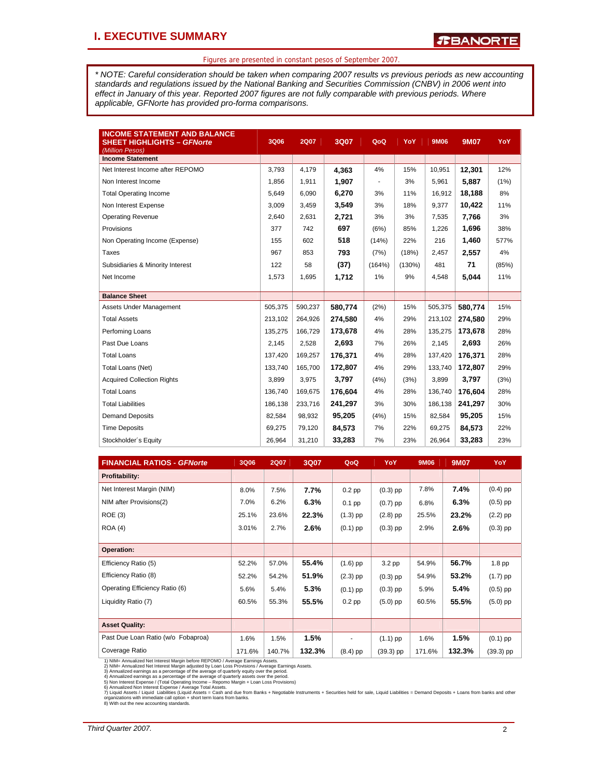*\* NOTE: Careful consideration should be taken when comparing 2007 results vs previous periods as new accounting standards and regulations issued by the National Banking and Securities Commission (CNBV) in 2006 went into effect in January of this year. Reported 2007 figures are not fully comparable with previous periods. Where applicable, GFNorte has provided pro-forma comparisons.* 

| <b>INCOME STATEMENT AND BALANCE</b><br><b>SHEET HIGHLIGHTS - GFNorte</b><br>(Million Pesos) | 3Q06    | <b>2Q07</b> | 3Q07    | QoQ    | YoY       | 9M06    | <b>9M07</b> | YoY   |
|---------------------------------------------------------------------------------------------|---------|-------------|---------|--------|-----------|---------|-------------|-------|
| <b>Income Statement</b>                                                                     |         |             |         |        |           |         |             |       |
| Net Interest Income after REPOMO                                                            | 3,793   | 4,179       | 4,363   | 4%     | 15%       | 10,951  | 12,301      | 12%   |
| Non Interest Income                                                                         | 1.856   | 1,911       | 1,907   |        | 3%        | 5,961   | 5,887       | (1%)  |
| <b>Total Operating Income</b>                                                               | 5,649   | 6,090       | 6,270   | 3%     | 11%       | 16,912  | 18,188      | 8%    |
| Non Interest Expense                                                                        | 3,009   | 3,459       | 3,549   | 3%     | 18%       | 9,377   | 10,422      | 11%   |
| <b>Operating Revenue</b>                                                                    | 2,640   | 2,631       | 2,721   | 3%     | 3%        | 7,535   | 7,766       | 3%    |
| Provisions                                                                                  | 377     | 742         | 697     | (6%)   | 85%       | 1,226   | 1,696       | 38%   |
| Non Operating Income (Expense)                                                              | 155     | 602         | 518     | (14%)  | 22%       | 216     | 1,460       | 577%  |
| Taxes                                                                                       | 967     | 853         | 793     | (7%)   | (18%)     | 2,457   | 2,557       | 4%    |
| Subsidiaries & Minority Interest                                                            | 122     | 58          | (37)    | (164%) | $(130\%)$ | 481     | 71          | (85%) |
| Net Income                                                                                  | 1,573   | 1,695       | 1,712   | 1%     | 9%        | 4,548   | 5,044       | 11%   |
|                                                                                             |         |             |         |        |           |         |             |       |
| <b>Balance Sheet</b>                                                                        |         |             |         |        |           |         |             |       |
| Assets Under Management                                                                     | 505,375 | 590,237     | 580,774 | (2%)   | 15%       | 505,375 | 580,774     | 15%   |
| <b>Total Assets</b>                                                                         | 213,102 | 264,926     | 274,580 | 4%     | 29%       | 213,102 | 274,580     | 29%   |
| Perfoming Loans                                                                             | 135,275 | 166,729     | 173,678 | 4%     | 28%       | 135,275 | 173,678     | 28%   |
| Past Due Loans                                                                              | 2,145   | 2,528       | 2.693   | 7%     | 26%       | 2,145   | 2.693       | 26%   |
| <b>Total Loans</b>                                                                          | 137.420 | 169,257     | 176,371 | 4%     | 28%       | 137,420 | 176,371     | 28%   |
| Total Loans (Net)                                                                           | 133,740 | 165,700     | 172,807 | 4%     | 29%       | 133,740 | 172,807     | 29%   |
| <b>Acquired Collection Rights</b>                                                           | 3,899   | 3,975       | 3.797   | (4%)   | (3%)      | 3,899   | 3.797       | (3%)  |
| <b>Total Loans</b>                                                                          | 136.740 | 169,675     | 176,604 | 4%     | 28%       | 136,740 | 176,604     | 28%   |
| <b>Total Liabilities</b>                                                                    | 186,138 | 233,716     | 241,297 | 3%     | 30%       | 186,138 | 241,297     | 30%   |
| <b>Demand Deposits</b>                                                                      | 82.584  | 98.932      | 95.205  | (4%)   | 15%       | 82,584  | 95,205      | 15%   |
| <b>Time Deposits</b>                                                                        | 69,275  | 79,120      | 84,573  | 7%     | 22%       | 69,275  | 84,573      | 22%   |
| Stockholder's Equity                                                                        | 26,964  | 31,210      | 33,283  | 7%     | 23%       | 26,964  | 33,283      | 23%   |

| <b>FINANCIAL RATIOS - GFNorte</b>  | 3Q06   | <b>2Q07</b> | 3Q07   | QoQ                      | YoY               | 9M06   | <b>9M07</b> | YoY               |
|------------------------------------|--------|-------------|--------|--------------------------|-------------------|--------|-------------|-------------------|
| Profitability:                     |        |             |        |                          |                   |        |             |                   |
| Net Interest Margin (NIM)          | 8.0%   | 7.5%        | 7.7%   | $0.2$ pp                 | $(0.3)$ pp        | 7.8%   | 7.4%        | $(0.4)$ pp        |
| NIM after Provisions(2)            | 7.0%   | 6.2%        | 6.3%   | $0.1$ pp                 | $(0.7)$ pp        | 6.8%   | 6.3%        | $(0.5)$ pp        |
| <b>ROE (3)</b>                     | 25.1%  | 23.6%       | 22.3%  | $(1.3)$ pp               | $(2.8)$ pp        | 25.5%  | 23.2%       | $(2.2)$ pp        |
| <b>ROA (4)</b>                     | 3.01%  | 2.7%        | 2.6%   | $(0.1)$ pp               | $(0.3)$ pp        | 2.9%   | 2.6%        | $(0.3)$ pp        |
|                                    |        |             |        |                          |                   |        |             |                   |
| <b>Operation:</b>                  |        |             |        |                          |                   |        |             |                   |
| Efficiency Ratio (5)               | 52.2%  | 57.0%       | 55.4%  | $(1.6)$ pp               | 3.2 <sub>pp</sub> | 54.9%  | 56.7%       | 1.8 <sub>pp</sub> |
| Efficiency Ratio (8)               | 52.2%  | 54.2%       | 51.9%  | $(2.3)$ pp               | $(0.3)$ pp        | 54.9%  | 53.2%       | $(1.7)$ pp        |
| Operating Efficiency Ratio (6)     | 5.6%   | 5.4%        | 5.3%   | $(0.1)$ pp               | $(0.3)$ pp        | 5.9%   | 5.4%        | $(0.5)$ pp        |
| Liquidity Ratio (7)                | 60.5%  | 55.3%       | 55.5%  | $0.2$ pp                 | $(5.0)$ pp        | 60.5%  | 55.5%       | $(5.0)$ pp        |
|                                    |        |             |        |                          |                   |        |             |                   |
| <b>Asset Quality:</b>              |        |             |        |                          |                   |        |             |                   |
| Past Due Loan Ratio (w/o Fobaproa) | 1.6%   | 1.5%        | 1.5%   | $\overline{\phantom{a}}$ | $(1.1)$ pp        | 1.6%   | 1.5%        | $(0.1)$ pp        |
| Coverage Ratio                     | 171.6% | 140.7%      | 132.3% | $(8.4)$ pp               | $(39.3)$ pp       | 171.6% | 132.3%      | $(39.3)$ pp       |

1) NIM= Annualized Net Interest Margin adjusted by Loan Loss Provisions / Average Earnings Assets.<br>2) NIM= Annualized Net Interest Margin adjusted by Loan Loss Provisions / Average Earnings Assets.<br>3) Annualized earnings a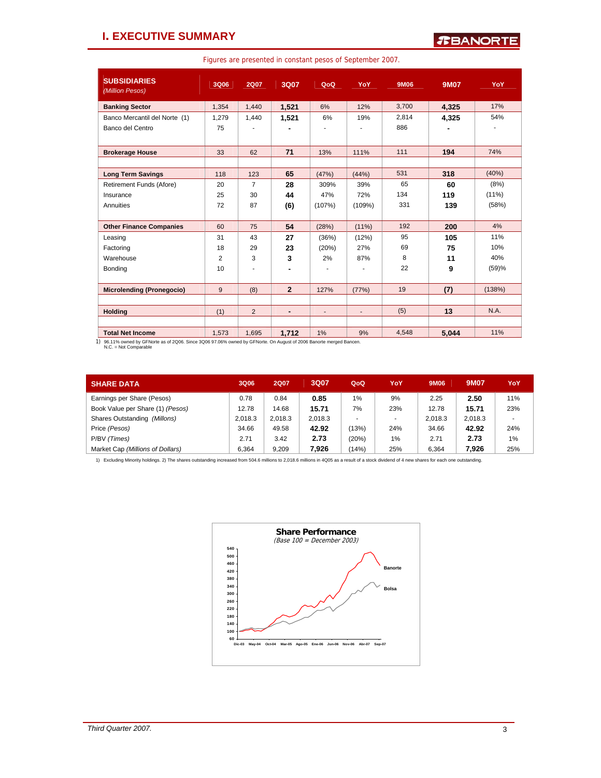### **I. EXECUTIVE SUMMARY**

Figures are presented in constant pesos of September 2007.

| <b>SUBSIDIARIES</b><br>(Million Pesos) | 3Q06  | <b>2Q07</b>    | 3Q07           | QoQ            | YoY            | 9M06  | <b>9M07</b> | YoY      |
|----------------------------------------|-------|----------------|----------------|----------------|----------------|-------|-------------|----------|
| <b>Banking Sector</b>                  | 1,354 | 1,440          | 1.521          | 6%             | 12%            | 3,700 | 4.325       | 17%      |
| Banco Mercantil del Norte (1)          | 1,279 | 1,440          | 1.521          | 6%             | 19%            | 2,814 | 4.325       | 54%      |
| Banco del Centro                       | 75    |                |                |                |                | 886   |             |          |
| <b>Brokerage House</b>                 | 33    | 62             | 71             | 13%            | 111%           | 111   | 194         | 74%      |
|                                        |       |                |                |                |                |       |             |          |
| <b>Long Term Savings</b>               | 118   | 123            | 65             | (47%)          | (44% )         | 531   | 318         | (40%)    |
| Retirement Funds (Afore)               | 20    | $\overline{7}$ | 28             | 309%           | 39%            | 65    | 60          | (8%)     |
| Insurance                              | 25    | 30             | 44             | 47%            | 72%            | 134   | 119         | $(11\%)$ |
| Annuities                              | 72    | 87             | (6)            | (107%)         | (109%)         | 331   | 139         | (58%)    |
|                                        |       |                |                |                |                |       |             |          |
| <b>Other Finance Companies</b>         | 60    | 75             | 54             | (28%)          | $(11\%)$       | 192   | 200         | 4%       |
| Leasing                                | 31    | 43             | 27             | (36%)          | (12%)          | 95    | 105         | 11%      |
| Factoring                              | 18    | 29             | 23             | (20%)          | 27%            | 69    | 75          | 10%      |
| Warehouse                              | 2     | 3              | 3              | 2%             | 87%            | 8     | 11          | 40%      |
| Bonding                                | 10    | ٠              |                | $\blacksquare$ | ٠              | 22    | 9           | (59)%    |
|                                        |       |                |                |                |                |       |             |          |
| <b>Microlending (Pronegocio)</b>       | 9     | (8)            | $\overline{2}$ | 127%           | (77%)          | 19    | (7)         | (138%)   |
|                                        |       |                |                |                |                |       |             |          |
| <b>Holding</b>                         | (1)   | 2              | ٠              | $\overline{a}$ | $\blacksquare$ | (5)   | 13          | N.A.     |
|                                        |       |                |                |                |                |       |             |          |
| <b>Total Net Income</b>                | 1,573 | 1,695          | 1,712          | 1%             | 9%             | 4,548 | 5,044       | 11%      |

1) 96.11% owned by GFNorte as of 2Q06. Since 3Q06 97.06% owned by GFNorte. On August of 2006 Banorte merged Bancen. N.C. = Not Comparable

| <b>SHARE DATA</b>                | 3Q06    | <b>2Q07</b> | 3Q07    | QoQ   | YoY | 9M06    | <b>9M07</b> | YoY |
|----------------------------------|---------|-------------|---------|-------|-----|---------|-------------|-----|
| Earnings per Share (Pesos)       | 0.78    | 0.84        | 0.85    | 1%    | 9%  | 2.25    | 2.50        | 11% |
| Book Value per Share (1) (Pesos) | 12.78   | 14.68       | 15.71   | 7%    | 23% | 12.78   | 15.71       | 23% |
| Shares Outstanding (Millons)     | 2.018.3 | 2.018.3     | 2.018.3 |       |     | 2.018.3 | 2.018.3     |     |
| Price (Pesos)                    | 34.66   | 49.58       | 42.92   | (13%) | 24% | 34.66   | 42.92       | 24% |
| P/BV (Times)                     | 2.71    | 3.42        | 2.73    | (20%) | 1%  | 2.71    | 2.73        | 1%  |
| Market Cap (Millions of Dollars) | 6.364   | 9.209       | 7.926   | (14%) | 25% | 6.364   | 7.926       | 25% |

1) Excluding Minority holdings. 2) The shares outstanding increased from 504.6 millions to 2,018.6 millions in 4Q05 as a result of a stock dividend of 4 new shares for each one outstanding.

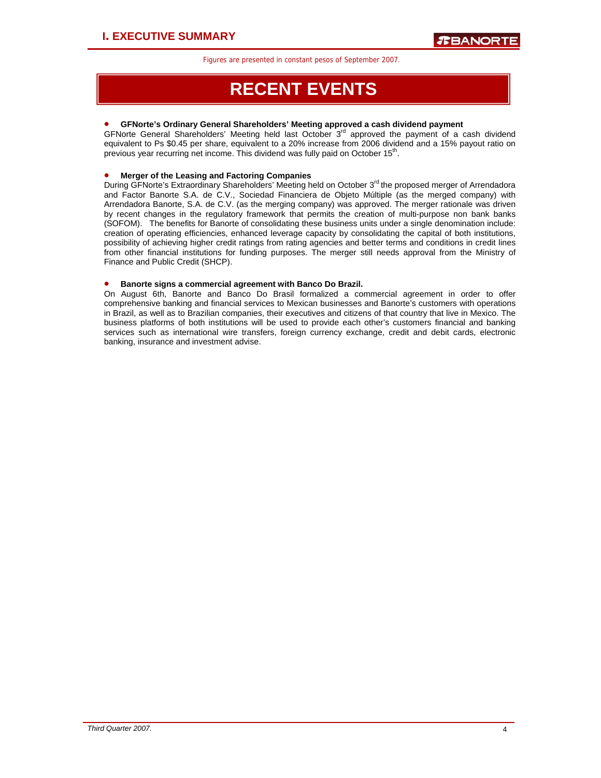# **RECENT EVENTS**

### • **GFNorte's Ordinary General Shareholders' Meeting approved a cash dividend payment**

GFNorte General Shareholders' Meeting held last October 3<sup>rd</sup> approved the payment of a cash dividend equivalent to Ps \$0.45 per share, equivalent to a 20% increase from 2006 dividend and a 15% payout ratio on previous year recurring net income. This dividend was fully paid on October 15th.

### • **Merger of the Leasing and Factoring Companies**

During GFNorte's Extraordinary Shareholders' Meeting held on October 3<sup>rd</sup> the proposed merger of Arrendadora and Factor Banorte S.A. de C.V., Sociedad Financiera de Objeto Múltiple (as the merged company) with Arrendadora Banorte, S.A. de C.V. (as the merging company) was approved. The merger rationale was driven by recent changes in the regulatory framework that permits the creation of multi-purpose non bank banks (SOFOM). The benefits for Banorte of consolidating these business units under a single denomination include: creation of operating efficiencies, enhanced leverage capacity by consolidating the capital of both institutions, possibility of achieving higher credit ratings from rating agencies and better terms and conditions in credit lines from other financial institutions for funding purposes. The merger still needs approval from the Ministry of Finance and Public Credit (SHCP).

### • **Banorte signs a commercial agreement with Banco Do Brazil.**

On August 6th, Banorte and Banco Do Brasil formalized a commercial agreement in order to offer comprehensive banking and financial services to Mexican businesses and Banorte's customers with operations in Brazil, as well as to Brazilian companies, their executives and citizens of that country that live in Mexico. The business platforms of both institutions will be used to provide each other's customers financial and banking services such as international wire transfers, foreign currency exchange, credit and debit cards, electronic banking, insurance and investment advise.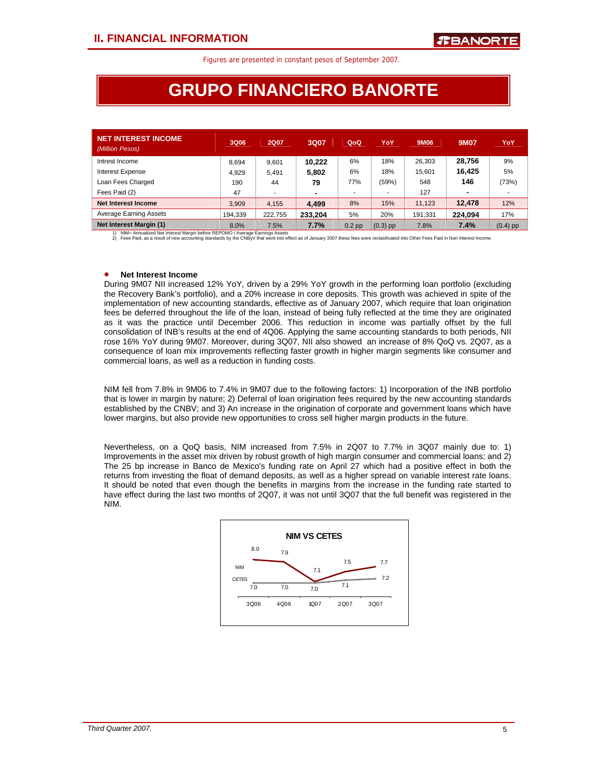# **GRUPO FINANCIERO BANORTE**

| <b>NET INTEREST INCOME</b><br>(Million Pesos) | 3Q06    | <b>2Q07</b> | 3Q07    | QoQ               | YoY                      | 9M06    | <b>9M07</b>    | YoY        |
|-----------------------------------------------|---------|-------------|---------|-------------------|--------------------------|---------|----------------|------------|
| Intrest Income                                | 8.694   | 9.601       | 10.222  | 6%                | 18%                      | 26,303  | 28.756         | 9%         |
| <b>Interest Expense</b>                       | 4.929   | 5.491       | 5,802   | 6%                | 18%                      | 15,601  | 16.425         | 5%         |
| Loan Fees Charged                             | 190     | 44          | 79      | 77%               | (59%)                    | 548     | 146            | (73%)      |
| Fees Paid (2)                                 | 47      |             | ۰       |                   | $\overline{\phantom{a}}$ | 127     | $\blacksquare$ |            |
| Net Interest Income                           | 3.909   | 4.155       | 4.499   | 8%                | 15%                      | 11.123  | 12.478         | 12%        |
| <b>Average Earning Assets</b>                 | 194.339 | 222.755     | 233.204 | 5%                | 20%                      | 191.331 | 224.094        | 17%        |
| <b>Net Interest Margin (1)</b>                | 8.0%    | $.5\%$      | 7.7%    | 0.2 <sub>pp</sub> | $(0.3)$ pp               | 7.8%    | 7.4%           | $(0.4)$ pp |

Net Interest Margin (1) 8.0% 7.5% 7.7% 0.2 pp (0.3) pp 7.8% 7.8% 7.4% (0.4) pp 1) Nikla Annualized Net Interest Margin before REPOMO / Average Earnings Assess 6.61 8.1 Nikla Annualized Net Interest Margin before REPOMO / A

### • **Net Interest Income**

During 9M07 NII increased 12% YoY, driven by a 29% YoY growth in the performing loan portfolio (excluding the Recovery Bank's portfolio), and a 20% increase in core deposits. This growth was achieved in spite of the implementation of new accounting standards, effective as of January 2007, which require that loan origination fees be deferred throughout the life of the loan, instead of being fully reflected at the time they are originated as it was the practice until December 2006. This reduction in income was partially offset by the full consolidation of INB's results at the end of 4Q06. Applying the same accounting standards to both periods, NII rose 16% YoY during 9M07. Moreover, during 3Q07, NII also showed an increase of 8% QoQ vs. 2Q07, as a consequence of loan mix improvements reflecting faster growth in higher margin segments like consumer and commercial loans, as well as a reduction in funding costs.

NIM fell from 7.8% in 9M06 to 7.4% in 9M07 due to the following factors: 1) Incorporation of the INB portfolio that is lower in margin by nature; 2) Deferral of loan origination fees required by the new accounting standards established by the CNBV; and 3) An increase in the origination of corporate and government loans which have lower margins, but also provide new opportunities to cross sell higher margin products in the future.

Nevertheless, on a QoQ basis, NIM increased from 7.5% in 2Q07 to 7.7% in 3Q07 mainly due to: 1) Improvements in the asset mix driven by robust growth of high margin consumer and commercial loans; and 2) The 25 bp increase in Banco de Mexico's funding rate on April 27 which had a positive effect in both the returns from investing the float of demand deposits, as well as a higher spread on variable interest rate loans. It should be noted that even though the benefits in margins from the increase in the funding rate started to have effect during the last two months of 2Q07, it was not until 3Q07 that the full benefit was registered in the NIM.

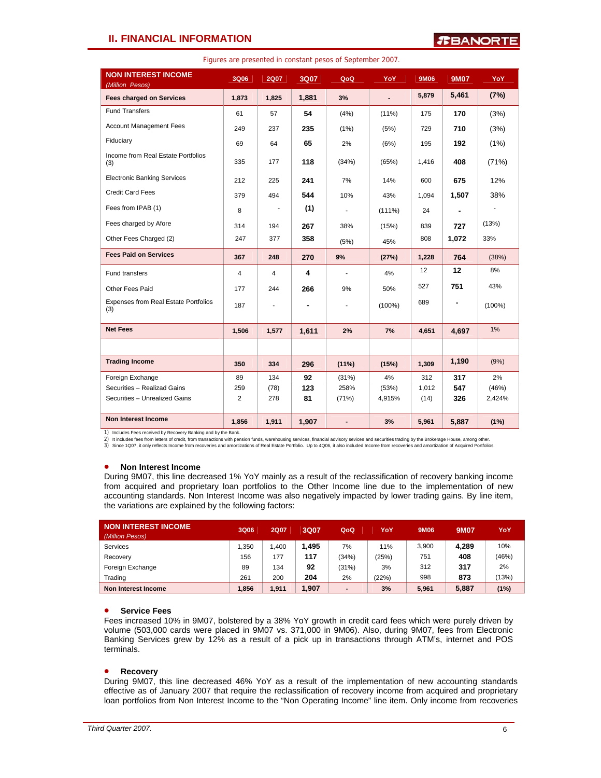### **II. FINANCIAL INFORMATION**

| <b>NON INTEREST INCOME</b><br>(Million Pesos)      | 3Q06                    | <b>2Q07</b> | 3Q07  | QoQ                      | YoY       | 9M06  | 9M07  | YoY       |
|----------------------------------------------------|-------------------------|-------------|-------|--------------------------|-----------|-------|-------|-----------|
| <b>Fees charged on Services</b>                    | 1,873                   | 1,825       | 1,881 | 3%                       | ÷,        | 5,879 | 5,461 | (7%)      |
| <b>Fund Transfers</b>                              | 61                      | 57          | 54    | (4%)                     | $(11\%)$  | 175   | 170   | (3%)      |
| <b>Account Management Fees</b>                     | 249                     | 237         | 235   | (1%)                     | (5%)      | 729   | 710   | (3%)      |
| Fiduciary                                          | 69                      | 64          | 65    | 2%                       | (6%)      | 195   | 192   | (1%)      |
| Income from Real Estate Portfolios<br>(3)          | 335                     | 177         | 118   | (34%)                    | (65%)     | 1,416 | 408   | (71%)     |
| <b>Electronic Banking Services</b>                 | 212                     | 225         | 241   | 7%                       | 14%       | 600   | 675   | 12%       |
| <b>Credit Card Fees</b>                            | 379                     | 494         | 544   | 10%                      | 43%       | 1,094 | 1,507 | 38%       |
| Fees from IPAB (1)                                 | 8                       |             | (1)   | $\blacksquare$           | $(111\%)$ | 24    |       |           |
| Fees charged by Afore                              | 314                     | 194         | 267   | 38%                      | (15%)     | 839   | 727   | (13%)     |
| Other Fees Charged (2)                             | 247                     | 377         | 358   | (5%)                     | 45%       | 808   | 1,072 | 33%       |
| <b>Fees Paid on Services</b>                       | 367                     | 248         | 270   | 9%                       | (27%)     | 1,228 | 764   | (38%)     |
| Fund transfers                                     | $\overline{\mathbf{4}}$ | 4           | 4     |                          | 4%        | 12    | 12    | 8%        |
| Other Fees Paid                                    | 177                     | 244         | 266   | 9%                       | 50%       | 527   | 751   | 43%       |
| <b>Expenses from Real Estate Portfolios</b><br>(3) | 187                     |             |       |                          | $(100\%)$ | 689   | ۰     | $(100\%)$ |
| <b>Net Fees</b>                                    | 1,506                   | 1,577       | 1,611 | 2%                       | 7%        | 4.651 | 4,697 | 1%        |
|                                                    |                         |             |       |                          |           |       |       |           |
| <b>Trading Income</b>                              | 350                     | 334         | 296   | (11%)                    | (15%)     | 1,309 | 1,190 | (9%)      |
| Foreign Exchange                                   | 89                      | 134         | 92    | (31%)                    | 4%        | 312   | 317   | 2%        |
| Securities - Realizad Gains                        | 259                     | (78)        | 123   | 258%                     | (53%)     | 1,012 | 547   | (46%)     |
| Securities - Unrealized Gains                      | 2                       | 278         | 81    | (71%)                    | 4,915%    | (14)  | 326   | 2,424%    |
| <b>Non Interest Income</b>                         | 1,856                   | 1,911       | 1,907 | $\overline{\phantom{a}}$ | 3%        | 5,961 | 5,887 | (1%)      |

Figures are presented in constant pesos of September 2007.

1) Includes Fees received by Recovery Banking and by the Bank.<br>2) It includes fees from letters of credit, from transactions with pension funds, warehousing services, financial advisory sevices and securities trading by th

3) Since 1Q07, it only reflects Income from recoveries and amortizations of Real Estate Portfolio. Up to 4Q06, it also included Income from recoveries and amortization of Acquired Portfolios.

### • **Non Interest Income**

During 9M07, this line decreased 1% YoY mainly as a result of the reclassification of recovery banking income from acquired and proprietary loan portfolios to the Other Income line due to the implementation of new accounting standards. Non Interest Income was also negatively impacted by lower trading gains. By line item, the variations are explained by the following factors:

| <b>NON INTEREST INCOME</b><br>(Million Pesos) | 3Q06  | <b>2Q07</b> | 3Q07  | QoQ                          | YoY   | 9M06  | 9M07  | YoY   |
|-----------------------------------------------|-------|-------------|-------|------------------------------|-------|-------|-------|-------|
| Services                                      | .350  | .400        | 1,495 | 7%                           | 11%   | 3,900 | 4.289 | 10%   |
| Recovery                                      | 156   | 177         | 117   | (34%)                        | (25%) | 751   | 408   | (46%) |
| Foreign Exchange                              | 89    | 134         | 92    | (31%)                        | 3%    | 312   | 317   | 2%    |
| Trading                                       | 261   | 200         | 204   | 2%                           | (22%) | 998   | 873   | (13%) |
| Non Interest Income                           | 1,856 | 1,911       | 1,907 | $\qquad \qquad \blacksquare$ | 3%    | 5.961 | 5,887 | (1%)  |

### • **Service Fees**

Fees increased 10% in 9M07, bolstered by a 38% YoY growth in credit card fees which were purely driven by volume (503,000 cards were placed in 9M07 vs. 371,000 in 9M06). Also, during 9M07, fees from Electronic Banking Services grew by 12% as a result of a pick up in transactions through ATM's, internet and POS terminals.

#### • **Recovery**

During 9M07, this line decreased 46% YoY as a result of the implementation of new accounting standards effective as of January 2007 that require the reclassification of recovery income from acquired and proprietary loan portfolios from Non Interest Income to the "Non Operating Income" line item. Only income from recoveries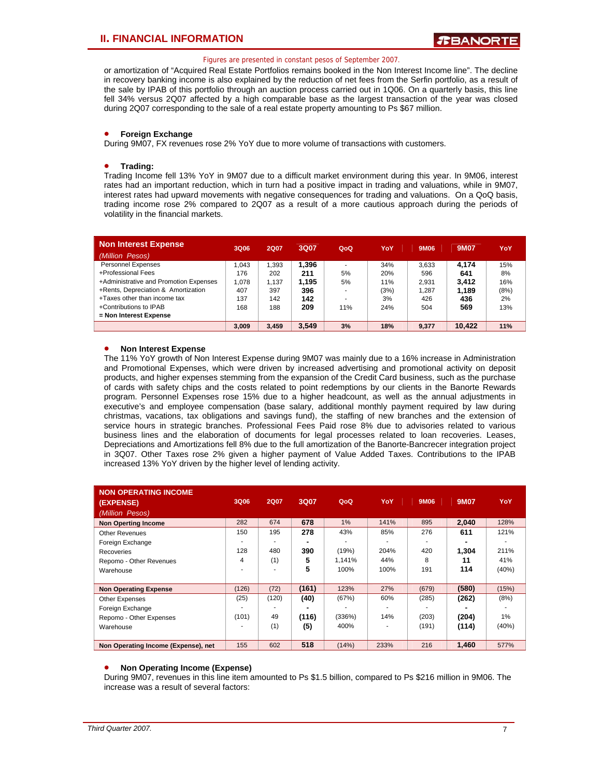or amortization of "Acquired Real Estate Portfolios remains booked in the Non Interest Income line". The decline in recovery banking income is also explained by the reduction of net fees from the Serfin portfolio, as a result of the sale by IPAB of this portfolio through an auction process carried out in 1Q06. On a quarterly basis, this line fell 34% versus 2Q07 affected by a high comparable base as the largest transaction of the year was closed during 2Q07 corresponding to the sale of a real estate property amounting to Ps \$67 million.

### • **Foreign Exchange**

During 9M07, FX revenues rose 2% YoY due to more volume of transactions with customers.

### • **Trading:**

Trading Income fell 13% YoY in 9M07 due to a difficult market environment during this year. In 9M06, interest rates had an important reduction, which in turn had a positive impact in trading and valuations, while in 9M07, interest rates had upward movements with negative consequences for trading and valuations. On a QoQ basis, trading income rose 2% compared to 2Q07 as a result of a more cautious approach during the periods of volatility in the financial markets.

| Non Interest Expense                   | 3Q06  | <b>2Q07</b> | 3Q07  | QoQ | YoY  | 9M06  | 9M07   | YoY  |
|----------------------------------------|-------|-------------|-------|-----|------|-------|--------|------|
| (Million Pesos)                        |       |             |       |     |      |       |        |      |
| <b>Personnel Expenses</b>              | .043  | .393        | 1,396 |     | 34%  | 3.633 | 4.174  | 15%  |
| +Professional Fees                     | 176   | 202         | 211   | 5%  | 20%  | 596   | 641    | 8%   |
| +Administrative and Promotion Expenses | 1.078 | 1.137       | 1.195 | 5%  | 11%  | 2.931 | 3.412  | 16%  |
| +Rents, Depreciation & Amortization    | 407   | 397         | 396   |     | (3%) | 1.287 | 1.189  | (8%) |
| +Taxes other than income tax           | 137   | 142         | 142   | -   | 3%   | 426   | 436    | 2%   |
| +Contributions to IPAB                 | 168   | 188         | 209   | 11% | 24%  | 504   | 569    | 13%  |
| = Non Interest Expense                 |       |             |       |     |      |       |        |      |
|                                        | 3.009 | 3.459       | 3.549 | 3%  | 18%  | 9.377 | 10.422 | 11%  |

### • **Non Interest Expense**

The 11% YoY growth of Non Interest Expense during 9M07 was mainly due to a 16% increase in Administration and Promotional Expenses, which were driven by increased advertising and promotional activity on deposit products, and higher expenses stemming from the expansion of the Credit Card business, such as the purchase of cards with safety chips and the costs related to point redemptions by our clients in the Banorte Rewards program. Personnel Expenses rose 15% due to a higher headcount, as well as the annual adjustments in executive's and employee compensation (base salary, additional monthly payment required by law during christmas, vacations, tax obligations and savings fund), the staffing of new branches and the extension of service hours in strategic branches. Professional Fees Paid rose 8% due to advisories related to various business lines and the elaboration of documents for legal processes related to loan recoveries. Leases, Depreciations and Amortizations fell 8% due to the full amortization of the Banorte-Bancrecer integration project in 3Q07. Other Taxes rose 2% given a higher payment of Value Added Taxes. Contributions to the IPAB increased 13% YoY driven by the higher level of lending activity.

| <b>NON OPERATING INCOME</b><br>(EXPENSE)<br>(Million Pesos) | 3Q06  | <b>2Q07</b> | 3Q07  | QoQ    | YoY  | 9M06  | 9M07  | YoY   |
|-------------------------------------------------------------|-------|-------------|-------|--------|------|-------|-------|-------|
| <b>Non Operting Income</b>                                  | 282   | 674         | 678   | 1%     | 141% | 895   | 2,040 | 128%  |
| <b>Other Revenues</b>                                       | 150   | 195         | 278   | 43%    | 85%  | 276   | 611   | 121%  |
| Foreign Exchange                                            |       |             |       |        |      |       |       |       |
| Recoveries                                                  | 128   | 480         | 390   | (19%)  | 204% | 420   | 1.304 | 211%  |
| Repomo - Other Revenues                                     | 4     | (1)         | 5     | 1.141% | 44%  | 8     | 11    | 41%   |
| Warehouse                                                   |       |             | 5     | 100%   | 100% | 191   | 114   | (40%) |
|                                                             |       |             |       |        |      |       |       |       |
| <b>Non Operating Expense</b>                                | (126) | (72)        | (161) | 123%   | 27%  | (679) | (580) | (15%) |
| Other Expenses                                              | (25)  | (120)       | (40)  | (67%)  | 60%  | (285) | (262) | (8%)  |
| Foreign Exchange                                            |       |             |       |        |      |       |       |       |
| Repomo - Other Expenses                                     | (101) | 49          | (116) | (336%) | 14%  | (203) | (204) | $1\%$ |
| Warehouse                                                   |       | (1)         | (5)   | 400%   |      | (191) | (114) | (40%) |
|                                                             |       |             |       |        |      |       |       |       |
| Non Operating Income (Expense), net                         | 155   | 602         | 518   | (14%)  | 233% | 216   | 1,460 | 577%  |

#### • **Non Operating Income (Expense)**

During 9M07, revenues in this line item amounted to Ps \$1.5 billion, compared to Ps \$216 million in 9M06. The increase was a result of several factors: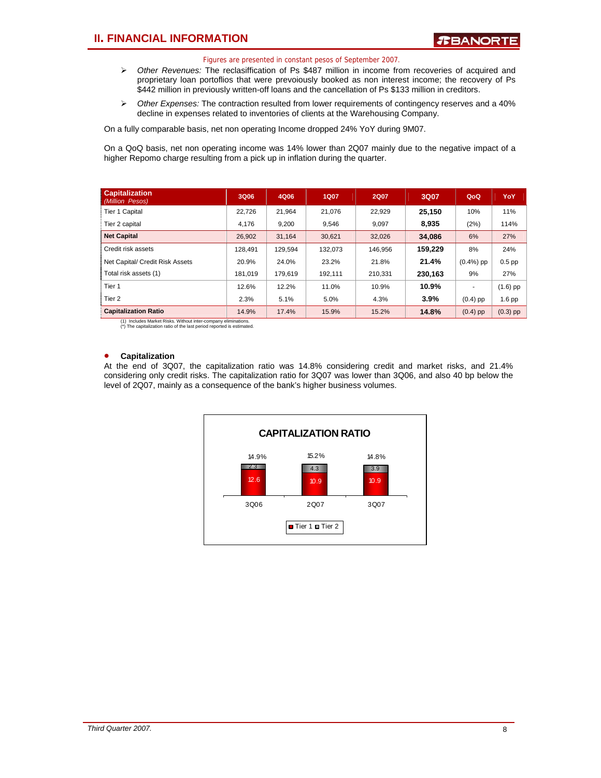- ¾ *Other Revenues:* The reclasiffication of Ps \$487 million in income from recoveries of acquired and proprietary loan portoflios that were prevoiously booked as non interest income; the recovery of Ps \$442 million in previously written-off loans and the cancellation of Ps \$133 million in creditors.
- ¾ *Other Expenses:* The contraction resulted from lower requirements of contingency reserves and a 40% decline in expenses related to inventories of clients at the Warehousing Company.

On a fully comparable basis, net non operating Income dropped 24% YoY during 9M07.

On a QoQ basis, net non operating income was 14% lower than 2Q07 mainly due to the negative impact of a higher Repomo charge resulting from a pick up in inflation during the quarter.

| <b>Capitalization</b><br>(Million Pesos) | 3Q06    | 4Q06    | <b>1Q07</b> | <b>2Q07</b> | 3Q07    | QoQ                      | YoY        |
|------------------------------------------|---------|---------|-------------|-------------|---------|--------------------------|------------|
| Tier 1 Capital                           | 22.726  | 21.964  | 21.076      | 22.929      | 25.150  | 10%                      | 11%        |
| Tier 2 capital                           | 4.176   | 9,200   | 9,546       | 9,097       | 8.935   | (2%)                     | 114%       |
| <b>Net Capital</b>                       | 26.902  | 31.164  | 30.621      | 32,026      | 34,086  | 6%                       | 27%        |
| Credit risk assets                       | 128.491 | 129,594 | 132,073     | 146.956     | 159.229 | 8%                       | 24%        |
| Net Capital/ Credit Risk Assets          | 20.9%   | 24.0%   | 23.2%       | 21.8%       | 21.4%   | $(0.4\%)$ pp             | $0.5$ pp   |
| Total risk assets (1)                    | 181.019 | 179.619 | 192.111     | 210.331     | 230.163 | 9%                       | 27%        |
| Tier <sub>1</sub>                        | 12.6%   | 12.2%   | 11.0%       | 10.9%       | 10.9%   | $\overline{\phantom{a}}$ | $(1.6)$ pp |
| Tier <sub>2</sub>                        | 2.3%    | 5.1%    | 5.0%        | 4.3%        | 3.9%    | $(0.4)$ pp               | 1.6 pp     |
| <b>Capitalization Ratio</b>              | 14.9%   | 17.4%   | 15.9%       | 15.2%       | 14.8%   | $(0.4)$ pp               | $(0.3)$ pp |

(1) Includes Market Risks. Without inter-company eliminations. (\*) The capitalization ratio of the last period reported is estimated.

### • **Capitalization**

At the end of 3Q07, the capitalization ratio was 14.8% considering credit and market risks, and 21.4% considering only credit risks. The capitalization ratio for 3Q07 was lower than 3Q06, and also 40 bp below the level of 2Q07, mainly as a consequence of the bank's higher business volumes.

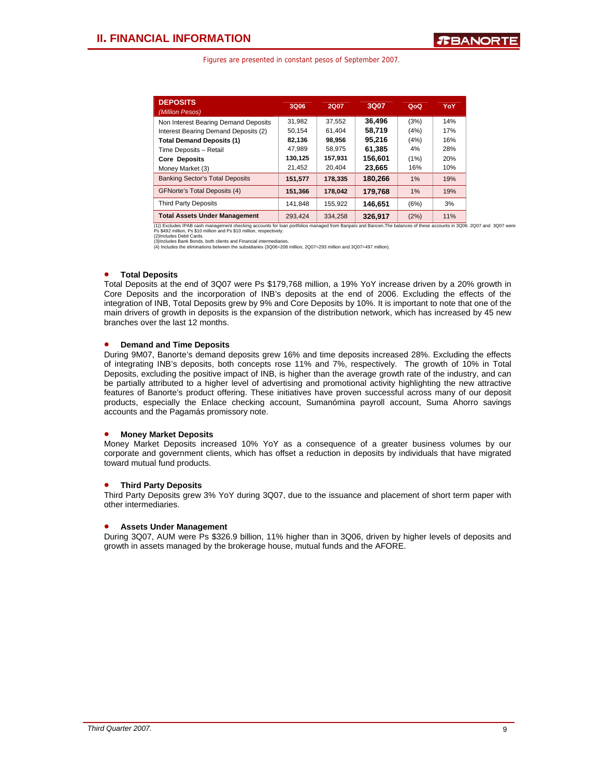| <b>DEPOSITS</b><br>(Million Pesos)     | 3Q06    | 2Q07    | <b>3Q07</b> | QoQ  | YoY |
|----------------------------------------|---------|---------|-------------|------|-----|
| Non Interest Bearing Demand Deposits   | 31.982  | 37.552  | 36.496      | (3%) | 14% |
| Interest Bearing Demand Deposits (2)   | 50.154  | 61.404  | 58.719      | (4%) | 17% |
| <b>Total Demand Deposits (1)</b>       | 82,136  | 98,956  | 95.216      | (4%) | 16% |
| Time Deposits - Retail                 | 47.989  | 58.975  | 61.385      | 4%   | 28% |
| <b>Core Deposits</b>                   | 130,125 | 157.931 | 156,601     | (1%) | 20% |
| Money Market (3)                       | 21.452  | 20.404  | 23,665      | 16%  | 10% |
| <b>Banking Sector's Total Deposits</b> | 151,577 | 178.335 | 180,266     | 1%   | 19% |
| <b>GFNorte's Total Deposits (4)</b>    | 151,366 | 178.042 | 179.768     | 1%   | 19% |
| <b>Third Party Deposits</b>            | 141.848 | 155.922 | 146.651     | (6%) | 3%  |
| <b>Total Assets Under Management</b>   | 293.424 | 334.258 | 326.917     | (2%) | 11% |

Total Assets Under Management<br>
(1) Excludes IPAB cash management checking accounts for loan portfolios managed from Banpaís and Bancen. The balances of these accounts in 3006. 2007 and 3007 were<br>Ps \$492 million, Ps \$10 mil

### • **Total Deposits**

Total Deposits at the end of 3Q07 were Ps \$179,768 million, a 19% YoY increase driven by a 20% growth in Core Deposits and the incorporation of INB's deposits at the end of 2006. Excluding the effects of the integration of INB, Total Deposits grew by 9% and Core Deposits by 10%. It is important to note that one of the main drivers of growth in deposits is the expansion of the distribution network, which has increased by 45 new branches over the last 12 months.

### • **Demand and Time Deposits**

During 9M07, Banorte's demand deposits grew 16% and time deposits increased 28%. Excluding the effects of integrating INB's deposits, both concepts rose 11% and 7%, respectively. The growth of 10% in Total Deposits, excluding the positive impact of INB, is higher than the average growth rate of the industry, and can be partially attributed to a higher level of advertising and promotional activity highlighting the new attractive features of Banorte's product offering. These initiatives have proven successful across many of our deposit products, especially the Enlace checking account, Sumanómina payroll account, Suma Ahorro savings accounts and the Pagamás promissory note.

#### • **Money Market Deposits**

Money Market Deposits increased 10% YoY as a consequence of a greater business volumes by our corporate and government clients, which has offset a reduction in deposits by individuals that have migrated toward mutual fund products.

#### • **Third Party Deposits**

Third Party Deposits grew 3% YoY during 3Q07, due to the issuance and placement of short term paper with other intermediaries.

### • **Assets Under Management**

During 3Q07, AUM were Ps \$326.9 billion, 11% higher than in 3Q06, driven by higher levels of deposits and growth in assets managed by the brokerage house, mutual funds and the AFORE.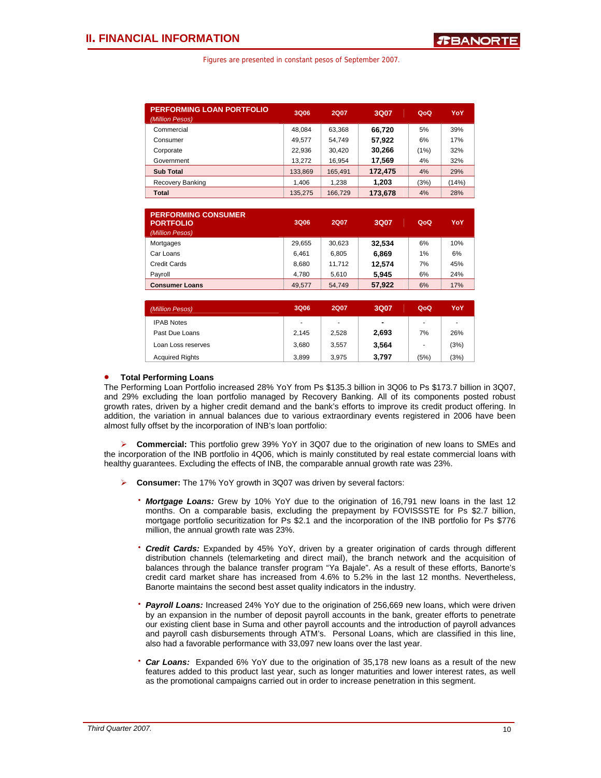| <b>PERFORMING LOAN PORTFOLIO</b><br>(Million Pesos) | 3Q06    | <b>2Q07</b> | 3Q07    | QoQ  | YoY   |
|-----------------------------------------------------|---------|-------------|---------|------|-------|
| Commercial                                          | 48.084  | 63.368      | 66.720  | 5%   | 39%   |
| Consumer                                            | 49.577  | 54.749      | 57.922  | 6%   | 17%   |
| Corporate                                           | 22.936  | 30,420      | 30.266  | (1%) | 32%   |
| Government                                          | 13.272  | 16.954      | 17,569  | 4%   | 32%   |
| <b>Sub Total</b>                                    | 133,869 | 165,491     | 172.475 | 4%   | 29%   |
| Recovery Banking                                    | 1.406   | 1.238       | 1.203   | (3%) | (14%) |
| Total                                               | 135.275 | 166,729     | 173,678 | 4%   | 28%   |

| <b>PERFORMING CONSUMER</b><br><b>PORTFOLIO</b><br>(Million Pesos) | 3Q06   | 2Q07   | 3Q07   | QoQ | YoY |
|-------------------------------------------------------------------|--------|--------|--------|-----|-----|
| Mortgages                                                         | 29.655 | 30.623 | 32.534 | 6%  | 10% |
| Car Loans                                                         | 6.461  | 6.805  | 6.869  | 1%  | 6%  |
| Credit Cards                                                      | 8.680  | 11.712 | 12.574 | 7%  | 45% |
| Payroll                                                           | 4.780  | 5.610  | 5.945  | 6%  | 24% |
| <b>Consumer Loans</b>                                             | 49.577 | 54.749 | 57.922 | 6%  | 17% |

| (Million Pesos)        | 3Q06  | <b>2Q07</b> | 3Q07           | QoQ                      | YoY  |
|------------------------|-------|-------------|----------------|--------------------------|------|
| <b>IPAB Notes</b>      | ٠     | ٠           | $\blacksquare$ | ٠                        |      |
| Past Due Loans         | 2.145 | 2,528       | 2,693          | 7%                       | 26%  |
| Loan Loss reserves     | 3.680 | 3.557       | 3,564          | $\overline{\phantom{a}}$ | (3%) |
| <b>Acquired Rights</b> | 3.899 | 3.975       | 3.797          | (5%)                     | (3%) |

### • **Total Performing Loans**

The Performing Loan Portfolio increased 28% YoY from Ps \$135.3 billion in 3Q06 to Ps \$173.7 billion in 3Q07, and 29% excluding the loan portfolio managed by Recovery Banking. All of its components posted robust growth rates, driven by a higher credit demand and the bank's efforts to improve its credit product offering. In addition, the variation in annual balances due to various extraordinary events registered in 2006 have been almost fully offset by the incorporation of INB's loan portfolio:

¾ **Commercial:** This portfolio grew 39% YoY in 3Q07 due to the origination of new loans to SMEs and the incorporation of the INB portfolio in 4Q06, which is mainly constituted by real estate commercial loans with healthy guarantees. Excluding the effects of INB, the comparable annual growth rate was 23%.

- ¾ **Consumer:** The 17% YoY growth in 3Q07 was driven by several factors:
	- ⋅ *Mortgage Loans:* Grew by 10% YoY due to the origination of 16,791 new loans in the last 12 months. On a comparable basis, excluding the prepayment by FOVISSSTE for Ps \$2.7 billion, mortgage portfolio securitization for Ps \$2.1 and the incorporation of the INB portfolio for Ps \$776 million, the annual growth rate was 23%.
	- Credit Cards: Expanded by 45% YoY, driven by a greater origination of cards through different distribution channels (telemarketing and direct mail), the branch network and the acquisition of balances through the balance transfer program "Ya Bajale". As a result of these efforts, Banorte's credit card market share has increased from 4.6% to 5.2% in the last 12 months. Nevertheless, Banorte maintains the second best asset quality indicators in the industry.
	- Payroll Loans: Increased 24% YoY due to the origination of 256,669 new loans, which were driven by an expansion in the number of deposit payroll accounts in the bank, greater efforts to penetrate our existing client base in Suma and other payroll accounts and the introduction of payroll advances and payroll cash disbursements through ATM's. Personal Loans, which are classified in this line, also had a favorable performance with 33,097 new loans over the last year.
	- Car Loans: Expanded 6% YoY due to the origination of 35,178 new loans as a result of the new features added to this product last year, such as longer maturities and lower interest rates, as well as the promotional campaigns carried out in order to increase penetration in this segment.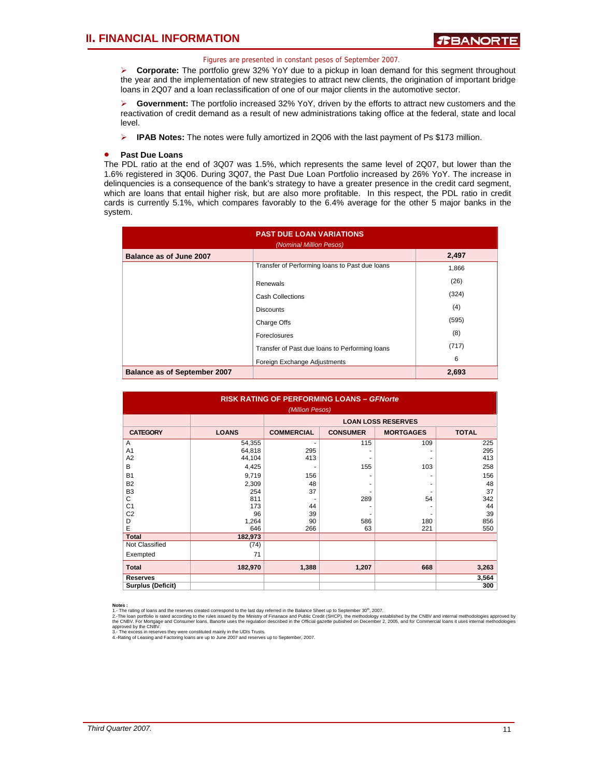¾ **Corporate:** The portfolio grew 32% YoY due to a pickup in loan demand for this segment throughout the year and the implementation of new strategies to attract new clients, the origination of important bridge loans in 2Q07 and a loan reclassification of one of our major clients in the automotive sector.

¾ **Government:** The portfolio increased 32% YoY, driven by the efforts to attract new customers and the reactivation of credit demand as a result of new administrations taking office at the federal, state and local level.

¾ **IPAB Notes:** The notes were fully amortized in 2Q06 with the last payment of Ps \$173 million.

### • **Past Due Loans**

The PDL ratio at the end of 3Q07 was 1.5%, which represents the same level of 2Q07, but lower than the 1.6% registered in 3Q06. During 3Q07, the Past Due Loan Portfolio increased by 26% YoY. The increase in delinquencies is a consequence of the bank's strategy to have a greater presence in the credit card segment, which are loans that entail higher risk, but are also more profitable. In this respect, the PDL ratio in credit cards is currently 5.1%, which compares favorably to the 6.4% average for the other 5 major banks in the system.

| <b>PAST DUE LOAN VARIATIONS</b><br>(Nominal Million Pesos) |                                                |       |  |  |  |  |  |  |
|------------------------------------------------------------|------------------------------------------------|-------|--|--|--|--|--|--|
| Balance as of June 2007                                    |                                                | 2,497 |  |  |  |  |  |  |
|                                                            | Transfer of Performing loans to Past due loans | 1,866 |  |  |  |  |  |  |
|                                                            | Renewals                                       | (26)  |  |  |  |  |  |  |
|                                                            | <b>Cash Collections</b>                        | (324) |  |  |  |  |  |  |
|                                                            | <b>Discounts</b>                               | (4)   |  |  |  |  |  |  |
|                                                            | Charge Offs                                    | (595) |  |  |  |  |  |  |
|                                                            | Foreclosures                                   | (8)   |  |  |  |  |  |  |
|                                                            | Transfer of Past due loans to Performing loans | (717) |  |  |  |  |  |  |
|                                                            | Foreign Exchange Adjustments                   | 6     |  |  |  |  |  |  |
| <b>Balance as of September 2007</b>                        |                                                | 2,693 |  |  |  |  |  |  |

| <b>RISK RATING OF PERFORMING LOANS - GFNorte</b><br>(Million Pesos) |                           |                   |                 |                  |              |  |  |  |  |  |
|---------------------------------------------------------------------|---------------------------|-------------------|-----------------|------------------|--------------|--|--|--|--|--|
|                                                                     | <b>LOAN LOSS RESERVES</b> |                   |                 |                  |              |  |  |  |  |  |
| <b>CATEGORY</b>                                                     | <b>LOANS</b>              | <b>COMMERCIAL</b> | <b>CONSUMER</b> | <b>MORTGAGES</b> | <b>TOTAL</b> |  |  |  |  |  |
| A                                                                   | 54,355                    | ۰                 | 115             | 109              | 225          |  |  |  |  |  |
| A <sub>1</sub>                                                      | 64,818                    | 295               |                 |                  | 295          |  |  |  |  |  |
| A2                                                                  | 44,104                    | 413               |                 |                  | 413          |  |  |  |  |  |
| B                                                                   | 4,425                     | ٠                 | 155             | 103              | 258          |  |  |  |  |  |
| <b>B1</b>                                                           | 9,719                     | 156               |                 |                  | 156          |  |  |  |  |  |
| <b>B2</b>                                                           | 2,309                     | 48                |                 |                  | 48           |  |  |  |  |  |
| B <sub>3</sub>                                                      | 254                       | 37                |                 |                  | 37           |  |  |  |  |  |
| C                                                                   | 811                       | ۰                 | 289             | 54               | 342          |  |  |  |  |  |
| C <sub>1</sub>                                                      | 173                       | 44                |                 |                  | 44           |  |  |  |  |  |
| C <sub>2</sub>                                                      | 96                        | 39                |                 |                  | 39           |  |  |  |  |  |
| D                                                                   | 1,264                     | 90                | 586             | 180              | 856          |  |  |  |  |  |
| E                                                                   | 646                       | 266               | 63              | 221              | 550          |  |  |  |  |  |
| <b>Total</b>                                                        | 182,973                   |                   |                 |                  |              |  |  |  |  |  |
| Not Classified                                                      | (74)                      |                   |                 |                  |              |  |  |  |  |  |
| Exempted                                                            | 71                        |                   |                 |                  |              |  |  |  |  |  |
| <b>Total</b>                                                        | 182,970                   | 1,388             | 1,207           | 668              | 3,263        |  |  |  |  |  |
| <b>Reserves</b>                                                     |                           |                   |                 |                  | 3,564        |  |  |  |  |  |
| <b>Surplus (Deficit)</b>                                            |                           |                   |                 |                  | 300          |  |  |  |  |  |

**Notes :**<br>1.- The rating of loans and the reserves created correspond to the last day referred in the Balance Sheet up to September 30<sup>th</sup>, 2007.

2.-The loan portfolio is rated according to the rules issued by the Ministry of Finanace and Public Credit (SHCP), the methodology established by the CNBV and internal methodologies approved by<br>approved by the CNBVg.<br>3.- T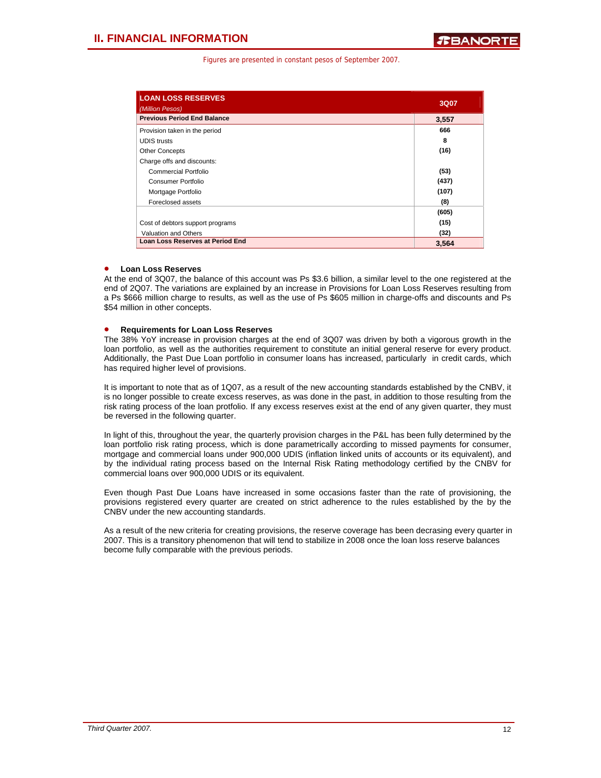| <b>LOAN LOSS RESERVES</b><br>(Million Pesos) | 3Q07  |
|----------------------------------------------|-------|
| <b>Previous Period End Balance</b>           | 3,557 |
| Provision taken in the period                | 666   |
| <b>UDIS</b> trusts                           | 8     |
| <b>Other Concepts</b>                        | (16)  |
| Charge offs and discounts:                   |       |
| Commercial Portfolio                         | (53)  |
| Consumer Portfolio                           | (437) |
| Mortgage Portfolio                           | (107) |
| Foreclosed assets                            | (8)   |
|                                              | (605) |
| Cost of debtors support programs             | (15)  |
| <b>Valuation and Others</b>                  | (32)  |
| <b>Loan Loss Reserves at Period End</b>      | 3,564 |

### • **Loan Loss Reserves**

At the end of 3Q07, the balance of this account was Ps \$3.6 billion, a similar level to the one registered at the end of 2Q07. The variations are explained by an increase in Provisions for Loan Loss Reserves resulting from a Ps \$666 million charge to results, as well as the use of Ps \$605 million in charge-offs and discounts and Ps \$54 million in other concepts.

### • **Requirements for Loan Loss Reserves**

The 38% YoY increase in provision charges at the end of 3Q07 was driven by both a vigorous growth in the loan portfolio, as well as the authorities requirement to constitute an initial general reserve for every product. Additionally, the Past Due Loan portfolio in consumer loans has increased, particularly in credit cards, which has required higher level of provisions.

It is important to note that as of 1Q07, as a result of the new accounting standards established by the CNBV, it is no longer possible to create excess reserves, as was done in the past, in addition to those resulting from the risk rating process of the loan protfolio. If any excess reserves exist at the end of any given quarter, they must be reversed in the following quarter.

In light of this, throughout the year, the quarterly provision charges in the P&L has been fully determined by the loan portfolio risk rating process, which is done parametrically according to missed payments for consumer, mortgage and commercial loans under 900,000 UDIS (inflation linked units of accounts or its equivalent), and by the individual rating process based on the Internal Risk Rating methodology certified by the CNBV for commercial loans over 900,000 UDIS or its equivalent.

Even though Past Due Loans have increased in some occasions faster than the rate of provisioning, the provisions registered every quarter are created on strict adherence to the rules established by the by the CNBV under the new accounting standards.

As a result of the new criteria for creating provisions, the reserve coverage has been decrasing every quarter in 2007. This is a transitory phenomenon that will tend to stabilize in 2008 once the loan loss reserve balances become fully comparable with the previous periods.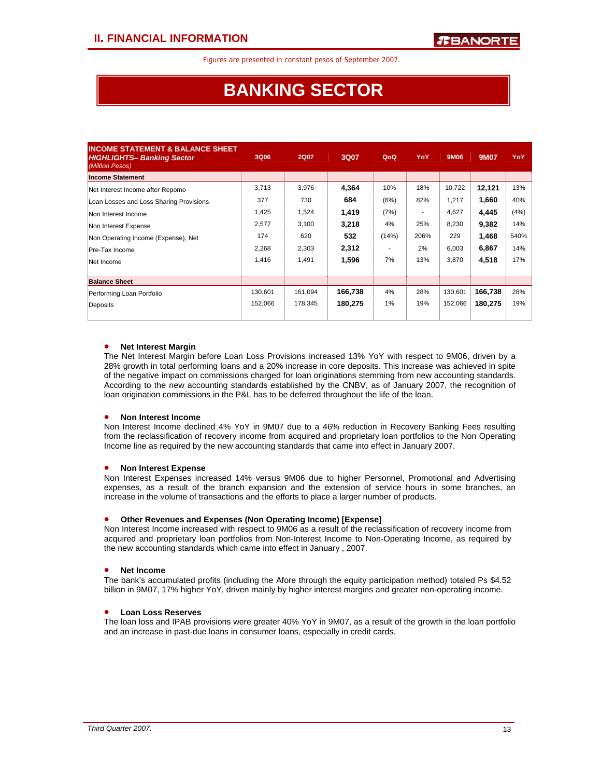# **BANKING SECTOR**

| <b>INCOME STATEMENT &amp; BALANCE SHEET</b><br><b>HIGHLIGHTS- Banking Sector</b><br>(Milllon Pesos) | 3Q06    | <b>2Q07</b> | 3Q07    | QoQ   | YoY  | 9M06    | <b>9M07</b> | YoY  |
|-----------------------------------------------------------------------------------------------------|---------|-------------|---------|-------|------|---------|-------------|------|
| <b>Income Statement</b>                                                                             |         |             |         |       |      |         |             |      |
| Net Interest Income after Repomo                                                                    | 3,713   | 3,976       | 4,364   | 10%   | 18%  | 10,722  | 12,121      | 13%  |
| Loan Losses and Loss Sharing Provisions                                                             | 377     | 730         | 684     | (6%)  | 82%  | 1,217   | 1,660       | 40%  |
| Non Interest Income                                                                                 | 1,425   | 1,524       | 1,419   | (7%)  |      | 4,627   | 4.445       | (4%) |
| Non Interest Expense                                                                                | 2,577   | 3,100       | 3,218   | 4%    | 25%  | 8,230   | 9,382       | 14%  |
| Non Operating Income (Expense), Net                                                                 | 174     | 620         | 532     | (14%) | 206% | 229     | 1,468       | 540% |
| Pre-Tax Income                                                                                      | 2,268   | 2,303       | 2,312   |       | 2%   | 6,003   | 6,867       | 14%  |
| Net Income                                                                                          | 1,416   | 1,491       | 1,596   | 7%    | 13%  | 3.870   | 4,518       | 17%  |
| <b>Balance Sheet</b>                                                                                |         |             |         |       |      |         |             |      |
| Performing Loan Portfolio                                                                           | 130,601 | 161,094     | 166,738 | 4%    | 28%  | 130.601 | 166,738     | 28%  |
| Deposits                                                                                            | 152,066 | 178,345     | 180.275 | 1%    | 19%  | 152,066 | 180,275     | 19%  |

### • **Net Interest Margin**

The Net Interest Margin before Loan Loss Provisions increased 13% YoY with respect to 9M06, driven by a 28% growth in total performing loans and a 20% increase in core deposits. This increase was achieved in spite of the negative impact on commissions charged for loan originations stemming from new accounting standards. According to the new accounting standards established by the CNBV, as of January 2007, the recognition of loan origination commissions in the P&L has to be deferred throughout the life of the loan.

### • **Non Interest Income**

Non Interest Income declined 4% YoY in 9M07 due to a 46% reduction in Recovery Banking Fees resulting from the reclassification of recovery income from acquired and proprietary loan portfolios to the Non Operating Income line as required by the new accounting standards that came into effect in January 2007.

### • **Non Interest Expense**

Non Interest Expenses increased 14% versus 9M06 due to higher Personnel, Promotional and Advertising expenses, as a result of the branch expansion and the extension of service hours in some branches, an increase in the volume of transactions and the efforts to place a larger number of products.

### • **Other Revenues and Expenses (Non Operating Income) [Expense]**

Non Interest Income increased with respect to 9M06 as a result of the reclassification of recovery income from acquired and proprietary loan portfolios from Non-Interest Income to Non-Operating Income, as required by the new accounting standards which came into effect in January , 2007.

### • **Net Income**

The bank's accumulated profits (including the Afore through the equity participation method) totaled Ps \$4.52 billion in 9M07, 17% higher YoY, driven mainly by higher interest margins and greater non-operating income.

### • **Loan Loss Reserves**

The loan loss and IPAB provisions were greater 40% YoY in 9M07, as a result of the growth in the loan portfolio and an increase in past-due loans in consumer loans, especially in credit cards.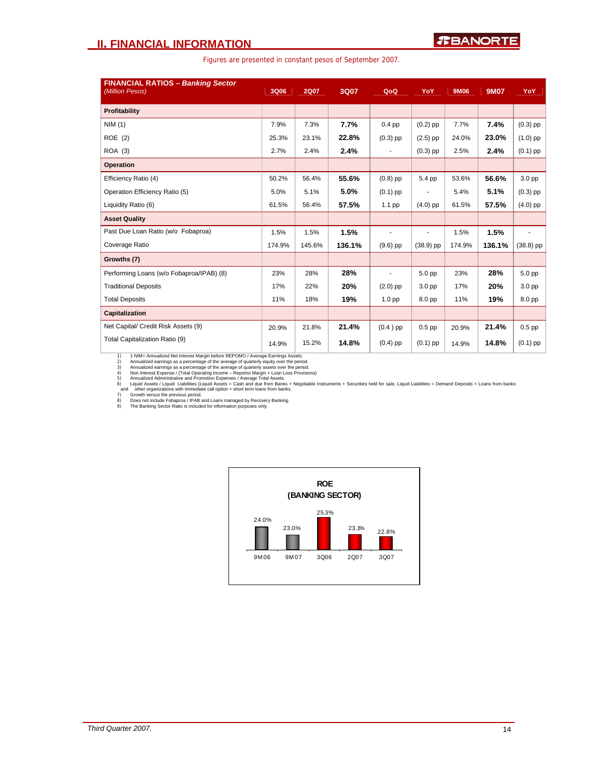### **II. FINANCIAL INFORMATION**

Figures are presented in constant pesos of September 2007.

| <b>FINANCIAL RATIOS - Banking Sector</b><br>(Million Pesos) | <b>3Q06</b> | <b>2Q07</b> | 3Q07   | QoQ               | YoY               | 9M06   | <b>9M07</b> | YoY         |
|-------------------------------------------------------------|-------------|-------------|--------|-------------------|-------------------|--------|-------------|-------------|
| Profitability                                               |             |             |        |                   |                   |        |             |             |
| NIM(1)                                                      | 7.9%        | 7.3%        | 7.7%   | $0.4$ pp          | $(0.2)$ pp        | 7.7%   | 7.4%        | $(0.3)$ pp  |
| ROE (2)                                                     | 25.3%       | 23.1%       | 22.8%  | $(0.3)$ pp        | $(2.5)$ pp        | 24.0%  | 23.0%       | $(1.0)$ pp  |
| ROA (3)                                                     | 2.7%        | 2.4%        | 2.4%   | $\sim$            | $(0.3)$ pp        | 2.5%   | 2.4%        | $(0.1)$ pp  |
| Operation                                                   |             |             |        |                   |                   |        |             |             |
| Efficiency Ratio (4)                                        | 50.2%       | 56.4%       | 55.6%  | $(0.8)$ pp        | 5.4 pp            | 53.6%  | 56.6%       | 3.0 pp      |
| Operation Efficiency Ratio (5)                              | 5.0%        | 5.1%        | 5.0%   | $(0.1)$ pp        |                   | 5.4%   | 5.1%        | $(0.3)$ pp  |
| Liquidity Ratio (6)                                         | 61.5%       | 56.4%       | 57.5%  | 1.1 pp            | $(4.0)$ pp        | 61.5%  | 57.5%       | $(4.0)$ pp  |
| <b>Asset Quality</b>                                        |             |             |        |                   |                   |        |             |             |
| Past Due Loan Ratio (w/o Fobaproa)                          | 1.5%        | 1.5%        | 1.5%   | $\blacksquare$    | ٠                 | 1.5%   | 1.5%        | ٠           |
| Coverage Ratio                                              | 174.9%      | 145.6%      | 136.1% | $(9.6)$ pp        | $(38.9)$ pp       | 174.9% | 136.1%      | $(38.8)$ pp |
| Growths (7)                                                 |             |             |        |                   |                   |        |             |             |
| Performing Loans (w/o Fobaproa/IPAB) (8)                    | 23%         | 28%         | 28%    | ٠                 | 5.0 <sub>pp</sub> | 23%    | 28%         | 5.0 pp      |
| <b>Traditional Deposits</b>                                 | 17%         | 22%         | 20%    | $(2.0)$ pp        | 3.0 pp            | 17%    | 20%         | 3.0 pp      |
| <b>Total Deposits</b>                                       | 11%         | 18%         | 19%    | 1.0 <sub>pp</sub> | 8.0 pp            | 11%    | 19%         | 8.0 pp      |
| <b>Capitalization</b>                                       |             |             |        |                   |                   |        |             |             |
| Net Capital/ Credit Risk Assets (9)                         | 20.9%       | 21.8%       | 21.4%  | $(0.4)$ pp        | $0.5$ pp          | 20.9%  | 21.4%       | $0.5$ pp    |
| Total Capitalization Ratio (9)                              | 14.9%       | 15.2%       | 14.8%  | $(0.4)$ pp        | $(0.1)$ pp        | 14.9%  | 14.8%       | $(0.1)$ pp  |

1) MM- Annualized earnings as a percentargin before REPOMO / Average Earnings Assets.<br>2) Annualized earnings as a percentage of the average of quarterly equity over the period.<br>3) Annualized earnings as a percentage of the

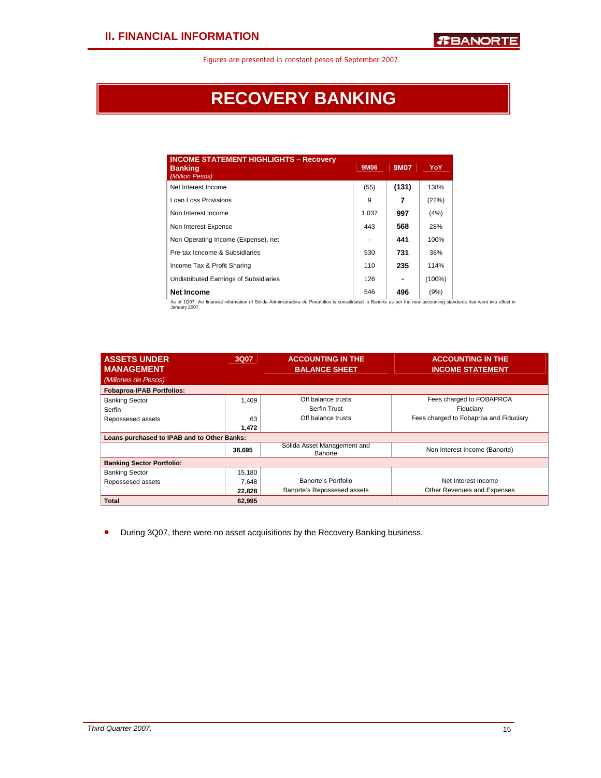# **RECOVERY BANKING**

| <b>INCOME STATEMENT HIGHLIGHTS - Recovery</b><br><b>Banking</b><br>(Million Pesos) | 9M06  | <b>9M07</b> | YoY       |
|------------------------------------------------------------------------------------|-------|-------------|-----------|
| Net Interest Income                                                                | (55)  | (131)       | 138%      |
| Loan Loss Provisions                                                               | 9     | 7           | (22%)     |
| Non Interest Income                                                                | 1,037 | 997         | (4%)      |
| Non Interest Expense                                                               | 443   | 568         | 28%       |
| Non Operating Income (Expense), net                                                |       | 441         | 100%      |
| Pre-tax Icncome & Subsidiaries                                                     | 530   | 731         | 38%       |
| Income Tax & Profit Sharing                                                        | 110   | 235         | 114%      |
| Undistributed Earnings of Subsidiaries                                             | 126   |             | $(100\%)$ |
| <b>Net Income</b>                                                                  | 546   | 496         | (9%)      |

As of 1Q07, the financial information of Sólida Administradora de Portafolios is consolidated in Banorte as per the new accounting standards that went into effect in January 2007.

| <b>ASSETS UNDER</b><br><b>MANAGEMENT</b>    | <b>3Q07</b> | <b>ACCOUNTING IN THE</b><br><b>BALANCE SHEET</b> | <b>ACCOUNTING IN THE</b><br><b>INCOME STATEMENT</b> |
|---------------------------------------------|-------------|--------------------------------------------------|-----------------------------------------------------|
| (Millones de Pesos)                         |             |                                                  |                                                     |
| <b>Fobaproa-IPAB Portfolios:</b>            |             |                                                  |                                                     |
| <b>Banking Sector</b>                       | 1,409       | Off balance trusts                               | Fees charged to FOBAPROA                            |
| Serfin                                      |             | <b>Serfin Trust</b>                              | Fiduciary                                           |
| Repossesed assets                           | 63          | Off balance trusts                               | Fees charged to Fobaproa and Fiduciary              |
|                                             | 1,472       |                                                  |                                                     |
| Loans purchased to IPAB and to Other Banks: |             |                                                  |                                                     |
|                                             | 38,695      | Sólida Asset Management and<br>Banorte           | Non Interest Income (Banorte)                       |
| <b>Banking Sector Portfolio:</b>            |             |                                                  |                                                     |
| <b>Banking Sector</b>                       | 15,180      |                                                  |                                                     |
| Repossesed assets                           | 7,648       | Banorte's Portfolio                              | Net Interest Income                                 |
|                                             | 22,828      | Banorte's Repossesed assets                      | Other Revenues and Expenses                         |
| <b>Total</b>                                | 62.995      |                                                  |                                                     |

• During 3Q07, there were no asset acquisitions by the Recovery Banking business.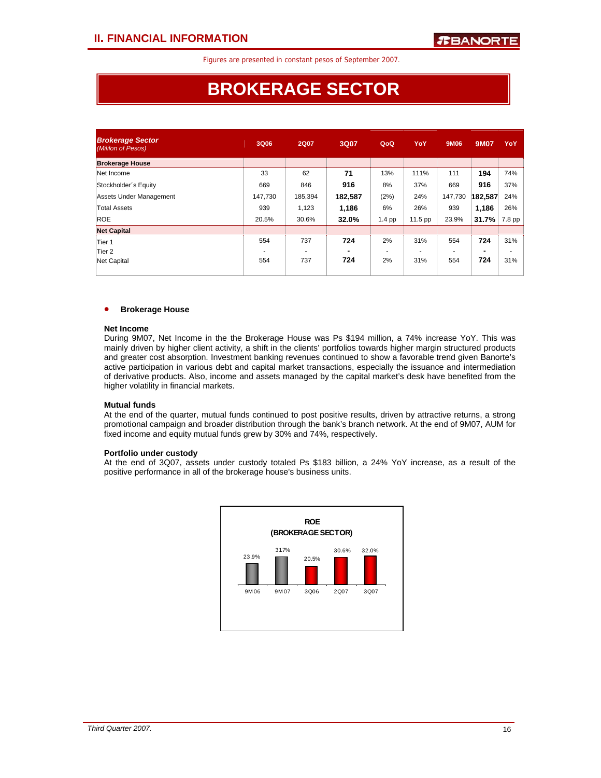# **BROKERAGE SECTOR**

| <b>Brokerage Sector</b><br>(Mililon of Pesos) | 3Q06    | <b>2Q07</b> | 3Q07    | QoQ      | YoY     | 9M06    | <b>9M07</b> | YoY    |
|-----------------------------------------------|---------|-------------|---------|----------|---------|---------|-------------|--------|
| <b>Brokerage House</b>                        |         |             |         |          |         |         |             |        |
| Net Income                                    | 33      | 62          | 71      | 13%      | 111%    | 111     | 194         | 74%    |
| Stockholder's Equity                          | 669     | 846         | 916     | 8%       | 37%     | 669     | 916         | 37%    |
| Assets Under Management                       | 147.730 | 185,394     | 182,587 | (2%)     | 24%     | 147.730 | 182,587     | 24%    |
| <b>Total Assets</b>                           | 939     | 1,123       | 1,186   | 6%       | 26%     | 939     | 1,186       | 26%    |
| <b>ROE</b>                                    | 20.5%   | 30.6%       | 32.0%   | $1.4$ pp | 11.5 pp | 23.9%   | 31.7%       | 7.8 pp |
| <b>Net Capital</b>                            |         |             |         |          |         |         |             |        |
| Tier 1                                        | 554     | 737         | 724     | 2%       | 31%     | 554     | 724         | 31%    |
| Tier 2                                        |         |             | -       |          |         |         |             | ٠      |
| Net Capital                                   | 554     | 737         | 724     | 2%       | 31%     | 554     | 724         | 31%    |
|                                               |         |             |         |          |         |         |             |        |

### • **Brokerage House**

### **Net Income**

During 9M07, Net Income in the the Brokerage House was Ps \$194 million, a 74% increase YoY. This was mainly driven by higher client activity, a shift in the clients' portfolios towards higher margin structured products and greater cost absorption. Investment banking revenues continued to show a favorable trend given Banorte's active participation in various debt and capital market transactions, especially the issuance and intermediation of derivative products. Also, income and assets managed by the capital market's desk have benefited from the higher volatility in financial markets.

### **Mutual funds**

At the end of the quarter, mutual funds continued to post positive results, driven by attractive returns, a strong promotional campaign and broader distribution through the bank's branch network. At the end of 9M07, AUM for fixed income and equity mutual funds grew by 30% and 74%, respectively.

#### **Portfolio under custody**

At the end of 3Q07, assets under custody totaled Ps \$183 billion, a 24% YoY increase, as a result of the positive performance in all of the brokerage house's business units.

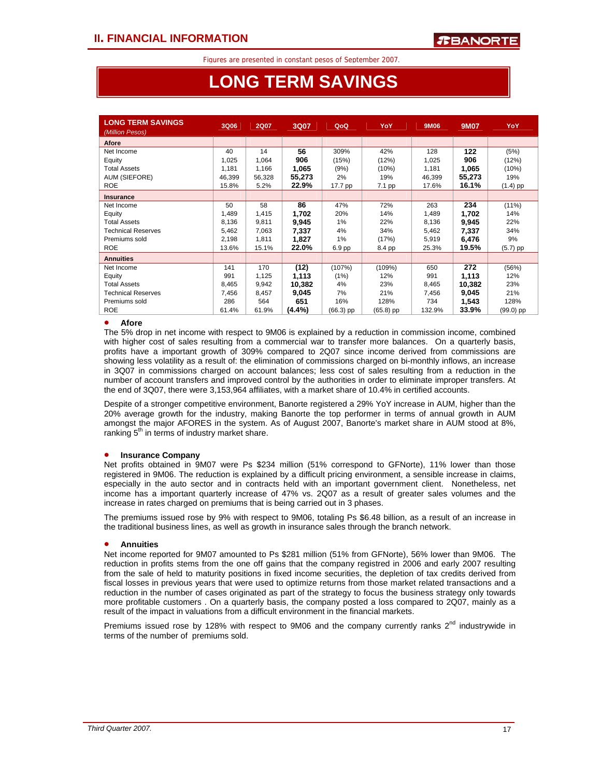# **LONG TERM SAVINGS**

| <b>LONG TERM SAVINGS</b><br>(Million Pesos) | 3Q06   | <b>2Q07</b> | 3Q07      | QoQ         | YoY         | 9M06   | <b>9M07</b> | YoY         |
|---------------------------------------------|--------|-------------|-----------|-------------|-------------|--------|-------------|-------------|
| <b>Afore</b>                                |        |             |           |             |             |        |             |             |
| Net Income                                  | 40     | 14          | 56        | 309%        | 42%         | 128    | 122         | (5%)        |
| Equity                                      | 1,025  | 1,064       | 906       | (15%)       | (12%)       | 1,025  | 906         | (12%)       |
| <b>Total Assets</b>                         | 1,181  | 1,166       | 1,065     | (9%)        | (10%)       | 1,181  | 1,065       | (10%)       |
| <b>AUM (SIEFORE)</b>                        | 46,399 | 56,328      | 55,273    | 2%          | 19%         | 46,399 | 55,273      | 19%         |
| <b>ROE</b>                                  | 15.8%  | 5.2%        | 22.9%     | 17.7 pp     | 7.1 pp      | 17.6%  | 16.1%       | $(1.4)$ pp  |
| <b>Insurance</b>                            |        |             |           |             |             |        |             |             |
| Net Income                                  | 50     | 58          | 86        | 47%         | 72%         | 263    | 234         | $(11\%)$    |
| Equity                                      | 1,489  | 1,415       | 1,702     | 20%         | 14%         | 1,489  | 1,702       | 14%         |
| <b>Total Assets</b>                         | 8,136  | 9,811       | 9,945     | $1\%$       | 22%         | 8,136  | 9,945       | 22%         |
| Technical Reserves                          | 5,462  | 7,063       | 7,337     | 4%          | 34%         | 5,462  | 7,337       | 34%         |
| Premiums sold                               | 2,198  | 1,811       | 1,827     | 1%          | (17%)       | 5,919  | 6,476       | 9%          |
| <b>ROE</b>                                  | 13.6%  | 15.1%       | 22.0%     | $6.9$ pp    | 8.4 pp      | 25.3%  | 19.5%       | $(5.7)$ pp  |
| <b>Annuities</b>                            |        |             |           |             |             |        |             |             |
| Net Income                                  | 141    | 170         | (12)      | (107%)      | (109%)      | 650    | 272         | (56%)       |
| Equity                                      | 991    | 1,125       | 1,113     | (1%)        | 12%         | 991    | 1,113       | 12%         |
| <b>Total Assets</b>                         | 8,465  | 9,942       | 10,382    | 4%          | 23%         | 8,465  | 10,382      | 23%         |
| <b>Technical Reserves</b>                   | 7,456  | 8,457       | 9,045     | 7%          | 21%         | 7,456  | 9,045       | 21%         |
| Premiums sold                               | 286    | 564         | 651       | 16%         | 128%        | 734    | 1,543       | 128%        |
| <b>ROE</b>                                  | 61.4%  | 61.9%       | $(4.4\%)$ | $(66.3)$ pp | $(65.8)$ pp | 132.9% | 33.9%       | $(99.0)$ pp |

### • **Afore**

l

The 5% drop in net income with respect to 9M06 is explained by a reduction in commission income, combined with higher cost of sales resulting from a commercial war to transfer more balances. On a quarterly basis, profits have a important growth of 309% compared to 2Q07 since income derived from commissions are showing less volatility as a result of: the elimination of commissions charged on bi-monthly inflows, an increase in 3Q07 in commissions charged on account balances; less cost of sales resulting from a reduction in the number of account transfers and improved control by the authorities in order to eliminate improper transfers. At the end of 3Q07, there were 3,153,964 affiliates, with a market share of 10.4% in certified accounts.

Despite of a stronger competitive environment, Banorte registered a 29% YoY increase in AUM, higher than the 20% average growth for the industry, making Banorte the top performer in terms of annual growth in AUM amongst the major AFORES in the system. As of August 2007, Banorte's market share in AUM stood at 8%, ranking  $5<sup>th</sup>$  in terms of industry market share.

### • **Insurance Company**

Net profits obtained in 9M07 were Ps \$234 million (51% correspond to GFNorte), 11% lower than those registered in 9M06. The reduction is explained by a difficult pricing environment, a sensible increase in claims, especially in the auto sector and in contracts held with an important government client. Nonetheless, net income has a important quarterly increase of 47% vs. 2Q07 as a result of greater sales volumes and the increase in rates charged on premiums that is being carried out in 3 phases.

The premiums issued rose by 9% with respect to 9M06, totaling Ps \$6.48 billion, as a result of an increase in the traditional business lines, as well as growth in insurance sales through the branch network.

### • **Annuities**

Net income reported for 9M07 amounted to Ps \$281 million (51% from GFNorte), 56% lower than 9M06. The reduction in profits stems from the one off gains that the company registred in 2006 and early 2007 resulting from the sale of held to maturity positions in fixed income securities, the depletion of tax credits derived from fiscal losses in previous years that were used to optimize returns from those market related transactions and a reduction in the number of cases originated as part of the strategy to focus the business strategy only towards more profitable customers . On a quarterly basis, the company posted a loss compared to 2Q07, mainly as a result of the impact in valuations from a difficult environment in the financial markets.

Premiums issued rose by 128% with respect to  $9M06$  and the company currently ranks  $2^{nd}$  industrywide in terms of the number of premiums sold.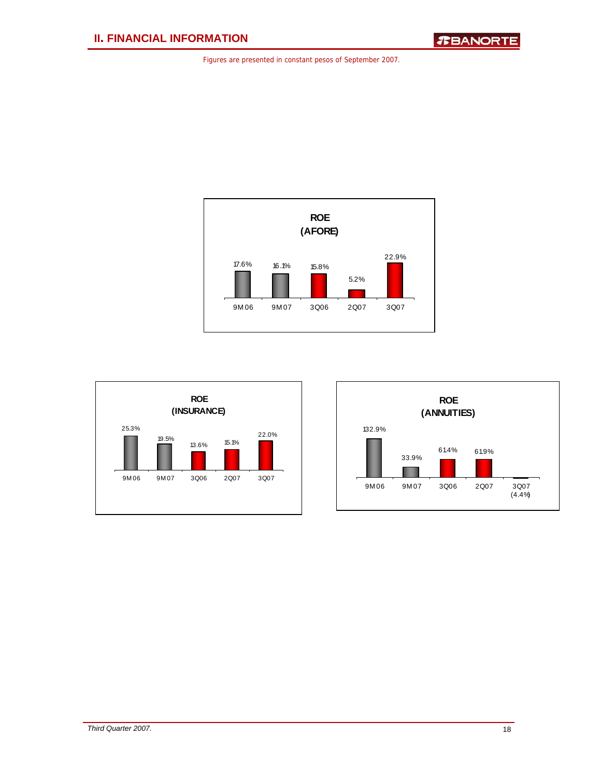



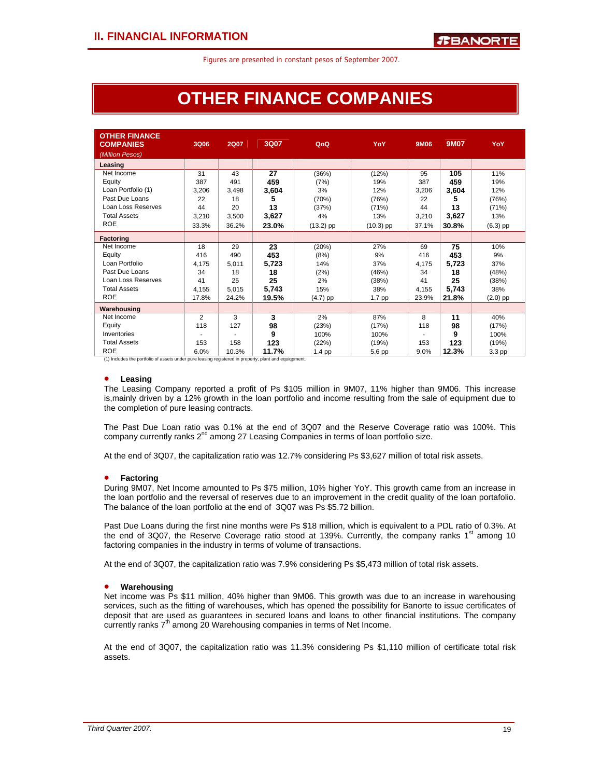# **OTHER FINANCE COMPANIES**

| <b>OTHER FINANCE</b><br><b>COMPANIES</b>                                                              | 3Q06  | <b>2Q07</b> | 3Q07  | QoQ         | YoY         | 9M06  | 9M07  | YoY        |
|-------------------------------------------------------------------------------------------------------|-------|-------------|-------|-------------|-------------|-------|-------|------------|
| (Million Pesos)                                                                                       |       |             |       |             |             |       |       |            |
| Leasing                                                                                               |       |             |       |             |             |       |       |            |
| Net Income                                                                                            | 31    | 43          | 27    | (36%)       | (12%)       | 95    | 105   | 11%        |
| Equity                                                                                                | 387   | 491         | 459   | (7%)        | 19%         | 387   | 459   | 19%        |
| Loan Portfolio (1)                                                                                    | 3,206 | 3,498       | 3,604 | 3%          | 12%         | 3,206 | 3,604 | 12%        |
| Past Due Loans                                                                                        | 22    | 18          | 5     | (70%)       | (76%)       | 22    | 5     | (76%)      |
| Loan Loss Reserves                                                                                    | 44    | 20          | 13    | (37%)       | (71%)       | 44    | 13    | (71%)      |
| <b>Total Assets</b>                                                                                   | 3,210 | 3,500       | 3,627 | 4%          | 13%         | 3,210 | 3,627 | 13%        |
| <b>ROE</b>                                                                                            | 33.3% | 36.2%       | 23.0% | $(13.2)$ pp | $(10.3)$ pp | 37.1% | 30.8% | $(6.3)$ pp |
| Factoring                                                                                             |       |             |       |             |             |       |       |            |
| Net Income                                                                                            | 18    | 29          | 23    | (20%)       | 27%         | 69    | 75    | 10%        |
| Equity                                                                                                | 416   | 490         | 453   | (8%)        | 9%          | 416   | 453   | 9%         |
| Loan Portfolio                                                                                        | 4.175 | 5,011       | 5,723 | 14%         | 37%         | 4,175 | 5,723 | 37%        |
| Past Due Loans                                                                                        | 34    | 18          | 18    | (2%)        | (46%)       | 34    | 18    | (48%)      |
| Loan Loss Reserves                                                                                    | 41    | 25          | 25    | 2%          | (38%)       | 41    | 25    | (38%)      |
| <b>Total Assets</b>                                                                                   | 4,155 | 5.015       | 5,743 | 15%         | 38%         | 4,155 | 5,743 | 38%        |
| <b>ROE</b>                                                                                            | 17.8% | 24.2%       | 19.5% | $(4.7)$ pp  | 1.7 pp      | 23.9% | 21.8% | $(2.0)$ pp |
| Warehousing                                                                                           |       |             |       |             |             |       |       |            |
| Net Income                                                                                            | 2     | 3           | 3     | 2%          | 87%         | 8     | 11    | 40%        |
| Equity                                                                                                | 118   | 127         | 98    | (23%)       | (17%)       | 118   | 98    | (17%)      |
| Inventories                                                                                           |       |             | 9     | 100%        | 100%        |       | 9     | 100%       |
| <b>Total Assets</b>                                                                                   | 153   | 158         | 123   | (22%)       | (19%)       | 153   | 123   | (19%)      |
| <b>ROE</b>                                                                                            | 6.0%  | 10.3%       | 11.7% | $1.4$ pp    | 5.6 pp      | 9.0%  | 12.3% | 3.3 pp     |
| (1) Includes the portfolio of assets under pure leasing registered in property, plant and equiqpment. |       |             |       |             |             |       |       |            |

### • **Leasing**

The Leasing Company reported a profit of Ps \$105 million in 9M07, 11% higher than 9M06. This increase is,mainly driven by a 12% growth in the loan portfolio and income resulting from the sale of equipment due to the completion of pure leasing contracts.

The Past Due Loan ratio was 0.1% at the end of 3Q07 and the Reserve Coverage ratio was 100%. This company currently ranks  $2^{nd}$  among 27 Leasing Companies in terms of loan portfolio size.

At the end of 3Q07, the capitalization ratio was 12.7% considering Ps \$3,627 million of total risk assets.

### • **Factoring**

During 9M07, Net Income amounted to Ps \$75 million, 10% higher YoY. This growth came from an increase in the loan portfolio and the reversal of reserves due to an improvement in the credit quality of the loan portafolio. The balance of the loan portfolio at the end of 3Q07 was Ps \$5.72 billion.

Past Due Loans during the first nine months were Ps \$18 million, which is equivalent to a PDL ratio of 0.3%. At the end of 3Q07, the Reserve Coverage ratio stood at 139%. Currently, the company ranks 1<sup>st</sup> among 10 factoring companies in the industry in terms of volume of transactions.

At the end of 3Q07, the capitalization ratio was 7.9% considering Ps \$5,473 million of total risk assets.

### • **Warehousing**

Net income was Ps \$11 million, 40% higher than 9M06. This growth was due to an increase in warehousing services, such as the fitting of warehouses, which has opened the possibility for Banorte to issue certificates of deposit that are used as guarantees in secured loans and loans to other financial institutions. The company currently ranks  $7<sup>th</sup>$  among 20 Warehousing companies in terms of Net Income.

At the end of 3Q07, the capitalization ratio was 11.3% considering Ps \$1,110 million of certificate total risk assets.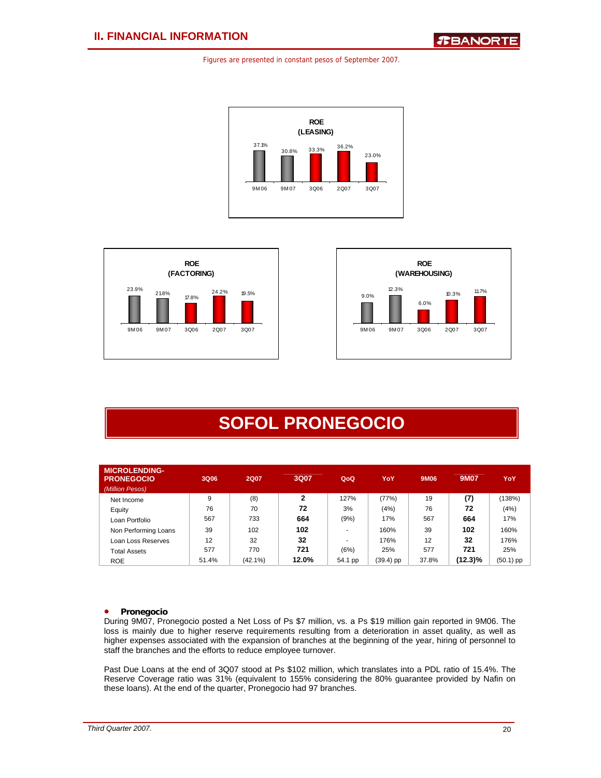





# **SOFOL PRONEGOCIO**

| <b>MICROLENDING-</b><br><b>PRONEGOCIO</b><br>(Million Pesos) | 3Q06  | <b>2Q07</b> | 3Q07           | QoQ     | YoY         | 9M06  | 9M07       | YoY         |
|--------------------------------------------------------------|-------|-------------|----------------|---------|-------------|-------|------------|-------------|
| Net Income                                                   | 9     | (8)         | $\overline{2}$ | 127%    | (77%)       | 19    | (7)        | (138%)      |
| Equity                                                       | 76    | 70          | 72             | 3%      | (4%)        | 76    | 72         | (4%)        |
| Loan Portfolio                                               | 567   | 733         | 664            | (9%)    | 17%         | 567   | 664        | 17%         |
| Non Performing Loans                                         | 39    | 102         | 102            |         | 160%        | 39    | 102        | 160%        |
| Loan Loss Reserves                                           | 12    | 32          | 32             |         | 176%        | 12    | 32         | 176%        |
| Total Assets                                                 | 577   | 770         | 721            | (6%)    | 25%         | 577   | 721        | 25%         |
| <b>ROE</b>                                                   | 51.4% | $(42.1\%)$  | 12.0%          | 54.1 pp | $(39.4)$ pp | 37.8% | $(12.3)\%$ | $(50.1)$ pp |

### • **Pronegocio**

During 9M07, Pronegocio posted a Net Loss of Ps \$7 million, vs. a Ps \$19 million gain reported in 9M06. The loss is mainly due to higher reserve requirements resulting from a deterioration in asset quality, as well as higher expenses associated with the expansion of branches at the beginning of the year, hiring of personnel to staff the branches and the efforts to reduce employee turnover.

Past Due Loans at the end of 3Q07 stood at Ps \$102 million, which translates into a PDL ratio of 15.4%. The Reserve Coverage ratio was 31% (equivalent to 155% considering the 80% guarantee provided by Nafin on these loans). At the end of the quarter, Pronegocio had 97 branches.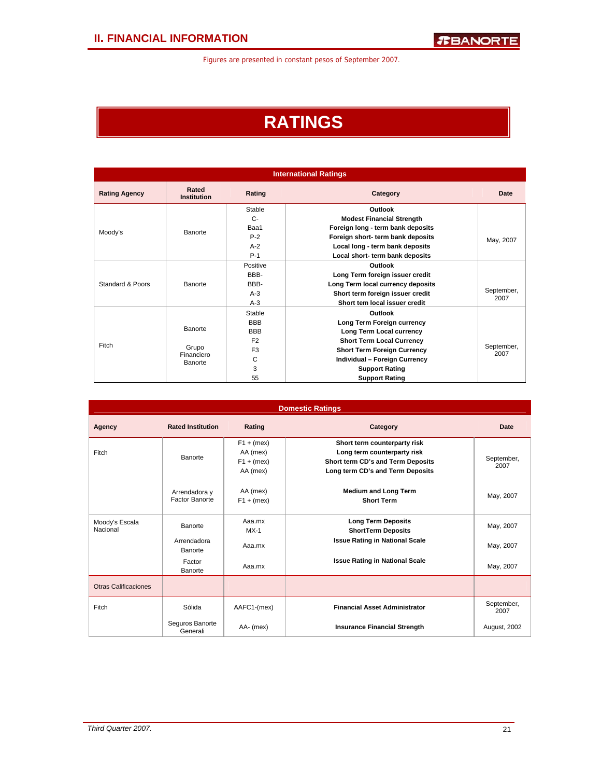# **RATINGS**

|                      | <b>International Ratings</b> |                |                                    |                    |  |  |  |  |  |  |
|----------------------|------------------------------|----------------|------------------------------------|--------------------|--|--|--|--|--|--|
| <b>Rating Agency</b> | Rated<br><b>Institution</b>  | Rating         | Category                           | Date               |  |  |  |  |  |  |
|                      |                              | Stable         | Outlook                            |                    |  |  |  |  |  |  |
|                      |                              | $C-$           | <b>Modest Financial Strength</b>   |                    |  |  |  |  |  |  |
| Moody's              | Banorte                      | Baa1           | Foreign long - term bank deposits  |                    |  |  |  |  |  |  |
|                      |                              | $P-2$          | Foreign short- term bank deposits  | May, 2007          |  |  |  |  |  |  |
|                      |                              | $A-2$          | Local long - term bank deposits    |                    |  |  |  |  |  |  |
|                      |                              | $P-1$          | Local short- term bank deposits    |                    |  |  |  |  |  |  |
|                      |                              | Positive       | Outlook                            |                    |  |  |  |  |  |  |
|                      |                              | BBB-           | Long Term foreign issuer credit    |                    |  |  |  |  |  |  |
| Standard & Poors     | Banorte                      | BBB-           | Long Term local currency deposits  |                    |  |  |  |  |  |  |
|                      |                              | $A-3$          | Short term foreign issuer credit   | September,         |  |  |  |  |  |  |
|                      |                              | $A-3$          | Short tem local issuer credit      | 2007               |  |  |  |  |  |  |
|                      |                              | Stable         | Outlook                            |                    |  |  |  |  |  |  |
|                      |                              | <b>BBB</b>     | Long Term Foreign currency         |                    |  |  |  |  |  |  |
|                      | Banorte                      | <b>BBB</b>     | Long Term Local currency           |                    |  |  |  |  |  |  |
| Fitch                |                              | F <sub>2</sub> | <b>Short Term Local Currency</b>   |                    |  |  |  |  |  |  |
|                      | Grupo                        | F <sub>3</sub> | <b>Short Term Foreign Currency</b> | September,<br>2007 |  |  |  |  |  |  |
|                      | Financiero<br>Banorte        | C              | Individual - Foreign Currency      |                    |  |  |  |  |  |  |
|                      |                              | 3              | <b>Support Rating</b>              |                    |  |  |  |  |  |  |
|                      |                              | 55             | <b>Support Rating</b>              |                    |  |  |  |  |  |  |

|                             |                                 |                                                      | <b>Domestic Ratings</b>                                                                                                              |                    |
|-----------------------------|---------------------------------|------------------------------------------------------|--------------------------------------------------------------------------------------------------------------------------------------|--------------------|
| Agency                      | <b>Rated Institution</b>        | Rating                                               | Category                                                                                                                             | Date               |
| Fitch                       | <b>Banorte</b>                  | $F1 + (mex)$<br>AA (mex)<br>$F1 + (mex)$<br>AA (mex) | Short term counterparty risk<br>Long term counterparty risk<br>Short term CD's and Term Deposits<br>Long term CD's and Term Deposits | September,<br>2007 |
|                             | Arrendadora y<br>Factor Banorte | AA (mex)<br>$F1 + (mex)$                             | <b>Medium and Long Term</b><br><b>Short Term</b>                                                                                     | May, 2007          |
| Moody's Escala<br>Nacional  | Banorte                         | Aaa.mx<br>$MX-1$                                     | <b>Long Term Deposits</b><br><b>ShortTerm Deposits</b>                                                                               | May, 2007          |
|                             | Arrendadora<br>Banorte          | Aaa.mx                                               | <b>Issue Rating in National Scale</b>                                                                                                | May, 2007          |
|                             | Factor<br>Banorte               | Aaa.mx                                               | <b>Issue Rating in National Scale</b>                                                                                                | May, 2007          |
| <b>Otras Calificaciones</b> |                                 |                                                      |                                                                                                                                      |                    |
| Fitch                       | Sólida                          | AAFC1-(mex)                                          | <b>Financial Asset Administrator</b>                                                                                                 | September,<br>2007 |
|                             | Seguros Banorte<br>Generali     | AA- (mex)                                            | <b>Insurance Financial Strength</b>                                                                                                  | August, 2002       |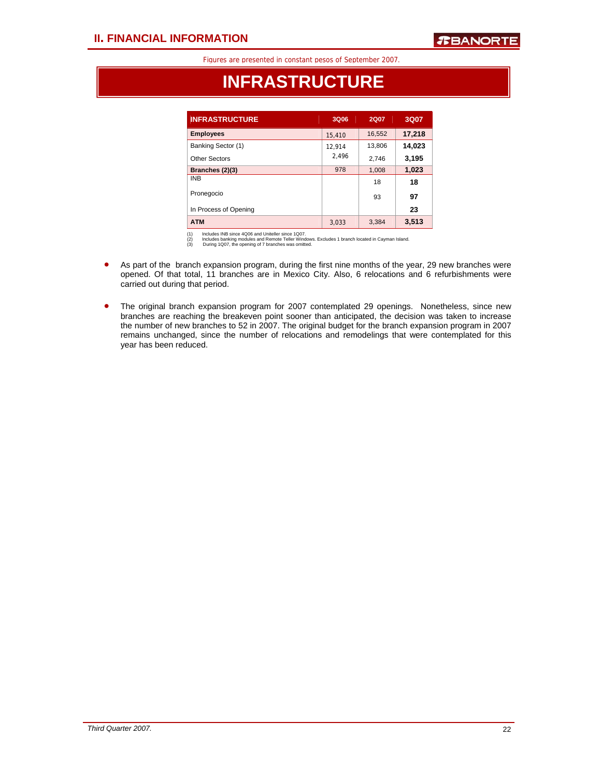## **INFRASTRUCTURE**

| <b>INFRASTRUCTURE</b> | 3Q06   | <b>2Q07</b> | 3Q07   |
|-----------------------|--------|-------------|--------|
| <b>Employees</b>      | 15,410 | 16,552      | 17,218 |
| Banking Sector (1)    | 12.914 | 13,806      | 14,023 |
| Other Sectors         | 2.496  | 2,746       | 3,195  |
| Branches (2)(3)       | 978    | 1,008       | 1,023  |
| <b>INB</b>            |        | 18          | 18     |
| Pronegocio            |        | 93          | 97     |
| In Process of Opening |        |             | 23     |
| <b>ATM</b>            | 3.033  | 3,384       | 3,513  |

(1) Includes INB since 4Q06 and Uniteller since 1Q07.<br>(2) Includes banking modules and Remote Teller Windows. Excludes 1 branch located in Cayman Island.<br>(3) During 1Q07, the opening of 7 branches was omitted.

- As part of the branch expansion program, during the first nine months of the year, 29 new branches were opened. Of that total, 11 branches are in Mexico City. Also, 6 relocations and 6 refurbishments were carried out during that period.
- The original branch expansion program for 2007 contemplated 29 openings. Nonetheless, since new branches are reaching the breakeven point sooner than anticipated, the decision was taken to increase the number of new branches to 52 in 2007. The original budget for the branch expansion program in 2007 remains unchanged, since the number of relocations and remodelings that were contemplated for this year has been reduced.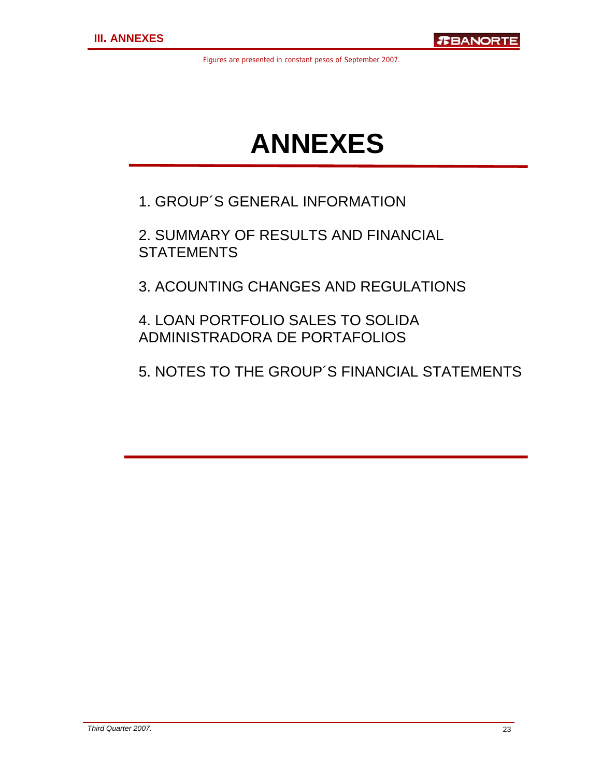# **ANNEXES**

1. GROUP´S GENERAL INFORMATION

2. SUMMARY OF RESULTS AND FINANCIAL **STATEMENTS** 

3. ACOUNTING CHANGES AND REGULATIONS

4. LOAN PORTFOLIO SALES TO SOLIDA ADMINISTRADORA DE PORTAFOLIOS

5. NOTES TO THE GROUP´S FINANCIAL STATEMENTS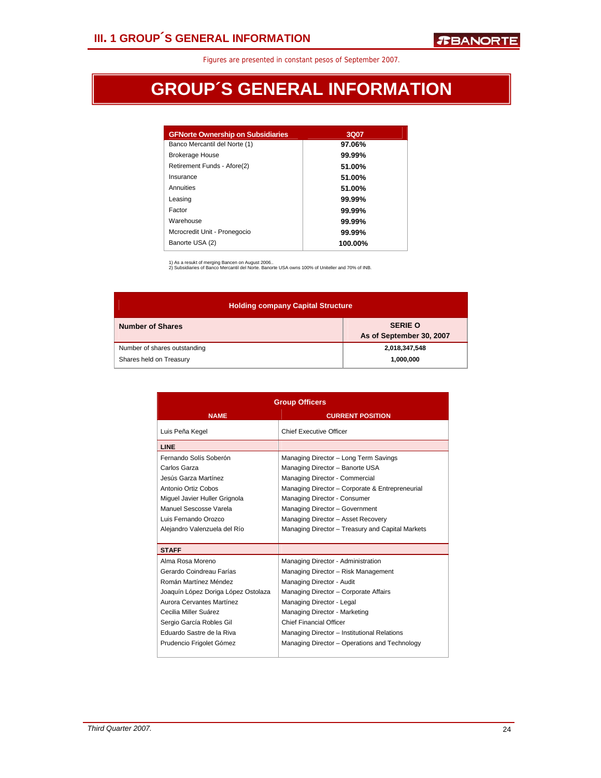# **GROUP´S GENERAL INFORMATION**

| <b>GFNorte Ownership on Subsidiaries</b> | 3Q07    |
|------------------------------------------|---------|
| Banco Mercantil del Norte (1)            | 97.06%  |
| <b>Brokerage House</b>                   | 99.99%  |
| Retirement Funds - Afore(2)              | 51.00%  |
| Insurance                                | 51.00%  |
| Annuities                                | 51.00%  |
| Leasing                                  | 99.99%  |
| Factor                                   | 99.99%  |
| Warehouse                                | 99.99%  |
| Mcrocredit Unit - Pronegocio             | 99.99%  |
| Banorte USA (2)                          | 100.00% |

1) As a resukt of merging Bancen on August 2006.. 2) Subsidiaries of Banco Mercantil del Norte. Banorte USA owns 100% of Uniteller and 70% of INB.

| <b>Holding company Capital Structure</b> |                                            |
|------------------------------------------|--------------------------------------------|
| <b>Number of Shares</b>                  | <b>SERIE O</b><br>As of September 30, 2007 |
| Number of shares outstanding             | 2,018,347,548                              |
| Shares held on Treasury                  | 1,000,000                                  |

|                                     | <b>Group Officers</b>                            |
|-------------------------------------|--------------------------------------------------|
| <b>NAME</b>                         | <b>CURRENT POSITION</b>                          |
| Luis Peña Kegel                     | <b>Chief Executive Officer</b>                   |
| <b>LINE</b>                         |                                                  |
| Fernando Solís Soberón              | Managing Director - Long Term Savings            |
| Carlos Garza                        | Managing Director - Banorte USA                  |
| Jesús Garza Martínez                | Managing Director - Commercial                   |
| Antonio Ortiz Cobos                 | Managing Director - Corporate & Entrepreneurial  |
| Miquel Javier Huller Grignola       | Managing Director - Consumer                     |
| Manuel Sescosse Varela              | Managing Director - Government                   |
| Luis Fernando Orozco                | Managing Director - Asset Recovery               |
| Alejandro Valenzuela del Río        | Managing Director - Treasury and Capital Markets |
|                                     |                                                  |
| <b>STAFF</b>                        |                                                  |
| Alma Rosa Moreno                    | Managing Director - Administration               |
| Gerardo Coindreau Farías            | Managing Director - Risk Management              |
| Román Martínez Méndez               | Managing Director - Audit                        |
| Joaquín López Doriga López Ostolaza | Managing Director - Corporate Affairs            |
| Aurora Cervantes Martínez           | Managing Director - Legal                        |
| Cecilia Miller Suárez               | Managing Director - Marketing                    |
| Sergio García Robles Gil            | <b>Chief Financial Officer</b>                   |
| Eduardo Sastre de la Riva           | Managing Director - Institutional Relations      |
| Prudencio Frigolet Gómez            | Managing Director - Operations and Technology    |
|                                     |                                                  |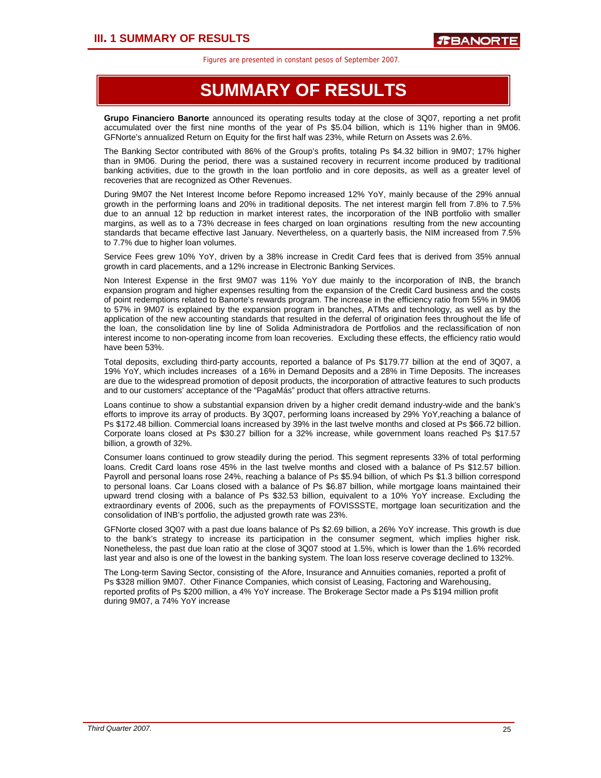### **SUMMARY OF RESULTS**

**Grupo Financiero Banorte** announced its operating results today at the close of 3Q07, reporting a net profit accumulated over the first nine months of the year of Ps \$5.04 billion, which is 11% higher than in 9M06. GFNorte's annualized Return on Equity for the first half was 23%, while Return on Assets was 2.6%.

The Banking Sector contributed with 86% of the Group's profits, totaling Ps \$4.32 billion in 9M07; 17% higher than in 9M06. During the period, there was a sustained recovery in recurrent income produced by traditional banking activities, due to the growth in the loan portfolio and in core deposits, as well as a greater level of recoveries that are recognized as Other Revenues.

During 9M07 the Net Interest Income before Repomo increased 12% YoY, mainly because of the 29% annual growth in the performing loans and 20% in traditional deposits. The net interest margin fell from 7.8% to 7.5% due to an annual 12 bp reduction in market interest rates, the incorporation of the INB portfolio with smaller margins, as well as to a 73% decrease in fees charged on loan orginations resulting from the new accounting standards that became effective last January. Nevertheless, on a quarterly basis, the NIM increased from 7.5% to 7.7% due to higher loan volumes.

Service Fees grew 10% YoY, driven by a 38% increase in Credit Card fees that is derived from 35% annual growth in card placements, and a 12% increase in Electronic Banking Services.

Non Interest Expense in the first 9M07 was 11% YoY due mainly to the incorporation of INB, the branch expansion program and higher expenses resulting from the expansion of the Credit Card business and the costs of point redemptions related to Banorte's rewards program. The increase in the efficiency ratio from 55% in 9M06 to 57% in 9M07 is explained by the expansion program in branches, ATMs and technology, as well as by the application of the new accounting standards that resulted in the deferral of origination fees throughout the life of the loan, the consolidation line by line of Solida Administradora de Portfolios and the reclassification of non interest income to non-operating income from loan recoveries. Excluding these effects, the efficiency ratio would have been 53%.

Total deposits, excluding third-party accounts, reported a balance of Ps \$179.77 billion at the end of 3Q07, a 19% YoY, which includes increases of a 16% in Demand Deposits and a 28% in Time Deposits. The increases are due to the widespread promotion of deposit products, the incorporation of attractive features to such products and to our customers' acceptance of the "PagaMás" product that offers attractive returns.

Loans continue to show a substantial expansion driven by a higher credit demand industry-wide and the bank's efforts to improve its array of products. By 3Q07, performing loans increased by 29% YoY,reaching a balance of Ps \$172.48 billion. Commercial loans increased by 39% in the last twelve months and closed at Ps \$66.72 billion. Corporate loans closed at Ps \$30.27 billion for a 32% increase, while government loans reached Ps \$17.57 billion, a growth of 32%.

Consumer loans continued to grow steadily during the period. This segment represents 33% of total performing loans. Credit Card loans rose 45% in the last twelve months and closed with a balance of Ps \$12.57 billion. Payroll and personal loans rose 24%, reaching a balance of Ps \$5.94 billion, of which Ps \$1.3 billion correspond to personal loans. Car Loans closed with a balance of Ps \$6.87 billion, while mortgage loans maintained their upward trend closing with a balance of Ps \$32.53 billion, equivalent to a 10% YoY increase. Excluding the extraordinary events of 2006, such as the prepayments of FOVISSSTE, mortgage loan securitization and the consolidation of INB's portfolio, the adjusted growth rate was 23%.

GFNorte closed 3Q07 with a past due loans balance of Ps \$2.69 billion, a 26% YoY increase. This growth is due to the bank's strategy to increase its participation in the consumer segment, which implies higher risk. Nonetheless, the past due loan ratio at the close of 3Q07 stood at 1.5%, which is lower than the 1.6% recorded last year and also is one of the lowest in the banking system. The loan loss reserve coverage declined to 132%.

The Long-term Saving Sector, consisting of the Afore, Insurance and Annuities comanies, reported a profit of Ps \$328 million 9M07. Other Finance Companies, which consist of Leasing, Factoring and Warehousing, reported profits of Ps \$200 million, a 4% YoY increase. The Brokerage Sector made a Ps \$194 million profit during 9M07, a 74% YoY increase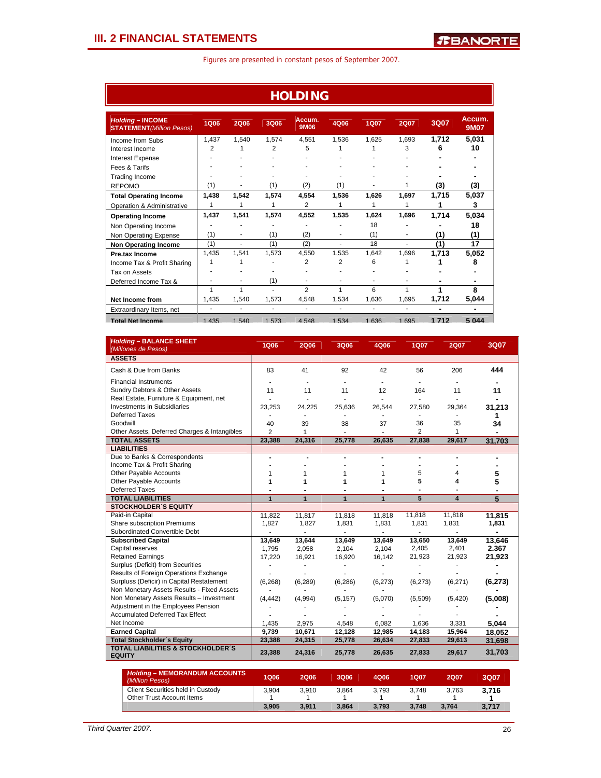|                                                             |                          |       |                | <b>HOLDING</b> |       |             |                |       |                       |
|-------------------------------------------------------------|--------------------------|-------|----------------|----------------|-------|-------------|----------------|-------|-----------------------|
| <b>Holding - INCOME</b><br><b>STATEMENT</b> (Million Pesos) | 1Q06                     | 2Q06  | 3Q06           | Accum.<br>9M06 | 4Q06  | <b>1Q07</b> | <b>2Q07</b>    | 3Q07  | Accum.<br><b>9M07</b> |
| Income from Subs                                            | 1,437                    | 1.540 | 1.574          | 4.551          | 1.536 | 1.625       | 1.693          | 1,712 | 5,031                 |
| Interest Income                                             | $\overline{2}$           |       | $\overline{2}$ | 5              |       |             | 3              | 6     | 10                    |
| <b>Interest Expense</b>                                     |                          |       |                |                |       |             |                |       |                       |
| Fees & Tarifs                                               |                          |       |                |                |       |             |                |       |                       |
| <b>Trading Income</b>                                       |                          |       | ٠              |                |       |             |                |       |                       |
| <b>REPOMO</b>                                               | (1)                      |       | (1)            | (2)            | (1)   |             | 1              | (3)   | (3)                   |
| <b>Total Operating Income</b>                               | 1,438                    | 1.542 | 1.574          | 4.554          | 1,536 | 1.626       | 1.697          | 1,715 | 5,037                 |
| Operation & Administrative                                  | 1                        | 1     |                | 2              | 1     | 1           | 1              | 1     | 3                     |
| <b>Operating Income</b>                                     | 1,437                    | 1.541 | 1.574          | 4.552          | 1.535 | 1.624       | 1.696          | 1,714 | 5,034                 |
| Non Operating Income                                        |                          |       |                |                |       | 18          |                |       | 18                    |
| Non Operating Expense                                       | (1)                      | ٠     | (1)            | (2)            | ٠     | (1)         | ٠              | (1)   | (1)                   |
| <b>Non Operating Income</b>                                 | (1)                      | ٠     | (1)            | (2)            | ÷     | 18          | $\overline{a}$ | (1)   | 17                    |
| Pre.tax Income                                              | 1.435                    | 1.541 | 1.573          | 4.550          | 1.535 | 1.642       | 1.696          | 1,713 | 5,052                 |
| Income Tax & Profit Sharing                                 | 1                        |       |                | 2              | 2     | 6           |                |       | 8                     |
| Tax on Assets                                               |                          |       |                |                |       |             |                |       |                       |
| Deferred Income Tax &                                       |                          |       | (1)            |                |       |             |                |       |                       |
|                                                             | 1                        | 1     | ÷              | $\overline{2}$ | 1     | 6           | 1              | 1     | 8                     |
| <b>Net Income from</b>                                      | 1,435                    | 1.540 | 1.573          | 4,548          | 1,534 | 1.636       | 1.695          | 1.712 | 5,044                 |
| Extraordinary Items, net                                    | $\overline{\phantom{m}}$ |       | ٠              | ٠              | ٠     | ۰           |                | ۰     | $\blacksquare$        |
| <b>Total Net Income</b>                                     | 1 4 3 5                  | 1.540 | 1.573          | 4548           | 1.534 | 1636        | 1695           | 1712  | 5 044                 |

| <b>Holding - BALANCE SHEET</b><br>(Millones de Pesos)         | <b>1Q06</b>    | <b>2Q06</b> | 3Q06         | 4Q06           | <b>1Q07</b> | <b>2Q07</b>     | 3Q07            |
|---------------------------------------------------------------|----------------|-------------|--------------|----------------|-------------|-----------------|-----------------|
| <b>ASSETS</b>                                                 |                |             |              |                |             |                 |                 |
| Cash & Due from Banks                                         | 83             | 41          | 92           | 42             | 56          | 206             | 444             |
| <b>Financial Instruments</b>                                  |                |             |              | $\blacksquare$ |             |                 |                 |
| Sundry Debtors & Other Assets                                 | 11             | 11          | 11           | 12             | 164         | 11              | 11              |
| Real Estate, Furniture & Equipment, net                       |                |             |              | ÷,             |             |                 |                 |
| <b>Investments in Subsidiaries</b>                            | 23,253         | 24.225      | 25,636       | 26.544         | 27,580      | 29.364          | 31,213          |
| Deferred Taxes                                                |                |             |              |                |             |                 | 1               |
| Goodwill                                                      | 40             | 39          | 38           | 37             | 36          | 35              | 34              |
| Other Assets, Deferred Charges & Intangibles                  | $\overline{2}$ | 1           |              |                | 2           | 1               |                 |
| <b>TOTAL ASSETS</b>                                           | 23,388         | 24,316      | 25,778       | 26,635         | 27,838      | 29,617          | 31,703          |
| <b>LIABILITIES</b>                                            |                |             |              |                |             |                 |                 |
| Due to Banks & Correspondents                                 |                |             |              |                |             |                 |                 |
| Income Tax & Profit Sharing                                   |                |             |              |                |             |                 |                 |
| Other Payable Accounts                                        | 1              | 1           | 1            | 1              | 5           | 4               | 5               |
| Other Payable Accounts                                        | 1              | 1           | 1            | 1              | 5           | 4               | 5               |
| <b>Deferred Taxes</b>                                         |                |             |              |                |             |                 |                 |
| <b>TOTAL LIABILITIES</b>                                      | $\mathbf{1}$   | 1           | $\mathbf{1}$ | $\mathbf{1}$   | 5           | 4               | 5               |
| <b>STOCKHOLDER'S EQUITY</b>                                   |                |             |              |                |             |                 |                 |
| Paid-in Capital<br>Share subscription Premiums                | 11,822         | 11,817      | 11,818       | 11,818         | 11,818      | 11,818<br>1,831 | 11.815<br>1,831 |
| Subordinated Convertible Debt                                 | 1,827          | 1,827       | 1,831        | 1,831          | 1,831       |                 |                 |
| <b>Subscribed Capital</b>                                     | 13,649         | 13,644      | 13,649       | 13,649         | 13,650      | 13,649          | 13.646          |
| Capital reserves                                              | 1,795          | 2,058       | 2,104        | 2,104          | 2,405       | 2,401           | 2.367           |
| <b>Retained Earnings</b>                                      | 17,220         | 16,921      | 16,920       | 16,142         | 21,923      | 21,923          | 21,923          |
| Surplus (Deficit) from Securities                             |                |             |              |                |             |                 |                 |
| Results of Foreign Operations Exchange                        |                |             |              |                |             |                 |                 |
| Surpluss (Deficir) in Capital Restatement                     | (6, 268)       | (6, 289)    | (6, 286)     | (6, 273)       | (6, 273)    | (6,271)         | (6, 273)        |
| Non Monetary Assets Results - Fixed Assets                    |                |             |              |                |             |                 |                 |
| Non Monetary Assets Results - Investment                      | (4, 442)       | (4,994)     | (5, 157)     | (5,070)        | (5,509)     | (5,420)         | (5,008)         |
| Adjustment in the Employees Pension                           |                |             |              |                |             |                 |                 |
| Accumulated Deferred Tax Effect                               |                |             |              |                |             |                 |                 |
| Net Income                                                    | 1,435          | 2,975       | 4,548        | 6.082          | 1,636       | 3.331           | 5,044           |
| <b>Earned Capital</b>                                         | 9,739          | 10,671      | 12,128       | 12,985         | 14,183      | 15,964          | 18,052          |
| <b>Total Stockholder's Equity</b>                             | 23,388         | 24,315      | 25,778       | 26,634         | 27,833      | 29,613          | 31,698          |
| <b>TOTAL LIABILITIES &amp; STOCKHOLDER'S</b><br><b>EQUITY</b> | 23,388         | 24,316      | 25,778       | 26,635         | 27,833      | 29,617          | 31,703          |
| Holding MEMODANDUM ACCOUNTS                                   |                |             |              |                |             |                 |                 |

| <b>Holding - MEMORANDUM ACCOUNTS</b><br>(Million Pesos)        | <b>1Q06</b> | <b>2Q06</b> | 3006  | 4Q06  | 1Q07  | <b>2Q07</b> | 3Q07  |
|----------------------------------------------------------------|-------------|-------------|-------|-------|-------|-------------|-------|
| Client Securities held in Custody<br>Other Trust Account Items | 3.904       | 3.910       | 3.864 | 3.793 | 3.748 | 3.763       | 3.716 |
|                                                                | 3.905       | 3.911       | 3.864 | 3.793 | 3.748 | 3.764       | 3,717 |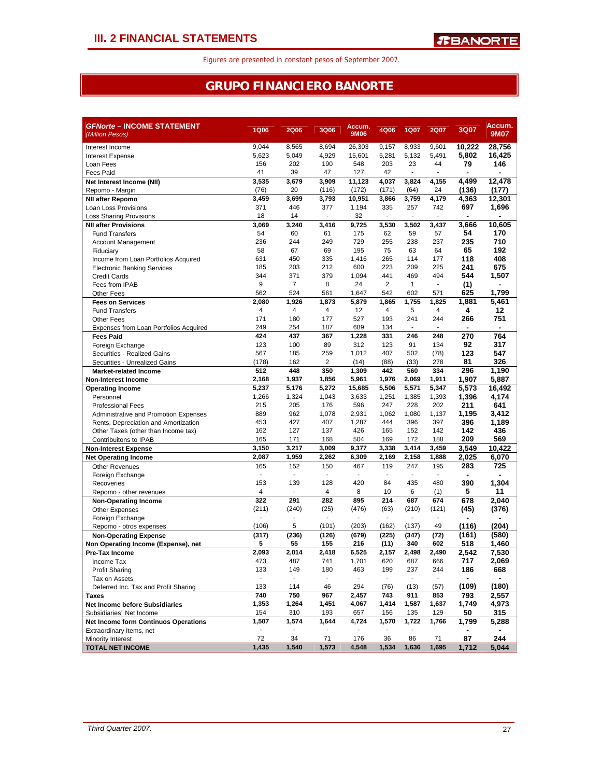### **GRUPO FINANCIERO BANORTE**

| 10.222<br>28,756<br>9.044<br>8,565<br>8,694<br>26,303<br>9,157<br>8,933<br>9,601<br>Interest Income<br>5,049<br>4,929<br>5,281<br>5,132<br>5,802<br>16,425<br>5,623<br>15,601<br>5,491<br><b>Interest Expense</b><br>548<br>203<br>79<br>146<br>156<br>202<br>190<br>23<br>44<br>Loan Fees<br>39<br>47<br>127<br>42<br>41<br><b>Fees Paid</b><br>3,535<br>3,679<br>11,123<br>4,037<br>3,824<br>4,155<br>4,499<br>12.478<br>Net Interest Income (NII)<br>3,909<br>(76)<br>20<br>(116)<br>(172)<br>(171)<br>(64)<br>24<br>(136)<br>(177)<br>Repomo - Margin<br>3,459<br>3,699<br>3,793<br>10,951<br>3,866<br>3,759<br>4,179<br>4,363<br>12,301<br><b>NII after Repomo</b><br>371<br>377<br>1.194<br>335<br>257<br>742<br>697<br>1,696<br>446<br>Loan Loss Provisions<br>32<br>18<br>14<br>÷.<br>÷,<br>÷,<br>$\sim$<br><b>Loss Sharing Provisions</b><br>9,725<br>10,605<br><b>NII after Provisions</b><br>3,069<br>3,240<br>3,416<br>3,530<br>3,502<br>3,437<br>3,666<br>54<br>170<br>54<br>62<br>60<br>61<br>175<br>59<br>57<br><b>Fund Transfers</b><br>236<br>255<br>237<br>235<br>710<br>244<br>249<br>729<br>238<br><b>Account Management</b><br>67<br>195<br>75<br>63<br>65<br>192<br>58<br>69<br>64<br>Fiduciary<br>631<br>450<br>335<br>1,416<br>265<br>118<br>408<br>114<br>177<br>Income from Loan Portfolios Acquired<br>600<br>223<br>209<br>225<br>241<br>675<br>185<br>203<br>212<br><b>Electronic Banking Services</b><br>344<br>1,094<br>441<br>494<br>544<br>1,507<br>371<br>379<br>469<br><b>Credit Cards</b><br>9<br>$\overline{7}$<br>$\overline{2}$<br>8<br>24<br>$\mathbf{1}$<br>$\blacksquare$<br>(1)<br>Fees from IPAB<br>524<br>542<br>602<br>625<br>1,799<br>562<br>561<br>1,647<br>571<br><b>Other Fees</b><br>2,080<br>1,755<br>1,881<br>5,461<br>1,926<br>1,873<br>5,879<br>1,865<br>1,825<br><b>Fees on Services</b><br>4<br>$\overline{4}$<br>4<br>12<br>4<br>5<br>$\overline{4}$<br>4<br>12<br><b>Fund Transfers</b><br>171<br>180<br>177<br>527<br>193<br>241<br>244<br>266<br>751<br><b>Other Fees</b><br>249<br>254<br>187<br>689<br>134<br>Expenses from Loan Portfolios Acquired<br>ä,<br>$\sim$<br>764<br>424<br>437<br>367<br>1,228<br>331<br>246<br>248<br>270<br><b>Fees Paid</b><br>123<br>312<br>123<br>91<br>317<br>100<br>89<br>134<br>92<br>Foreign Exchange<br>567<br>185<br>259<br>1,012<br>407<br>502<br>123<br>547<br>(78)<br>Securities - Realized Gains<br>326<br>(178)<br>162<br>2<br>(14)<br>(88)<br>(33)<br>278<br>81<br>Securities - Unrealized Gains<br>512<br>448<br>350<br>1,309<br>442<br>560<br>334<br>296<br>1,190<br><b>Market-related Income</b><br>2,168<br>1,937<br>1,856<br>5,961<br>1,976<br>2,069<br>1,911<br>1,907<br>5,887<br><b>Non-Interest Income</b><br>5,237<br>5,176<br>5,272<br>15,685<br>5,506<br>5,571<br>5,347<br>5,573<br>16,492<br><b>Operating Income</b><br>1,251<br>1,396<br>4,174<br>1,266<br>1,324<br>1,043<br>3,633<br>1,385<br>1,393<br>Personnel<br>215<br>205<br>176<br>247<br>228<br>202<br>211<br>641<br>596<br><b>Professional Fees</b><br>2,931<br>889<br>962<br>1,078<br>1,062<br>1,080<br>1,137<br>1,195<br>3,412<br>Administrative and Promotion Expenses<br>427<br>407<br>1,287<br>444<br>396<br>397<br>396<br>453<br>1,189<br>Rents, Depreciation and Amortization<br>162<br>127<br>426<br>142<br>142<br>436<br>137<br>165<br>152<br>Other Taxes (other than Income tax)<br>504<br>569<br>165<br>171<br>168<br>169<br>172<br>188<br>209<br>Contribuitons to IPAB<br>3,217<br>3,150<br>9,377<br>3,338<br>3,414<br>3,459<br>3,549<br>10,422<br>3,009<br><b>Non-Interest Expense</b><br>2,087<br>1,959<br>2,262<br>6,309<br>2,169<br>2,158<br>1,888<br>2,025<br>6,070<br><b>Net Operating Income</b><br>283<br>725<br>165<br>152<br>150<br>467<br>119<br>247<br>195<br><b>Other Revenues</b><br>$\mathbf{r}$<br>Foreign Exchange<br>÷<br>÷,<br>÷,<br>÷,<br>÷,<br>390<br>153<br>139<br>128<br>420<br>435<br>480<br>1,304<br>84<br>Recoveries<br>4<br>8<br>10<br>6<br>5<br>11<br>4<br>(1)<br>Repomo - other revenues<br>$\blacksquare$<br>322<br>282<br>895<br>214<br>678<br>2,040<br>291<br>687<br>674<br><b>Non-Operating Income</b><br>(211)<br>(240)<br>(25)<br>(476)<br>(63)<br>(210)<br>(121)<br>(45)<br>(376)<br><b>Other Expenses</b><br>Foreign Exchange<br>5<br>(204)<br>(106)<br>(101)<br>(203)<br>(162)<br>(137)<br>49<br>(116)<br>Repomo - otros expenses<br>(317)<br>(236)<br>(679)<br>(161)<br>(580)<br>(126)<br>(225)<br>(347)<br>(72)<br><b>Non-Operating Expense</b><br>5<br>340<br>55<br>155<br>216<br>(11)<br>602<br>518<br>1,460<br>Non Operating Income (Expense), net<br>2,093<br>2,014<br>2,418<br>6,525<br>2,157<br>2,498<br>2,490<br>2,542<br>7,530<br>Pre-Tax Income<br>473<br>487<br>741<br>1,701<br>620<br>687<br>666<br>717<br>2,069<br>Income Tax<br>149<br>199<br>133<br>180<br>463<br>237<br>244<br>186<br>668<br><b>Profit Sharing</b><br>Tax on Assets<br>$\blacksquare$<br>$\blacksquare$<br>$\blacksquare$<br>$\blacksquare$<br>$\blacksquare$<br>$\blacksquare$<br>$\blacksquare$<br>(180)<br>(109)<br>Deferred Inc. Tax and Profit Sharing<br>133<br>114<br>46<br>294<br>(76)<br>(13)<br>(57)<br>750<br>740<br>967<br>2,457<br>743<br>911<br>853<br>793<br>2,557<br>Taxes<br>1,414<br>4,973<br>1,353<br>1,264<br>1,451<br>4,067<br>1,587<br>1,637<br>1,749<br><b>Net Income before Subsidiaries</b><br>154<br>193<br>129<br>50<br>310<br>657<br>156<br>135<br>315<br>Subsidiaries' Net Income<br>1,507<br>1,574<br>1,644<br>4,724<br>1,570<br>1,722<br>1,766<br>1,799<br>5,288<br>Net Income form Continuos Operations<br>Extraordinary Items, net<br>72<br>34<br>244<br>36<br>86<br>87<br>71<br>176<br>71<br>Minority Interest<br>4,548<br><b>TOTAL NET INCOME</b><br>1,435<br>1,540<br>1,573<br>1,534<br>1,636<br>1,695<br>1,712<br>5,044 | <b>GFNorte - INCOME STATEMENT</b><br>(Million Pesos) | <b>1Q06</b> | <b>2Q06</b> | 3Q06 | Accum.<br>9M06 | 4Q06 | <b>1Q07</b> | <b>2Q07</b> | 3Q07 | Accum.<br><b>9M07</b> |
|----------------------------------------------------------------------------------------------------------------------------------------------------------------------------------------------------------------------------------------------------------------------------------------------------------------------------------------------------------------------------------------------------------------------------------------------------------------------------------------------------------------------------------------------------------------------------------------------------------------------------------------------------------------------------------------------------------------------------------------------------------------------------------------------------------------------------------------------------------------------------------------------------------------------------------------------------------------------------------------------------------------------------------------------------------------------------------------------------------------------------------------------------------------------------------------------------------------------------------------------------------------------------------------------------------------------------------------------------------------------------------------------------------------------------------------------------------------------------------------------------------------------------------------------------------------------------------------------------------------------------------------------------------------------------------------------------------------------------------------------------------------------------------------------------------------------------------------------------------------------------------------------------------------------------------------------------------------------------------------------------------------------------------------------------------------------------------------------------------------------------------------------------------------------------------------------------------------------------------------------------------------------------------------------------------------------------------------------------------------------------------------------------------------------------------------------------------------------------------------------------------------------------------------------------------------------------------------------------------------------------------------------------------------------------------------------------------------------------------------------------------------------------------------------------------------------------------------------------------------------------------------------------------------------------------------------------------------------------------------------------------------------------------------------------------------------------------------------------------------------------------------------------------------------------------------------------------------------------------------------------------------------------------------------------------------------------------------------------------------------------------------------------------------------------------------------------------------------------------------------------------------------------------------------------------------------------------------------------------------------------------------------------------------------------------------------------------------------------------------------------------------------------------------------------------------------------------------------------------------------------------------------------------------------------------------------------------------------------------------------------------------------------------------------------------------------------------------------------------------------------------------------------------------------------------------------------------------------------------------------------------------------------------------------------------------------------------------------------------------------------------------------------------------------------------------------------------------------------------------------------------------------------------------------------------------------------------------------------------------------------------------------------------------------------------------------------------------------------------------------------------------------------------------------------------------------------------------------------------------------------------------------------------------------------------------------------------------------------------------------------------------------------------------------------------------------------------------------------------------------------------------------------------------------------------------------------------------------------------------------------------------------------------------------------------------------------------------------------------------------------------------------------------------------------------------------------------------------------------------------------------------------------------------------------------------------------------------------------------------------------------------------------------------------------------------------------------------------------------------------------------------------------------|------------------------------------------------------|-------------|-------------|------|----------------|------|-------------|-------------|------|-----------------------|
|                                                                                                                                                                                                                                                                                                                                                                                                                                                                                                                                                                                                                                                                                                                                                                                                                                                                                                                                                                                                                                                                                                                                                                                                                                                                                                                                                                                                                                                                                                                                                                                                                                                                                                                                                                                                                                                                                                                                                                                                                                                                                                                                                                                                                                                                                                                                                                                                                                                                                                                                                                                                                                                                                                                                                                                                                                                                                                                                                                                                                                                                                                                                                                                                                                                                                                                                                                                                                                                                                                                                                                                                                                                                                                                                                                                                                                                                                                                                                                                                                                                                                                                                                                                                                                                                                                                                                                                                                                                                                                                                                                                                                                                                                                                                                                                                                                                                                                                                                                                                                                                                                                                                                                                                                                                                                                                                                                                                                                                                                                                                                                                                                                                                                                                                                                                  |                                                      |             |             |      |                |      |             |             |      |                       |
|                                                                                                                                                                                                                                                                                                                                                                                                                                                                                                                                                                                                                                                                                                                                                                                                                                                                                                                                                                                                                                                                                                                                                                                                                                                                                                                                                                                                                                                                                                                                                                                                                                                                                                                                                                                                                                                                                                                                                                                                                                                                                                                                                                                                                                                                                                                                                                                                                                                                                                                                                                                                                                                                                                                                                                                                                                                                                                                                                                                                                                                                                                                                                                                                                                                                                                                                                                                                                                                                                                                                                                                                                                                                                                                                                                                                                                                                                                                                                                                                                                                                                                                                                                                                                                                                                                                                                                                                                                                                                                                                                                                                                                                                                                                                                                                                                                                                                                                                                                                                                                                                                                                                                                                                                                                                                                                                                                                                                                                                                                                                                                                                                                                                                                                                                                                  |                                                      |             |             |      |                |      |             |             |      |                       |
|                                                                                                                                                                                                                                                                                                                                                                                                                                                                                                                                                                                                                                                                                                                                                                                                                                                                                                                                                                                                                                                                                                                                                                                                                                                                                                                                                                                                                                                                                                                                                                                                                                                                                                                                                                                                                                                                                                                                                                                                                                                                                                                                                                                                                                                                                                                                                                                                                                                                                                                                                                                                                                                                                                                                                                                                                                                                                                                                                                                                                                                                                                                                                                                                                                                                                                                                                                                                                                                                                                                                                                                                                                                                                                                                                                                                                                                                                                                                                                                                                                                                                                                                                                                                                                                                                                                                                                                                                                                                                                                                                                                                                                                                                                                                                                                                                                                                                                                                                                                                                                                                                                                                                                                                                                                                                                                                                                                                                                                                                                                                                                                                                                                                                                                                                                                  |                                                      |             |             |      |                |      |             |             |      |                       |
|                                                                                                                                                                                                                                                                                                                                                                                                                                                                                                                                                                                                                                                                                                                                                                                                                                                                                                                                                                                                                                                                                                                                                                                                                                                                                                                                                                                                                                                                                                                                                                                                                                                                                                                                                                                                                                                                                                                                                                                                                                                                                                                                                                                                                                                                                                                                                                                                                                                                                                                                                                                                                                                                                                                                                                                                                                                                                                                                                                                                                                                                                                                                                                                                                                                                                                                                                                                                                                                                                                                                                                                                                                                                                                                                                                                                                                                                                                                                                                                                                                                                                                                                                                                                                                                                                                                                                                                                                                                                                                                                                                                                                                                                                                                                                                                                                                                                                                                                                                                                                                                                                                                                                                                                                                                                                                                                                                                                                                                                                                                                                                                                                                                                                                                                                                                  |                                                      |             |             |      |                |      |             |             |      |                       |
|                                                                                                                                                                                                                                                                                                                                                                                                                                                                                                                                                                                                                                                                                                                                                                                                                                                                                                                                                                                                                                                                                                                                                                                                                                                                                                                                                                                                                                                                                                                                                                                                                                                                                                                                                                                                                                                                                                                                                                                                                                                                                                                                                                                                                                                                                                                                                                                                                                                                                                                                                                                                                                                                                                                                                                                                                                                                                                                                                                                                                                                                                                                                                                                                                                                                                                                                                                                                                                                                                                                                                                                                                                                                                                                                                                                                                                                                                                                                                                                                                                                                                                                                                                                                                                                                                                                                                                                                                                                                                                                                                                                                                                                                                                                                                                                                                                                                                                                                                                                                                                                                                                                                                                                                                                                                                                                                                                                                                                                                                                                                                                                                                                                                                                                                                                                  |                                                      |             |             |      |                |      |             |             |      |                       |
|                                                                                                                                                                                                                                                                                                                                                                                                                                                                                                                                                                                                                                                                                                                                                                                                                                                                                                                                                                                                                                                                                                                                                                                                                                                                                                                                                                                                                                                                                                                                                                                                                                                                                                                                                                                                                                                                                                                                                                                                                                                                                                                                                                                                                                                                                                                                                                                                                                                                                                                                                                                                                                                                                                                                                                                                                                                                                                                                                                                                                                                                                                                                                                                                                                                                                                                                                                                                                                                                                                                                                                                                                                                                                                                                                                                                                                                                                                                                                                                                                                                                                                                                                                                                                                                                                                                                                                                                                                                                                                                                                                                                                                                                                                                                                                                                                                                                                                                                                                                                                                                                                                                                                                                                                                                                                                                                                                                                                                                                                                                                                                                                                                                                                                                                                                                  |                                                      |             |             |      |                |      |             |             |      |                       |
|                                                                                                                                                                                                                                                                                                                                                                                                                                                                                                                                                                                                                                                                                                                                                                                                                                                                                                                                                                                                                                                                                                                                                                                                                                                                                                                                                                                                                                                                                                                                                                                                                                                                                                                                                                                                                                                                                                                                                                                                                                                                                                                                                                                                                                                                                                                                                                                                                                                                                                                                                                                                                                                                                                                                                                                                                                                                                                                                                                                                                                                                                                                                                                                                                                                                                                                                                                                                                                                                                                                                                                                                                                                                                                                                                                                                                                                                                                                                                                                                                                                                                                                                                                                                                                                                                                                                                                                                                                                                                                                                                                                                                                                                                                                                                                                                                                                                                                                                                                                                                                                                                                                                                                                                                                                                                                                                                                                                                                                                                                                                                                                                                                                                                                                                                                                  |                                                      |             |             |      |                |      |             |             |      |                       |
|                                                                                                                                                                                                                                                                                                                                                                                                                                                                                                                                                                                                                                                                                                                                                                                                                                                                                                                                                                                                                                                                                                                                                                                                                                                                                                                                                                                                                                                                                                                                                                                                                                                                                                                                                                                                                                                                                                                                                                                                                                                                                                                                                                                                                                                                                                                                                                                                                                                                                                                                                                                                                                                                                                                                                                                                                                                                                                                                                                                                                                                                                                                                                                                                                                                                                                                                                                                                                                                                                                                                                                                                                                                                                                                                                                                                                                                                                                                                                                                                                                                                                                                                                                                                                                                                                                                                                                                                                                                                                                                                                                                                                                                                                                                                                                                                                                                                                                                                                                                                                                                                                                                                                                                                                                                                                                                                                                                                                                                                                                                                                                                                                                                                                                                                                                                  |                                                      |             |             |      |                |      |             |             |      |                       |
|                                                                                                                                                                                                                                                                                                                                                                                                                                                                                                                                                                                                                                                                                                                                                                                                                                                                                                                                                                                                                                                                                                                                                                                                                                                                                                                                                                                                                                                                                                                                                                                                                                                                                                                                                                                                                                                                                                                                                                                                                                                                                                                                                                                                                                                                                                                                                                                                                                                                                                                                                                                                                                                                                                                                                                                                                                                                                                                                                                                                                                                                                                                                                                                                                                                                                                                                                                                                                                                                                                                                                                                                                                                                                                                                                                                                                                                                                                                                                                                                                                                                                                                                                                                                                                                                                                                                                                                                                                                                                                                                                                                                                                                                                                                                                                                                                                                                                                                                                                                                                                                                                                                                                                                                                                                                                                                                                                                                                                                                                                                                                                                                                                                                                                                                                                                  |                                                      |             |             |      |                |      |             |             |      |                       |
|                                                                                                                                                                                                                                                                                                                                                                                                                                                                                                                                                                                                                                                                                                                                                                                                                                                                                                                                                                                                                                                                                                                                                                                                                                                                                                                                                                                                                                                                                                                                                                                                                                                                                                                                                                                                                                                                                                                                                                                                                                                                                                                                                                                                                                                                                                                                                                                                                                                                                                                                                                                                                                                                                                                                                                                                                                                                                                                                                                                                                                                                                                                                                                                                                                                                                                                                                                                                                                                                                                                                                                                                                                                                                                                                                                                                                                                                                                                                                                                                                                                                                                                                                                                                                                                                                                                                                                                                                                                                                                                                                                                                                                                                                                                                                                                                                                                                                                                                                                                                                                                                                                                                                                                                                                                                                                                                                                                                                                                                                                                                                                                                                                                                                                                                                                                  |                                                      |             |             |      |                |      |             |             |      |                       |
|                                                                                                                                                                                                                                                                                                                                                                                                                                                                                                                                                                                                                                                                                                                                                                                                                                                                                                                                                                                                                                                                                                                                                                                                                                                                                                                                                                                                                                                                                                                                                                                                                                                                                                                                                                                                                                                                                                                                                                                                                                                                                                                                                                                                                                                                                                                                                                                                                                                                                                                                                                                                                                                                                                                                                                                                                                                                                                                                                                                                                                                                                                                                                                                                                                                                                                                                                                                                                                                                                                                                                                                                                                                                                                                                                                                                                                                                                                                                                                                                                                                                                                                                                                                                                                                                                                                                                                                                                                                                                                                                                                                                                                                                                                                                                                                                                                                                                                                                                                                                                                                                                                                                                                                                                                                                                                                                                                                                                                                                                                                                                                                                                                                                                                                                                                                  |                                                      |             |             |      |                |      |             |             |      |                       |
|                                                                                                                                                                                                                                                                                                                                                                                                                                                                                                                                                                                                                                                                                                                                                                                                                                                                                                                                                                                                                                                                                                                                                                                                                                                                                                                                                                                                                                                                                                                                                                                                                                                                                                                                                                                                                                                                                                                                                                                                                                                                                                                                                                                                                                                                                                                                                                                                                                                                                                                                                                                                                                                                                                                                                                                                                                                                                                                                                                                                                                                                                                                                                                                                                                                                                                                                                                                                                                                                                                                                                                                                                                                                                                                                                                                                                                                                                                                                                                                                                                                                                                                                                                                                                                                                                                                                                                                                                                                                                                                                                                                                                                                                                                                                                                                                                                                                                                                                                                                                                                                                                                                                                                                                                                                                                                                                                                                                                                                                                                                                                                                                                                                                                                                                                                                  |                                                      |             |             |      |                |      |             |             |      |                       |
|                                                                                                                                                                                                                                                                                                                                                                                                                                                                                                                                                                                                                                                                                                                                                                                                                                                                                                                                                                                                                                                                                                                                                                                                                                                                                                                                                                                                                                                                                                                                                                                                                                                                                                                                                                                                                                                                                                                                                                                                                                                                                                                                                                                                                                                                                                                                                                                                                                                                                                                                                                                                                                                                                                                                                                                                                                                                                                                                                                                                                                                                                                                                                                                                                                                                                                                                                                                                                                                                                                                                                                                                                                                                                                                                                                                                                                                                                                                                                                                                                                                                                                                                                                                                                                                                                                                                                                                                                                                                                                                                                                                                                                                                                                                                                                                                                                                                                                                                                                                                                                                                                                                                                                                                                                                                                                                                                                                                                                                                                                                                                                                                                                                                                                                                                                                  |                                                      |             |             |      |                |      |             |             |      |                       |
|                                                                                                                                                                                                                                                                                                                                                                                                                                                                                                                                                                                                                                                                                                                                                                                                                                                                                                                                                                                                                                                                                                                                                                                                                                                                                                                                                                                                                                                                                                                                                                                                                                                                                                                                                                                                                                                                                                                                                                                                                                                                                                                                                                                                                                                                                                                                                                                                                                                                                                                                                                                                                                                                                                                                                                                                                                                                                                                                                                                                                                                                                                                                                                                                                                                                                                                                                                                                                                                                                                                                                                                                                                                                                                                                                                                                                                                                                                                                                                                                                                                                                                                                                                                                                                                                                                                                                                                                                                                                                                                                                                                                                                                                                                                                                                                                                                                                                                                                                                                                                                                                                                                                                                                                                                                                                                                                                                                                                                                                                                                                                                                                                                                                                                                                                                                  |                                                      |             |             |      |                |      |             |             |      |                       |
|                                                                                                                                                                                                                                                                                                                                                                                                                                                                                                                                                                                                                                                                                                                                                                                                                                                                                                                                                                                                                                                                                                                                                                                                                                                                                                                                                                                                                                                                                                                                                                                                                                                                                                                                                                                                                                                                                                                                                                                                                                                                                                                                                                                                                                                                                                                                                                                                                                                                                                                                                                                                                                                                                                                                                                                                                                                                                                                                                                                                                                                                                                                                                                                                                                                                                                                                                                                                                                                                                                                                                                                                                                                                                                                                                                                                                                                                                                                                                                                                                                                                                                                                                                                                                                                                                                                                                                                                                                                                                                                                                                                                                                                                                                                                                                                                                                                                                                                                                                                                                                                                                                                                                                                                                                                                                                                                                                                                                                                                                                                                                                                                                                                                                                                                                                                  |                                                      |             |             |      |                |      |             |             |      |                       |
|                                                                                                                                                                                                                                                                                                                                                                                                                                                                                                                                                                                                                                                                                                                                                                                                                                                                                                                                                                                                                                                                                                                                                                                                                                                                                                                                                                                                                                                                                                                                                                                                                                                                                                                                                                                                                                                                                                                                                                                                                                                                                                                                                                                                                                                                                                                                                                                                                                                                                                                                                                                                                                                                                                                                                                                                                                                                                                                                                                                                                                                                                                                                                                                                                                                                                                                                                                                                                                                                                                                                                                                                                                                                                                                                                                                                                                                                                                                                                                                                                                                                                                                                                                                                                                                                                                                                                                                                                                                                                                                                                                                                                                                                                                                                                                                                                                                                                                                                                                                                                                                                                                                                                                                                                                                                                                                                                                                                                                                                                                                                                                                                                                                                                                                                                                                  |                                                      |             |             |      |                |      |             |             |      |                       |
|                                                                                                                                                                                                                                                                                                                                                                                                                                                                                                                                                                                                                                                                                                                                                                                                                                                                                                                                                                                                                                                                                                                                                                                                                                                                                                                                                                                                                                                                                                                                                                                                                                                                                                                                                                                                                                                                                                                                                                                                                                                                                                                                                                                                                                                                                                                                                                                                                                                                                                                                                                                                                                                                                                                                                                                                                                                                                                                                                                                                                                                                                                                                                                                                                                                                                                                                                                                                                                                                                                                                                                                                                                                                                                                                                                                                                                                                                                                                                                                                                                                                                                                                                                                                                                                                                                                                                                                                                                                                                                                                                                                                                                                                                                                                                                                                                                                                                                                                                                                                                                                                                                                                                                                                                                                                                                                                                                                                                                                                                                                                                                                                                                                                                                                                                                                  |                                                      |             |             |      |                |      |             |             |      |                       |
|                                                                                                                                                                                                                                                                                                                                                                                                                                                                                                                                                                                                                                                                                                                                                                                                                                                                                                                                                                                                                                                                                                                                                                                                                                                                                                                                                                                                                                                                                                                                                                                                                                                                                                                                                                                                                                                                                                                                                                                                                                                                                                                                                                                                                                                                                                                                                                                                                                                                                                                                                                                                                                                                                                                                                                                                                                                                                                                                                                                                                                                                                                                                                                                                                                                                                                                                                                                                                                                                                                                                                                                                                                                                                                                                                                                                                                                                                                                                                                                                                                                                                                                                                                                                                                                                                                                                                                                                                                                                                                                                                                                                                                                                                                                                                                                                                                                                                                                                                                                                                                                                                                                                                                                                                                                                                                                                                                                                                                                                                                                                                                                                                                                                                                                                                                                  |                                                      |             |             |      |                |      |             |             |      |                       |
|                                                                                                                                                                                                                                                                                                                                                                                                                                                                                                                                                                                                                                                                                                                                                                                                                                                                                                                                                                                                                                                                                                                                                                                                                                                                                                                                                                                                                                                                                                                                                                                                                                                                                                                                                                                                                                                                                                                                                                                                                                                                                                                                                                                                                                                                                                                                                                                                                                                                                                                                                                                                                                                                                                                                                                                                                                                                                                                                                                                                                                                                                                                                                                                                                                                                                                                                                                                                                                                                                                                                                                                                                                                                                                                                                                                                                                                                                                                                                                                                                                                                                                                                                                                                                                                                                                                                                                                                                                                                                                                                                                                                                                                                                                                                                                                                                                                                                                                                                                                                                                                                                                                                                                                                                                                                                                                                                                                                                                                                                                                                                                                                                                                                                                                                                                                  |                                                      |             |             |      |                |      |             |             |      |                       |
|                                                                                                                                                                                                                                                                                                                                                                                                                                                                                                                                                                                                                                                                                                                                                                                                                                                                                                                                                                                                                                                                                                                                                                                                                                                                                                                                                                                                                                                                                                                                                                                                                                                                                                                                                                                                                                                                                                                                                                                                                                                                                                                                                                                                                                                                                                                                                                                                                                                                                                                                                                                                                                                                                                                                                                                                                                                                                                                                                                                                                                                                                                                                                                                                                                                                                                                                                                                                                                                                                                                                                                                                                                                                                                                                                                                                                                                                                                                                                                                                                                                                                                                                                                                                                                                                                                                                                                                                                                                                                                                                                                                                                                                                                                                                                                                                                                                                                                                                                                                                                                                                                                                                                                                                                                                                                                                                                                                                                                                                                                                                                                                                                                                                                                                                                                                  |                                                      |             |             |      |                |      |             |             |      |                       |
|                                                                                                                                                                                                                                                                                                                                                                                                                                                                                                                                                                                                                                                                                                                                                                                                                                                                                                                                                                                                                                                                                                                                                                                                                                                                                                                                                                                                                                                                                                                                                                                                                                                                                                                                                                                                                                                                                                                                                                                                                                                                                                                                                                                                                                                                                                                                                                                                                                                                                                                                                                                                                                                                                                                                                                                                                                                                                                                                                                                                                                                                                                                                                                                                                                                                                                                                                                                                                                                                                                                                                                                                                                                                                                                                                                                                                                                                                                                                                                                                                                                                                                                                                                                                                                                                                                                                                                                                                                                                                                                                                                                                                                                                                                                                                                                                                                                                                                                                                                                                                                                                                                                                                                                                                                                                                                                                                                                                                                                                                                                                                                                                                                                                                                                                                                                  |                                                      |             |             |      |                |      |             |             |      |                       |
|                                                                                                                                                                                                                                                                                                                                                                                                                                                                                                                                                                                                                                                                                                                                                                                                                                                                                                                                                                                                                                                                                                                                                                                                                                                                                                                                                                                                                                                                                                                                                                                                                                                                                                                                                                                                                                                                                                                                                                                                                                                                                                                                                                                                                                                                                                                                                                                                                                                                                                                                                                                                                                                                                                                                                                                                                                                                                                                                                                                                                                                                                                                                                                                                                                                                                                                                                                                                                                                                                                                                                                                                                                                                                                                                                                                                                                                                                                                                                                                                                                                                                                                                                                                                                                                                                                                                                                                                                                                                                                                                                                                                                                                                                                                                                                                                                                                                                                                                                                                                                                                                                                                                                                                                                                                                                                                                                                                                                                                                                                                                                                                                                                                                                                                                                                                  |                                                      |             |             |      |                |      |             |             |      |                       |
|                                                                                                                                                                                                                                                                                                                                                                                                                                                                                                                                                                                                                                                                                                                                                                                                                                                                                                                                                                                                                                                                                                                                                                                                                                                                                                                                                                                                                                                                                                                                                                                                                                                                                                                                                                                                                                                                                                                                                                                                                                                                                                                                                                                                                                                                                                                                                                                                                                                                                                                                                                                                                                                                                                                                                                                                                                                                                                                                                                                                                                                                                                                                                                                                                                                                                                                                                                                                                                                                                                                                                                                                                                                                                                                                                                                                                                                                                                                                                                                                                                                                                                                                                                                                                                                                                                                                                                                                                                                                                                                                                                                                                                                                                                                                                                                                                                                                                                                                                                                                                                                                                                                                                                                                                                                                                                                                                                                                                                                                                                                                                                                                                                                                                                                                                                                  |                                                      |             |             |      |                |      |             |             |      |                       |
|                                                                                                                                                                                                                                                                                                                                                                                                                                                                                                                                                                                                                                                                                                                                                                                                                                                                                                                                                                                                                                                                                                                                                                                                                                                                                                                                                                                                                                                                                                                                                                                                                                                                                                                                                                                                                                                                                                                                                                                                                                                                                                                                                                                                                                                                                                                                                                                                                                                                                                                                                                                                                                                                                                                                                                                                                                                                                                                                                                                                                                                                                                                                                                                                                                                                                                                                                                                                                                                                                                                                                                                                                                                                                                                                                                                                                                                                                                                                                                                                                                                                                                                                                                                                                                                                                                                                                                                                                                                                                                                                                                                                                                                                                                                                                                                                                                                                                                                                                                                                                                                                                                                                                                                                                                                                                                                                                                                                                                                                                                                                                                                                                                                                                                                                                                                  |                                                      |             |             |      |                |      |             |             |      |                       |
|                                                                                                                                                                                                                                                                                                                                                                                                                                                                                                                                                                                                                                                                                                                                                                                                                                                                                                                                                                                                                                                                                                                                                                                                                                                                                                                                                                                                                                                                                                                                                                                                                                                                                                                                                                                                                                                                                                                                                                                                                                                                                                                                                                                                                                                                                                                                                                                                                                                                                                                                                                                                                                                                                                                                                                                                                                                                                                                                                                                                                                                                                                                                                                                                                                                                                                                                                                                                                                                                                                                                                                                                                                                                                                                                                                                                                                                                                                                                                                                                                                                                                                                                                                                                                                                                                                                                                                                                                                                                                                                                                                                                                                                                                                                                                                                                                                                                                                                                                                                                                                                                                                                                                                                                                                                                                                                                                                                                                                                                                                                                                                                                                                                                                                                                                                                  |                                                      |             |             |      |                |      |             |             |      |                       |
|                                                                                                                                                                                                                                                                                                                                                                                                                                                                                                                                                                                                                                                                                                                                                                                                                                                                                                                                                                                                                                                                                                                                                                                                                                                                                                                                                                                                                                                                                                                                                                                                                                                                                                                                                                                                                                                                                                                                                                                                                                                                                                                                                                                                                                                                                                                                                                                                                                                                                                                                                                                                                                                                                                                                                                                                                                                                                                                                                                                                                                                                                                                                                                                                                                                                                                                                                                                                                                                                                                                                                                                                                                                                                                                                                                                                                                                                                                                                                                                                                                                                                                                                                                                                                                                                                                                                                                                                                                                                                                                                                                                                                                                                                                                                                                                                                                                                                                                                                                                                                                                                                                                                                                                                                                                                                                                                                                                                                                                                                                                                                                                                                                                                                                                                                                                  |                                                      |             |             |      |                |      |             |             |      |                       |
|                                                                                                                                                                                                                                                                                                                                                                                                                                                                                                                                                                                                                                                                                                                                                                                                                                                                                                                                                                                                                                                                                                                                                                                                                                                                                                                                                                                                                                                                                                                                                                                                                                                                                                                                                                                                                                                                                                                                                                                                                                                                                                                                                                                                                                                                                                                                                                                                                                                                                                                                                                                                                                                                                                                                                                                                                                                                                                                                                                                                                                                                                                                                                                                                                                                                                                                                                                                                                                                                                                                                                                                                                                                                                                                                                                                                                                                                                                                                                                                                                                                                                                                                                                                                                                                                                                                                                                                                                                                                                                                                                                                                                                                                                                                                                                                                                                                                                                                                                                                                                                                                                                                                                                                                                                                                                                                                                                                                                                                                                                                                                                                                                                                                                                                                                                                  |                                                      |             |             |      |                |      |             |             |      |                       |
|                                                                                                                                                                                                                                                                                                                                                                                                                                                                                                                                                                                                                                                                                                                                                                                                                                                                                                                                                                                                                                                                                                                                                                                                                                                                                                                                                                                                                                                                                                                                                                                                                                                                                                                                                                                                                                                                                                                                                                                                                                                                                                                                                                                                                                                                                                                                                                                                                                                                                                                                                                                                                                                                                                                                                                                                                                                                                                                                                                                                                                                                                                                                                                                                                                                                                                                                                                                                                                                                                                                                                                                                                                                                                                                                                                                                                                                                                                                                                                                                                                                                                                                                                                                                                                                                                                                                                                                                                                                                                                                                                                                                                                                                                                                                                                                                                                                                                                                                                                                                                                                                                                                                                                                                                                                                                                                                                                                                                                                                                                                                                                                                                                                                                                                                                                                  |                                                      |             |             |      |                |      |             |             |      |                       |
|                                                                                                                                                                                                                                                                                                                                                                                                                                                                                                                                                                                                                                                                                                                                                                                                                                                                                                                                                                                                                                                                                                                                                                                                                                                                                                                                                                                                                                                                                                                                                                                                                                                                                                                                                                                                                                                                                                                                                                                                                                                                                                                                                                                                                                                                                                                                                                                                                                                                                                                                                                                                                                                                                                                                                                                                                                                                                                                                                                                                                                                                                                                                                                                                                                                                                                                                                                                                                                                                                                                                                                                                                                                                                                                                                                                                                                                                                                                                                                                                                                                                                                                                                                                                                                                                                                                                                                                                                                                                                                                                                                                                                                                                                                                                                                                                                                                                                                                                                                                                                                                                                                                                                                                                                                                                                                                                                                                                                                                                                                                                                                                                                                                                                                                                                                                  |                                                      |             |             |      |                |      |             |             |      |                       |
|                                                                                                                                                                                                                                                                                                                                                                                                                                                                                                                                                                                                                                                                                                                                                                                                                                                                                                                                                                                                                                                                                                                                                                                                                                                                                                                                                                                                                                                                                                                                                                                                                                                                                                                                                                                                                                                                                                                                                                                                                                                                                                                                                                                                                                                                                                                                                                                                                                                                                                                                                                                                                                                                                                                                                                                                                                                                                                                                                                                                                                                                                                                                                                                                                                                                                                                                                                                                                                                                                                                                                                                                                                                                                                                                                                                                                                                                                                                                                                                                                                                                                                                                                                                                                                                                                                                                                                                                                                                                                                                                                                                                                                                                                                                                                                                                                                                                                                                                                                                                                                                                                                                                                                                                                                                                                                                                                                                                                                                                                                                                                                                                                                                                                                                                                                                  |                                                      |             |             |      |                |      |             |             |      |                       |
|                                                                                                                                                                                                                                                                                                                                                                                                                                                                                                                                                                                                                                                                                                                                                                                                                                                                                                                                                                                                                                                                                                                                                                                                                                                                                                                                                                                                                                                                                                                                                                                                                                                                                                                                                                                                                                                                                                                                                                                                                                                                                                                                                                                                                                                                                                                                                                                                                                                                                                                                                                                                                                                                                                                                                                                                                                                                                                                                                                                                                                                                                                                                                                                                                                                                                                                                                                                                                                                                                                                                                                                                                                                                                                                                                                                                                                                                                                                                                                                                                                                                                                                                                                                                                                                                                                                                                                                                                                                                                                                                                                                                                                                                                                                                                                                                                                                                                                                                                                                                                                                                                                                                                                                                                                                                                                                                                                                                                                                                                                                                                                                                                                                                                                                                                                                  |                                                      |             |             |      |                |      |             |             |      |                       |
|                                                                                                                                                                                                                                                                                                                                                                                                                                                                                                                                                                                                                                                                                                                                                                                                                                                                                                                                                                                                                                                                                                                                                                                                                                                                                                                                                                                                                                                                                                                                                                                                                                                                                                                                                                                                                                                                                                                                                                                                                                                                                                                                                                                                                                                                                                                                                                                                                                                                                                                                                                                                                                                                                                                                                                                                                                                                                                                                                                                                                                                                                                                                                                                                                                                                                                                                                                                                                                                                                                                                                                                                                                                                                                                                                                                                                                                                                                                                                                                                                                                                                                                                                                                                                                                                                                                                                                                                                                                                                                                                                                                                                                                                                                                                                                                                                                                                                                                                                                                                                                                                                                                                                                                                                                                                                                                                                                                                                                                                                                                                                                                                                                                                                                                                                                                  |                                                      |             |             |      |                |      |             |             |      |                       |
|                                                                                                                                                                                                                                                                                                                                                                                                                                                                                                                                                                                                                                                                                                                                                                                                                                                                                                                                                                                                                                                                                                                                                                                                                                                                                                                                                                                                                                                                                                                                                                                                                                                                                                                                                                                                                                                                                                                                                                                                                                                                                                                                                                                                                                                                                                                                                                                                                                                                                                                                                                                                                                                                                                                                                                                                                                                                                                                                                                                                                                                                                                                                                                                                                                                                                                                                                                                                                                                                                                                                                                                                                                                                                                                                                                                                                                                                                                                                                                                                                                                                                                                                                                                                                                                                                                                                                                                                                                                                                                                                                                                                                                                                                                                                                                                                                                                                                                                                                                                                                                                                                                                                                                                                                                                                                                                                                                                                                                                                                                                                                                                                                                                                                                                                                                                  |                                                      |             |             |      |                |      |             |             |      |                       |
|                                                                                                                                                                                                                                                                                                                                                                                                                                                                                                                                                                                                                                                                                                                                                                                                                                                                                                                                                                                                                                                                                                                                                                                                                                                                                                                                                                                                                                                                                                                                                                                                                                                                                                                                                                                                                                                                                                                                                                                                                                                                                                                                                                                                                                                                                                                                                                                                                                                                                                                                                                                                                                                                                                                                                                                                                                                                                                                                                                                                                                                                                                                                                                                                                                                                                                                                                                                                                                                                                                                                                                                                                                                                                                                                                                                                                                                                                                                                                                                                                                                                                                                                                                                                                                                                                                                                                                                                                                                                                                                                                                                                                                                                                                                                                                                                                                                                                                                                                                                                                                                                                                                                                                                                                                                                                                                                                                                                                                                                                                                                                                                                                                                                                                                                                                                  |                                                      |             |             |      |                |      |             |             |      |                       |
|                                                                                                                                                                                                                                                                                                                                                                                                                                                                                                                                                                                                                                                                                                                                                                                                                                                                                                                                                                                                                                                                                                                                                                                                                                                                                                                                                                                                                                                                                                                                                                                                                                                                                                                                                                                                                                                                                                                                                                                                                                                                                                                                                                                                                                                                                                                                                                                                                                                                                                                                                                                                                                                                                                                                                                                                                                                                                                                                                                                                                                                                                                                                                                                                                                                                                                                                                                                                                                                                                                                                                                                                                                                                                                                                                                                                                                                                                                                                                                                                                                                                                                                                                                                                                                                                                                                                                                                                                                                                                                                                                                                                                                                                                                                                                                                                                                                                                                                                                                                                                                                                                                                                                                                                                                                                                                                                                                                                                                                                                                                                                                                                                                                                                                                                                                                  |                                                      |             |             |      |                |      |             |             |      |                       |
|                                                                                                                                                                                                                                                                                                                                                                                                                                                                                                                                                                                                                                                                                                                                                                                                                                                                                                                                                                                                                                                                                                                                                                                                                                                                                                                                                                                                                                                                                                                                                                                                                                                                                                                                                                                                                                                                                                                                                                                                                                                                                                                                                                                                                                                                                                                                                                                                                                                                                                                                                                                                                                                                                                                                                                                                                                                                                                                                                                                                                                                                                                                                                                                                                                                                                                                                                                                                                                                                                                                                                                                                                                                                                                                                                                                                                                                                                                                                                                                                                                                                                                                                                                                                                                                                                                                                                                                                                                                                                                                                                                                                                                                                                                                                                                                                                                                                                                                                                                                                                                                                                                                                                                                                                                                                                                                                                                                                                                                                                                                                                                                                                                                                                                                                                                                  |                                                      |             |             |      |                |      |             |             |      |                       |
|                                                                                                                                                                                                                                                                                                                                                                                                                                                                                                                                                                                                                                                                                                                                                                                                                                                                                                                                                                                                                                                                                                                                                                                                                                                                                                                                                                                                                                                                                                                                                                                                                                                                                                                                                                                                                                                                                                                                                                                                                                                                                                                                                                                                                                                                                                                                                                                                                                                                                                                                                                                                                                                                                                                                                                                                                                                                                                                                                                                                                                                                                                                                                                                                                                                                                                                                                                                                                                                                                                                                                                                                                                                                                                                                                                                                                                                                                                                                                                                                                                                                                                                                                                                                                                                                                                                                                                                                                                                                                                                                                                                                                                                                                                                                                                                                                                                                                                                                                                                                                                                                                                                                                                                                                                                                                                                                                                                                                                                                                                                                                                                                                                                                                                                                                                                  |                                                      |             |             |      |                |      |             |             |      |                       |
|                                                                                                                                                                                                                                                                                                                                                                                                                                                                                                                                                                                                                                                                                                                                                                                                                                                                                                                                                                                                                                                                                                                                                                                                                                                                                                                                                                                                                                                                                                                                                                                                                                                                                                                                                                                                                                                                                                                                                                                                                                                                                                                                                                                                                                                                                                                                                                                                                                                                                                                                                                                                                                                                                                                                                                                                                                                                                                                                                                                                                                                                                                                                                                                                                                                                                                                                                                                                                                                                                                                                                                                                                                                                                                                                                                                                                                                                                                                                                                                                                                                                                                                                                                                                                                                                                                                                                                                                                                                                                                                                                                                                                                                                                                                                                                                                                                                                                                                                                                                                                                                                                                                                                                                                                                                                                                                                                                                                                                                                                                                                                                                                                                                                                                                                                                                  |                                                      |             |             |      |                |      |             |             |      |                       |
|                                                                                                                                                                                                                                                                                                                                                                                                                                                                                                                                                                                                                                                                                                                                                                                                                                                                                                                                                                                                                                                                                                                                                                                                                                                                                                                                                                                                                                                                                                                                                                                                                                                                                                                                                                                                                                                                                                                                                                                                                                                                                                                                                                                                                                                                                                                                                                                                                                                                                                                                                                                                                                                                                                                                                                                                                                                                                                                                                                                                                                                                                                                                                                                                                                                                                                                                                                                                                                                                                                                                                                                                                                                                                                                                                                                                                                                                                                                                                                                                                                                                                                                                                                                                                                                                                                                                                                                                                                                                                                                                                                                                                                                                                                                                                                                                                                                                                                                                                                                                                                                                                                                                                                                                                                                                                                                                                                                                                                                                                                                                                                                                                                                                                                                                                                                  |                                                      |             |             |      |                |      |             |             |      |                       |
|                                                                                                                                                                                                                                                                                                                                                                                                                                                                                                                                                                                                                                                                                                                                                                                                                                                                                                                                                                                                                                                                                                                                                                                                                                                                                                                                                                                                                                                                                                                                                                                                                                                                                                                                                                                                                                                                                                                                                                                                                                                                                                                                                                                                                                                                                                                                                                                                                                                                                                                                                                                                                                                                                                                                                                                                                                                                                                                                                                                                                                                                                                                                                                                                                                                                                                                                                                                                                                                                                                                                                                                                                                                                                                                                                                                                                                                                                                                                                                                                                                                                                                                                                                                                                                                                                                                                                                                                                                                                                                                                                                                                                                                                                                                                                                                                                                                                                                                                                                                                                                                                                                                                                                                                                                                                                                                                                                                                                                                                                                                                                                                                                                                                                                                                                                                  |                                                      |             |             |      |                |      |             |             |      |                       |
|                                                                                                                                                                                                                                                                                                                                                                                                                                                                                                                                                                                                                                                                                                                                                                                                                                                                                                                                                                                                                                                                                                                                                                                                                                                                                                                                                                                                                                                                                                                                                                                                                                                                                                                                                                                                                                                                                                                                                                                                                                                                                                                                                                                                                                                                                                                                                                                                                                                                                                                                                                                                                                                                                                                                                                                                                                                                                                                                                                                                                                                                                                                                                                                                                                                                                                                                                                                                                                                                                                                                                                                                                                                                                                                                                                                                                                                                                                                                                                                                                                                                                                                                                                                                                                                                                                                                                                                                                                                                                                                                                                                                                                                                                                                                                                                                                                                                                                                                                                                                                                                                                                                                                                                                                                                                                                                                                                                                                                                                                                                                                                                                                                                                                                                                                                                  |                                                      |             |             |      |                |      |             |             |      |                       |
|                                                                                                                                                                                                                                                                                                                                                                                                                                                                                                                                                                                                                                                                                                                                                                                                                                                                                                                                                                                                                                                                                                                                                                                                                                                                                                                                                                                                                                                                                                                                                                                                                                                                                                                                                                                                                                                                                                                                                                                                                                                                                                                                                                                                                                                                                                                                                                                                                                                                                                                                                                                                                                                                                                                                                                                                                                                                                                                                                                                                                                                                                                                                                                                                                                                                                                                                                                                                                                                                                                                                                                                                                                                                                                                                                                                                                                                                                                                                                                                                                                                                                                                                                                                                                                                                                                                                                                                                                                                                                                                                                                                                                                                                                                                                                                                                                                                                                                                                                                                                                                                                                                                                                                                                                                                                                                                                                                                                                                                                                                                                                                                                                                                                                                                                                                                  |                                                      |             |             |      |                |      |             |             |      |                       |
|                                                                                                                                                                                                                                                                                                                                                                                                                                                                                                                                                                                                                                                                                                                                                                                                                                                                                                                                                                                                                                                                                                                                                                                                                                                                                                                                                                                                                                                                                                                                                                                                                                                                                                                                                                                                                                                                                                                                                                                                                                                                                                                                                                                                                                                                                                                                                                                                                                                                                                                                                                                                                                                                                                                                                                                                                                                                                                                                                                                                                                                                                                                                                                                                                                                                                                                                                                                                                                                                                                                                                                                                                                                                                                                                                                                                                                                                                                                                                                                                                                                                                                                                                                                                                                                                                                                                                                                                                                                                                                                                                                                                                                                                                                                                                                                                                                                                                                                                                                                                                                                                                                                                                                                                                                                                                                                                                                                                                                                                                                                                                                                                                                                                                                                                                                                  |                                                      |             |             |      |                |      |             |             |      |                       |
|                                                                                                                                                                                                                                                                                                                                                                                                                                                                                                                                                                                                                                                                                                                                                                                                                                                                                                                                                                                                                                                                                                                                                                                                                                                                                                                                                                                                                                                                                                                                                                                                                                                                                                                                                                                                                                                                                                                                                                                                                                                                                                                                                                                                                                                                                                                                                                                                                                                                                                                                                                                                                                                                                                                                                                                                                                                                                                                                                                                                                                                                                                                                                                                                                                                                                                                                                                                                                                                                                                                                                                                                                                                                                                                                                                                                                                                                                                                                                                                                                                                                                                                                                                                                                                                                                                                                                                                                                                                                                                                                                                                                                                                                                                                                                                                                                                                                                                                                                                                                                                                                                                                                                                                                                                                                                                                                                                                                                                                                                                                                                                                                                                                                                                                                                                                  |                                                      |             |             |      |                |      |             |             |      |                       |
|                                                                                                                                                                                                                                                                                                                                                                                                                                                                                                                                                                                                                                                                                                                                                                                                                                                                                                                                                                                                                                                                                                                                                                                                                                                                                                                                                                                                                                                                                                                                                                                                                                                                                                                                                                                                                                                                                                                                                                                                                                                                                                                                                                                                                                                                                                                                                                                                                                                                                                                                                                                                                                                                                                                                                                                                                                                                                                                                                                                                                                                                                                                                                                                                                                                                                                                                                                                                                                                                                                                                                                                                                                                                                                                                                                                                                                                                                                                                                                                                                                                                                                                                                                                                                                                                                                                                                                                                                                                                                                                                                                                                                                                                                                                                                                                                                                                                                                                                                                                                                                                                                                                                                                                                                                                                                                                                                                                                                                                                                                                                                                                                                                                                                                                                                                                  |                                                      |             |             |      |                |      |             |             |      |                       |
|                                                                                                                                                                                                                                                                                                                                                                                                                                                                                                                                                                                                                                                                                                                                                                                                                                                                                                                                                                                                                                                                                                                                                                                                                                                                                                                                                                                                                                                                                                                                                                                                                                                                                                                                                                                                                                                                                                                                                                                                                                                                                                                                                                                                                                                                                                                                                                                                                                                                                                                                                                                                                                                                                                                                                                                                                                                                                                                                                                                                                                                                                                                                                                                                                                                                                                                                                                                                                                                                                                                                                                                                                                                                                                                                                                                                                                                                                                                                                                                                                                                                                                                                                                                                                                                                                                                                                                                                                                                                                                                                                                                                                                                                                                                                                                                                                                                                                                                                                                                                                                                                                                                                                                                                                                                                                                                                                                                                                                                                                                                                                                                                                                                                                                                                                                                  |                                                      |             |             |      |                |      |             |             |      |                       |
|                                                                                                                                                                                                                                                                                                                                                                                                                                                                                                                                                                                                                                                                                                                                                                                                                                                                                                                                                                                                                                                                                                                                                                                                                                                                                                                                                                                                                                                                                                                                                                                                                                                                                                                                                                                                                                                                                                                                                                                                                                                                                                                                                                                                                                                                                                                                                                                                                                                                                                                                                                                                                                                                                                                                                                                                                                                                                                                                                                                                                                                                                                                                                                                                                                                                                                                                                                                                                                                                                                                                                                                                                                                                                                                                                                                                                                                                                                                                                                                                                                                                                                                                                                                                                                                                                                                                                                                                                                                                                                                                                                                                                                                                                                                                                                                                                                                                                                                                                                                                                                                                                                                                                                                                                                                                                                                                                                                                                                                                                                                                                                                                                                                                                                                                                                                  |                                                      |             |             |      |                |      |             |             |      |                       |
|                                                                                                                                                                                                                                                                                                                                                                                                                                                                                                                                                                                                                                                                                                                                                                                                                                                                                                                                                                                                                                                                                                                                                                                                                                                                                                                                                                                                                                                                                                                                                                                                                                                                                                                                                                                                                                                                                                                                                                                                                                                                                                                                                                                                                                                                                                                                                                                                                                                                                                                                                                                                                                                                                                                                                                                                                                                                                                                                                                                                                                                                                                                                                                                                                                                                                                                                                                                                                                                                                                                                                                                                                                                                                                                                                                                                                                                                                                                                                                                                                                                                                                                                                                                                                                                                                                                                                                                                                                                                                                                                                                                                                                                                                                                                                                                                                                                                                                                                                                                                                                                                                                                                                                                                                                                                                                                                                                                                                                                                                                                                                                                                                                                                                                                                                                                  |                                                      |             |             |      |                |      |             |             |      |                       |
|                                                                                                                                                                                                                                                                                                                                                                                                                                                                                                                                                                                                                                                                                                                                                                                                                                                                                                                                                                                                                                                                                                                                                                                                                                                                                                                                                                                                                                                                                                                                                                                                                                                                                                                                                                                                                                                                                                                                                                                                                                                                                                                                                                                                                                                                                                                                                                                                                                                                                                                                                                                                                                                                                                                                                                                                                                                                                                                                                                                                                                                                                                                                                                                                                                                                                                                                                                                                                                                                                                                                                                                                                                                                                                                                                                                                                                                                                                                                                                                                                                                                                                                                                                                                                                                                                                                                                                                                                                                                                                                                                                                                                                                                                                                                                                                                                                                                                                                                                                                                                                                                                                                                                                                                                                                                                                                                                                                                                                                                                                                                                                                                                                                                                                                                                                                  |                                                      |             |             |      |                |      |             |             |      |                       |
|                                                                                                                                                                                                                                                                                                                                                                                                                                                                                                                                                                                                                                                                                                                                                                                                                                                                                                                                                                                                                                                                                                                                                                                                                                                                                                                                                                                                                                                                                                                                                                                                                                                                                                                                                                                                                                                                                                                                                                                                                                                                                                                                                                                                                                                                                                                                                                                                                                                                                                                                                                                                                                                                                                                                                                                                                                                                                                                                                                                                                                                                                                                                                                                                                                                                                                                                                                                                                                                                                                                                                                                                                                                                                                                                                                                                                                                                                                                                                                                                                                                                                                                                                                                                                                                                                                                                                                                                                                                                                                                                                                                                                                                                                                                                                                                                                                                                                                                                                                                                                                                                                                                                                                                                                                                                                                                                                                                                                                                                                                                                                                                                                                                                                                                                                                                  |                                                      |             |             |      |                |      |             |             |      |                       |
|                                                                                                                                                                                                                                                                                                                                                                                                                                                                                                                                                                                                                                                                                                                                                                                                                                                                                                                                                                                                                                                                                                                                                                                                                                                                                                                                                                                                                                                                                                                                                                                                                                                                                                                                                                                                                                                                                                                                                                                                                                                                                                                                                                                                                                                                                                                                                                                                                                                                                                                                                                                                                                                                                                                                                                                                                                                                                                                                                                                                                                                                                                                                                                                                                                                                                                                                                                                                                                                                                                                                                                                                                                                                                                                                                                                                                                                                                                                                                                                                                                                                                                                                                                                                                                                                                                                                                                                                                                                                                                                                                                                                                                                                                                                                                                                                                                                                                                                                                                                                                                                                                                                                                                                                                                                                                                                                                                                                                                                                                                                                                                                                                                                                                                                                                                                  |                                                      |             |             |      |                |      |             |             |      |                       |
|                                                                                                                                                                                                                                                                                                                                                                                                                                                                                                                                                                                                                                                                                                                                                                                                                                                                                                                                                                                                                                                                                                                                                                                                                                                                                                                                                                                                                                                                                                                                                                                                                                                                                                                                                                                                                                                                                                                                                                                                                                                                                                                                                                                                                                                                                                                                                                                                                                                                                                                                                                                                                                                                                                                                                                                                                                                                                                                                                                                                                                                                                                                                                                                                                                                                                                                                                                                                                                                                                                                                                                                                                                                                                                                                                                                                                                                                                                                                                                                                                                                                                                                                                                                                                                                                                                                                                                                                                                                                                                                                                                                                                                                                                                                                                                                                                                                                                                                                                                                                                                                                                                                                                                                                                                                                                                                                                                                                                                                                                                                                                                                                                                                                                                                                                                                  |                                                      |             |             |      |                |      |             |             |      |                       |
|                                                                                                                                                                                                                                                                                                                                                                                                                                                                                                                                                                                                                                                                                                                                                                                                                                                                                                                                                                                                                                                                                                                                                                                                                                                                                                                                                                                                                                                                                                                                                                                                                                                                                                                                                                                                                                                                                                                                                                                                                                                                                                                                                                                                                                                                                                                                                                                                                                                                                                                                                                                                                                                                                                                                                                                                                                                                                                                                                                                                                                                                                                                                                                                                                                                                                                                                                                                                                                                                                                                                                                                                                                                                                                                                                                                                                                                                                                                                                                                                                                                                                                                                                                                                                                                                                                                                                                                                                                                                                                                                                                                                                                                                                                                                                                                                                                                                                                                                                                                                                                                                                                                                                                                                                                                                                                                                                                                                                                                                                                                                                                                                                                                                                                                                                                                  |                                                      |             |             |      |                |      |             |             |      |                       |
|                                                                                                                                                                                                                                                                                                                                                                                                                                                                                                                                                                                                                                                                                                                                                                                                                                                                                                                                                                                                                                                                                                                                                                                                                                                                                                                                                                                                                                                                                                                                                                                                                                                                                                                                                                                                                                                                                                                                                                                                                                                                                                                                                                                                                                                                                                                                                                                                                                                                                                                                                                                                                                                                                                                                                                                                                                                                                                                                                                                                                                                                                                                                                                                                                                                                                                                                                                                                                                                                                                                                                                                                                                                                                                                                                                                                                                                                                                                                                                                                                                                                                                                                                                                                                                                                                                                                                                                                                                                                                                                                                                                                                                                                                                                                                                                                                                                                                                                                                                                                                                                                                                                                                                                                                                                                                                                                                                                                                                                                                                                                                                                                                                                                                                                                                                                  |                                                      |             |             |      |                |      |             |             |      |                       |
|                                                                                                                                                                                                                                                                                                                                                                                                                                                                                                                                                                                                                                                                                                                                                                                                                                                                                                                                                                                                                                                                                                                                                                                                                                                                                                                                                                                                                                                                                                                                                                                                                                                                                                                                                                                                                                                                                                                                                                                                                                                                                                                                                                                                                                                                                                                                                                                                                                                                                                                                                                                                                                                                                                                                                                                                                                                                                                                                                                                                                                                                                                                                                                                                                                                                                                                                                                                                                                                                                                                                                                                                                                                                                                                                                                                                                                                                                                                                                                                                                                                                                                                                                                                                                                                                                                                                                                                                                                                                                                                                                                                                                                                                                                                                                                                                                                                                                                                                                                                                                                                                                                                                                                                                                                                                                                                                                                                                                                                                                                                                                                                                                                                                                                                                                                                  |                                                      |             |             |      |                |      |             |             |      |                       |
|                                                                                                                                                                                                                                                                                                                                                                                                                                                                                                                                                                                                                                                                                                                                                                                                                                                                                                                                                                                                                                                                                                                                                                                                                                                                                                                                                                                                                                                                                                                                                                                                                                                                                                                                                                                                                                                                                                                                                                                                                                                                                                                                                                                                                                                                                                                                                                                                                                                                                                                                                                                                                                                                                                                                                                                                                                                                                                                                                                                                                                                                                                                                                                                                                                                                                                                                                                                                                                                                                                                                                                                                                                                                                                                                                                                                                                                                                                                                                                                                                                                                                                                                                                                                                                                                                                                                                                                                                                                                                                                                                                                                                                                                                                                                                                                                                                                                                                                                                                                                                                                                                                                                                                                                                                                                                                                                                                                                                                                                                                                                                                                                                                                                                                                                                                                  |                                                      |             |             |      |                |      |             |             |      |                       |
|                                                                                                                                                                                                                                                                                                                                                                                                                                                                                                                                                                                                                                                                                                                                                                                                                                                                                                                                                                                                                                                                                                                                                                                                                                                                                                                                                                                                                                                                                                                                                                                                                                                                                                                                                                                                                                                                                                                                                                                                                                                                                                                                                                                                                                                                                                                                                                                                                                                                                                                                                                                                                                                                                                                                                                                                                                                                                                                                                                                                                                                                                                                                                                                                                                                                                                                                                                                                                                                                                                                                                                                                                                                                                                                                                                                                                                                                                                                                                                                                                                                                                                                                                                                                                                                                                                                                                                                                                                                                                                                                                                                                                                                                                                                                                                                                                                                                                                                                                                                                                                                                                                                                                                                                                                                                                                                                                                                                                                                                                                                                                                                                                                                                                                                                                                                  |                                                      |             |             |      |                |      |             |             |      |                       |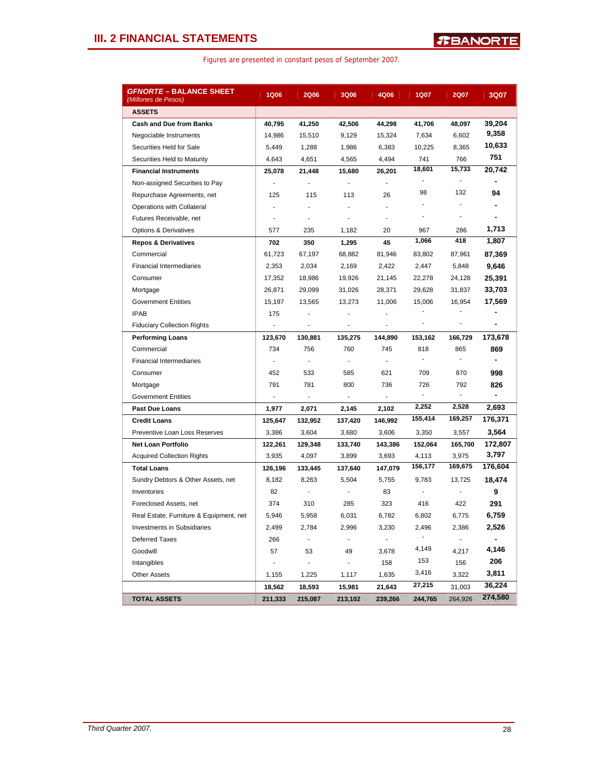|  |  | Figures are presented in constant pesos of September 2007. |  |  |  |
|--|--|------------------------------------------------------------|--|--|--|
|--|--|------------------------------------------------------------|--|--|--|

| <i>GFNORTE</i> – BALANCE SHEET<br>(Millones de Pesos) | 1Q06                     | <b>2Q06</b>                 | <b>3Q06</b>    | 4Q06           | <b>1Q07</b>    | <b>2Q07</b> | 3Q07                         |
|-------------------------------------------------------|--------------------------|-----------------------------|----------------|----------------|----------------|-------------|------------------------------|
| <b>ASSETS</b>                                         |                          |                             |                |                |                |             |                              |
| <b>Cash and Due from Banks</b>                        | 40,795                   | 41,250                      | 42,506         | 44,298         | 41,706         | 48,097      | 39,204                       |
| Negociable Instruments                                | 14,986                   | 15,510                      | 9,129          | 15,324         | 7,634          | 6,602       | 9,358                        |
| Securities Held for Sale                              | 5,449                    | 1,288                       | 1,986          | 6,383          | 10,225         | 8,365       | 10,633                       |
| Securities Held to Maturity                           | 4,643                    | 4,651                       | 4,565          | 4,494          | 741            | 766         | 751                          |
| <b>Financial Instruments</b>                          | 25,078                   | 21,448                      | 15,680         | 26,201         | 18,601         | 15,733      | 20,742                       |
| Non-assigned Securities to Pay                        | $\overline{\phantom{a}}$ | ä,                          | $\blacksquare$ | $\overline{a}$ | $\blacksquare$ |             | ٠                            |
| Repurchase Agreements, net                            | 125                      | 115                         | 113            | 26             | 98             | 132         | 94                           |
| Operations with Collateral                            |                          |                             |                |                |                |             | ۰                            |
| Futures Receivable, net                               |                          |                             |                |                | $\overline{a}$ | ٠           |                              |
| <b>Options &amp; Derivatives</b>                      | 577                      | 235                         | 1,182          | 20             | 967            | 286         | 1,713                        |
| <b>Repos &amp; Derivatives</b>                        | 702                      | 350                         | 1,295          | 45             | 1,066          | 418         | 1,807                        |
| Commercial                                            | 61,723                   | 67,197                      | 68,882         | 81,946         | 83,802         | 87,961      | 87,369                       |
| <b>Financial Intermediaries</b>                       | 2,353                    | 2,034                       | 2,169          | 2,422          | 2,447          | 5,848       | 9,646                        |
| Consumer                                              | 17,352                   | 18,986                      | 19,926         | 21,145         | 22,278         | 24,128      | 25,391                       |
| Mortgage                                              | 26,871                   | 29,099                      | 31,026         | 28,371         | 29,628         | 31,837      | 33,703                       |
| <b>Government Entities</b>                            | 15,197                   | 13,565                      | 13,273         | 11,006         | 15,006         | 16,954      | 17,569                       |
| <b>IPAB</b>                                           | 175                      | ä,                          | $\blacksquare$ | ٠              |                |             |                              |
| <b>Fiduciary Collection Rights</b>                    | ÷                        | $\overline{a}$              | ÷,             | ÷,             | ۰              | ÷,          | $\qquad \qquad \blacksquare$ |
| <b>Performing Loans</b>                               | 123,670                  | 130,881                     | 135,275        | 144,890        | 153,162        | 166,729     | 173,678                      |
| Commercial                                            | 734                      | 756                         | 760            | 745            | 818            | 865         | 869                          |
| <b>Financial Intermediaries</b>                       | $\sim$                   | $\mathcal{L}_{\mathcal{A}}$ | ÷.             | $\sim$         | ÷.             |             |                              |
| Consumer                                              | 452                      | 533                         | 585            | 621            | 709            | 870         | 998                          |
| Mortgage                                              | 791                      | 781                         | 800            | 736            | 726            | 792         | 826                          |
| <b>Government Entities</b>                            | ÷.                       | ÷.                          | ÷.             | $\sim$         | L.             |             |                              |
| <b>Past Due Loans</b>                                 | 1,977                    | 2,071                       | 2,145          | 2,102          | 2,252          | 2,528       | 2,693                        |
| <b>Credit Loans</b>                                   | 125,647                  | 132,952                     | 137,420        | 146,992        | 155,414        | 169,257     | 176,371                      |
| Preventive Loan Loss Reserves                         | 3,386                    | 3,604                       | 3,680          | 3,606          | 3,350          | 3,557       | 3,564                        |
| <b>Net Loan Portfolio</b>                             | 122,261                  | 129,348                     | 133,740        | 143,386        | 152,064        | 165,700     | 172,807                      |
| <b>Acquired Collection Rights</b>                     | 3,935                    | 4,097                       | 3,899          | 3,693          | 4,113          | 3,975       | 3,797                        |
| <b>Total Loans</b>                                    | 126,196                  | 133,445                     | 137,640        | 147,079        | 156,177        | 169,675     | 176,604                      |
| Sundry Debtors & Other Assets, net                    | 8,182                    | 8,263                       | 5,504          | 5,755          | 9,783          | 13,725      | 18,474                       |
| Inventories                                           | 82                       | ÷,                          | ÷,             | 83             | ÷.             |             | 9                            |
| Foreclosed Assets, net                                | 374                      | 310                         | 285            | 323            | 416            | 422         | 291                          |
| Real Estate, Furniture & Equipment, net               | 5,946                    | 5,958                       | 6,031          | 6,782          | 6,802          | 6,775       | 6,759                        |
| Investments in Subsidiaries                           | 2,499                    | 2,784                       | 2,996          | 3,230          | 2,496          | 2,386       | 2,526                        |
| <b>Deferred Taxes</b>                                 | 266                      |                             |                |                |                |             |                              |
| Goodwill                                              | 57                       | 53                          | 49             | 3,678          | 4,149          | 4,217       | 4,146                        |
| Intangibles                                           | $\blacksquare$           | $\blacksquare$              | ÷.             | 158            | 153            | 156         | 206                          |
| <b>Other Assets</b>                                   | 1,155                    | 1,225                       | 1,117          | 1,635          | 3,416          | 3,322       | 3,811                        |
|                                                       | 18,562                   | 18,593                      | 15,981         | 21,643         | 27,215         | 31,003      | 36,224                       |
| <b>TOTAL ASSETS</b>                                   | 211,333                  | 215,087                     | 213,102        | 239,266        | 244,765        | 264,926     | 274,580                      |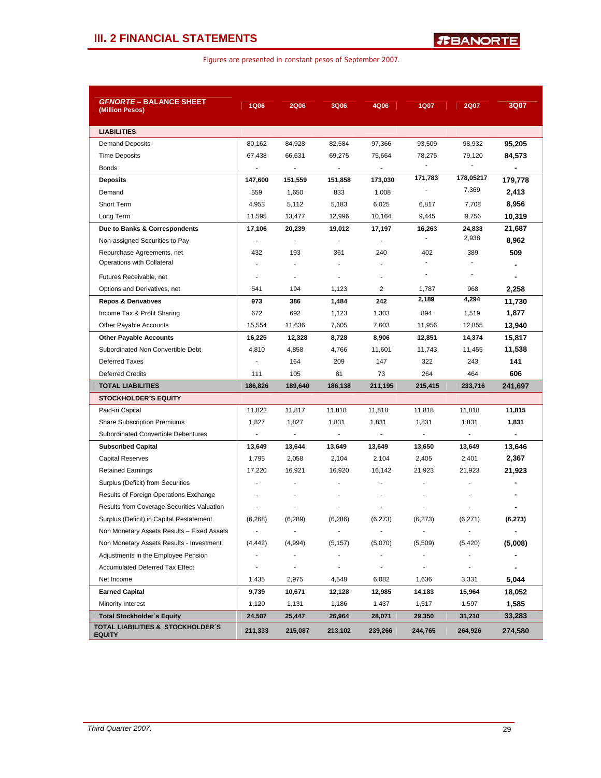|  | Figures are presented in constant pesos of September 2007. |  |  |  |  |
|--|------------------------------------------------------------|--|--|--|--|
|--|------------------------------------------------------------|--|--|--|--|

| <b><i>GFNORTE –</i> BALANCE SHEET</b>              |                          |                          |                                    |                              |                          |                          |                |
|----------------------------------------------------|--------------------------|--------------------------|------------------------------------|------------------------------|--------------------------|--------------------------|----------------|
| (Million Pesos)                                    | <b>1Q06</b>              | <b>2Q06</b>              | 3Q06                               | 4Q06                         | 1Q07                     | <b>2Q07</b>              | 3Q07           |
|                                                    |                          |                          |                                    |                              |                          |                          |                |
| <b>LIABILITIES</b>                                 |                          |                          |                                    |                              |                          |                          |                |
| <b>Demand Deposits</b>                             | 80,162<br>67,438         | 84,928<br>66,631         | 82,584                             | 97,366<br>75,664             | 93,509                   | 98,932                   | 95,205         |
| <b>Time Deposits</b>                               | $\blacksquare$           | $\overline{a}$           | 69,275<br>$\overline{\phantom{a}}$ | $\blacksquare$               | 78,275<br>÷,             | 79,120<br>$\blacksquare$ | 84,573         |
| <b>Bonds</b>                                       |                          |                          |                                    |                              | 171,783                  | 178,05217                | $\blacksquare$ |
| <b>Deposits</b>                                    | 147,600                  | 151,559                  | 151,858                            | 173,030                      |                          | 7,369                    | 179,778        |
| Demand<br>Short Term                               | 559                      | 1,650                    | 833                                | 1,008                        |                          |                          | 2,413          |
|                                                    | 4,953                    | 5,112                    | 5,183                              | 6,025                        | 6,817                    | 7,708                    | 8,956          |
| Long Term                                          | 11,595                   | 13,477                   | 12,996                             | 10,164                       | 9,445                    | 9,756                    | 10,319         |
| Due to Banks & Correspondents                      | 17,106                   | 20,239                   | 19,012                             | 17,197                       | 16,263<br>÷,             | 24,833<br>2,938          | 21,687         |
| Non-assigned Securities to Pay                     | J.                       |                          | ÷,                                 |                              |                          |                          | 8,962          |
| Repurchase Agreements, net                         | 432                      | 193                      | 361                                | 240                          | 402<br>$\blacksquare$    | 389<br>٠                 | 509            |
| Operations with Collateral                         |                          |                          |                                    |                              | ٠                        |                          |                |
| Futures Receivable, net                            | $\overline{\phantom{a}}$ | $\overline{\phantom{a}}$ | ÷,                                 | ۰                            |                          | $\overline{\phantom{a}}$ | $\blacksquare$ |
| Options and Derivatives, net                       | 541                      | 194                      | 1,123                              | 2                            | 1,787                    | 968                      | 2,258          |
| <b>Repos &amp; Derivatives</b>                     | 973                      | 386                      | 1,484                              | 242                          | 2,189                    | 4,294                    | 11,730         |
| Income Tax & Profit Sharing                        | 672                      | 692                      | 1,123                              | 1,303                        | 894                      | 1,519                    | 1,877          |
| Other Payable Accounts                             | 15,554                   | 11,636                   | 7,605                              | 7,603                        | 11,956                   | 12,855                   | 13,940         |
| <b>Other Payable Accounts</b>                      | 16,225                   | 12,328                   | 8,728                              | 8,906                        | 12,851                   | 14,374                   | 15,817         |
| Subordinated Non Convertible Debt                  | 4,810                    | 4,858                    | 4,766                              | 11,601                       | 11,743                   | 11,455                   | 11,538         |
| <b>Deferred Taxes</b>                              | $\overline{a}$           | 164                      | 209                                | 147                          | 322                      | 243                      | 141            |
| <b>Deferred Credits</b>                            | 111                      | 105                      | 81                                 | 73                           | 264                      | 464                      | 606            |
| <b>TOTAL LIABILITIES</b>                           | 186,826                  | 189,640                  | 186,138                            | 211,195                      | 215,415                  | 233,716                  | 241,697        |
| <b>STOCKHOLDER S EQUITY</b>                        |                          |                          |                                    |                              |                          |                          |                |
| Paid-in Capital                                    | 11,822                   | 11,817                   | 11,818                             | 11,818                       | 11,818                   | 11,818                   | 11,815         |
| <b>Share Subscription Premiums</b>                 | 1,827                    | 1,827                    | 1,831                              | 1,831                        | 1,831                    | 1,831                    | 1,831          |
| Subordinated Convertible Debentures                | ä,                       |                          | $\overline{\phantom{a}}$           | ÷,                           | $\overline{\phantom{a}}$ | ÷.                       |                |
| <b>Subscribed Capital</b>                          | 13,649                   | 13,644                   | 13,649                             | 13,649                       | 13,650                   | 13,649                   | 13,646         |
| <b>Capital Reserves</b>                            | 1,795                    | 2,058                    | 2,104                              | 2,104                        | 2,405                    | 2,401                    | 2,367          |
| <b>Retained Earnings</b>                           | 17.220                   | 16,921                   | 16,920                             | 16,142                       | 21,923                   | 21,923                   | 21,923         |
| Surplus (Deficit) from Securities                  |                          |                          |                                    |                              |                          |                          |                |
| Results of Foreign Operations Exchange             |                          |                          |                                    |                              | L,                       |                          |                |
| Results from Coverage Securities Valuation         |                          |                          |                                    |                              |                          |                          |                |
| Surplus (Deficit) in Capital Restatement           | (6, 268)                 | (6, 289)                 | (6, 286)                           | (6, 273)                     | (6, 273)                 | (6,271)                  | (6, 273)       |
| Non Monetary Assets Results - Fixed Assets         | $\overline{\phantom{a}}$ | $\overline{\phantom{a}}$ |                                    |                              |                          | ۰                        | ٠              |
| Non Monetary Assets Results - Investment           | (4, 442)                 | (4,994)                  | (5, 157)                           | (5,070)                      | (5,509)                  | (5, 420)                 | (5,008)        |
| Adjustments in the Employee Pension                | ÷,                       |                          | $\overline{\phantom{a}}$           |                              | ä,                       | $\overline{a}$           |                |
| <b>Accumulated Deferred Tax Effect</b>             | $\overline{\phantom{m}}$ | $\overline{\phantom{a}}$ | $\overline{\phantom{a}}$           | $\qquad \qquad \blacksquare$ | $\overline{\phantom{a}}$ | ۰                        | ۰              |
| Net Income                                         | 1,435                    | 2,975                    | 4,548                              | 6,082                        | 1,636                    | 3,331                    | 5.044          |
| <b>Earned Capital</b>                              | 9,739                    | 10,671                   | 12,128                             | 12,985                       | 14,183                   | 15,964                   | 18,052         |
| Minority Interest                                  | 1,120                    | 1,131                    | 1,186                              | 1,437                        | 1,517                    | 1,597                    | 1,585          |
| <b>Total Stockholder's Equity</b>                  | 24,507                   | 25,447                   | 26,964                             | 28,071                       | 29,350                   | 31,210                   | 33,283         |
| TOTAL LIABILITIES & STOCKHOLDER'S<br><b>EQUITY</b> | 211,333                  | 215,087                  | 213,102                            | 239,266                      | 244,765                  | 264,926                  | 274,580        |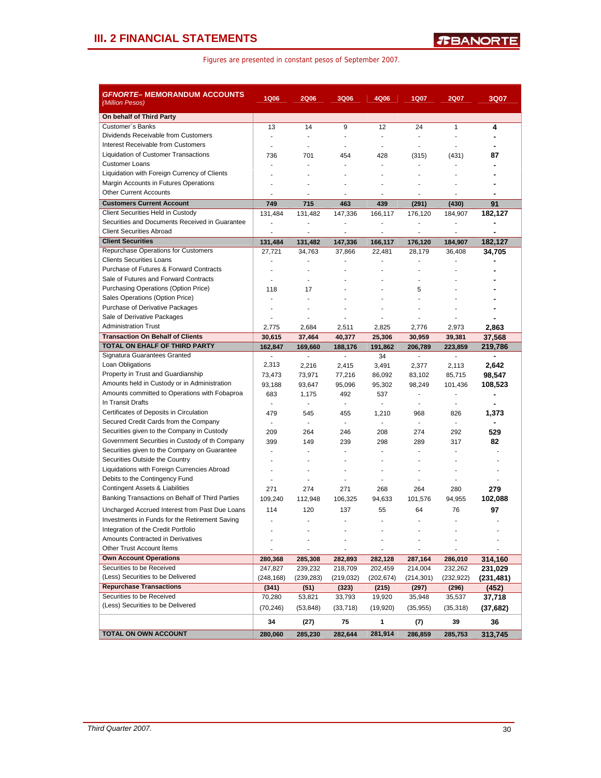| <b>GFNORTE– MEMORANDUM ACCOUNTS</b><br>(Million Pesos) | <b>1Q06</b>    | <b>2Q06</b>              | <b>3Q06</b>              | 4Q06                     | <b>1Q07</b>              | <b>2Q07</b>              | 3Q07                      |
|--------------------------------------------------------|----------------|--------------------------|--------------------------|--------------------------|--------------------------|--------------------------|---------------------------|
| On behalf of Third Party                               |                |                          |                          |                          |                          |                          |                           |
| Customer's Banks                                       | 13             | 14                       | 9                        | 12                       | 24                       | $\mathbf{1}$             | 4                         |
| Dividends Receivable from Customers                    | $\blacksquare$ | $\blacksquare$           |                          | $\overline{\phantom{a}}$ | $\overline{\phantom{a}}$ | ä,                       |                           |
| Interest Receivable from Customers                     | $\overline{a}$ | $\overline{a}$           | $\sim$                   | $\overline{a}$           | ÷,                       | ÷                        |                           |
| Liquidation of Customer Transactions                   | 736            | 701                      | 454                      | 428                      | (315)                    | (431)                    | 87                        |
| <b>Customer Loans</b>                                  |                | L                        |                          |                          | ÷,                       | ä,                       |                           |
| Liquidation with Foreign Currency of Clients           | ٠              | ä,                       |                          |                          | ÷                        | ÷.                       |                           |
| Margin Accounts in Futures Operations                  |                |                          |                          |                          |                          |                          |                           |
| <b>Other Current Accounts</b>                          | ÷,             | $\blacksquare$           | $\overline{\phantom{a}}$ | $\overline{a}$           | ÷                        | $\blacksquare$           | $\blacksquare$            |
| <b>Customers Current Account</b>                       | 749            | 715                      | 463                      | 439                      | (291)                    | (430)                    | 91                        |
| Client Securities Held in Custody                      | 131,484        | 131,482                  | 147,336                  | 166,117                  | 176,120                  | 184,907                  | 182,127                   |
| Securities and Documents Received in Guarantee         | $\overline{a}$ | ä,                       | $\blacksquare$           | $\blacksquare$           | ٠                        | $\overline{a}$           |                           |
| <b>Client Securities Abroad</b>                        | ä,             | $\blacksquare$           | $\overline{\phantom{a}}$ | $\blacksquare$           | ÷,                       | $\blacksquare$           |                           |
| <b>Client Securities</b>                               | 131,484        | 131,482                  | 147,336                  | 166,117                  | 176,120                  | 184,907                  | 182,127                   |
| Repurchase Operations for Customers                    | 27,721         | 34,763                   | 37,866                   | 22,481                   | 28,179                   | 36,408                   | 34,705                    |
| <b>Clients Securities Loans</b>                        |                | Ĭ.                       | ä,                       |                          |                          |                          |                           |
| Purchase of Futures & Forward Contracts                | ÷.             | $\overline{a}$           | ÷.                       | $\overline{a}$           | $\overline{a}$           | $\overline{a}$           |                           |
| Sale of Futures and Forward Contracts                  |                | ä,                       |                          |                          |                          |                          |                           |
| Purchasing Operations (Option Price)                   | 118            | 17                       | ÷                        |                          | 5                        |                          |                           |
| Sales Operations (Option Price)                        | ÷,             | ä,                       |                          |                          |                          |                          |                           |
| Purchase of Derivative Packages                        | $\overline{a}$ | $\overline{a}$           | ÷                        | ÷                        | ÷                        | ÷.                       |                           |
| Sale of Derivative Packages                            | ä,             | ÷                        | ÷                        | $\overline{a}$           |                          |                          |                           |
| <b>Administration Trust</b>                            | 2,775          | 2,684                    | 2,511                    | 2,825                    | 2,776                    | 2,973                    | 2,863                     |
| <b>Transaction On Behalf of Clients</b>                | 30,615         | 37,464                   | 40,377                   | 25,306                   | 30,959                   | 39,381                   | 37,568                    |
| <b>TOTAL ON EHALF OF THIRD PARTY</b>                   | 162,847        | 169,660                  | 188,176                  | 191,862                  | 206,789                  | 223,859                  | 219,786                   |
| Signatura Guarantees Granted                           | ÷.<br>2,313    | $\overline{\phantom{a}}$ | $\mathcal{L}$            | 34                       | $\blacksquare$           | $\mathbf{r}$             | ٠                         |
| Loan Obligations<br>Property in Trust and Guardianship | 73,473         | 2,216                    | 2,415                    | 3,491                    | 2,377                    | 2,113                    | 2,642                     |
| Amounts held in Custody or in Administration           | 93,188         | 73,971<br>93,647         | 77,216                   | 86,092                   | 83,102                   | 85,715<br>101,436        | 98,547                    |
| Amounts committed to Operations with Fobaproa          | 683            | 1,175                    | 95,096<br>492            | 95,302<br>537            | 98,249<br>$\blacksquare$ | $\overline{\phantom{a}}$ | 108,523<br>$\blacksquare$ |
| In Transit Drafts                                      | ÷.             | ÷,                       | $\sim$                   | $\mathbf{r}$             | $\sim$                   | ÷,                       |                           |
| Certificates of Deposits in Circulation                | 479            | 545                      | 455                      | 1,210                    | 968                      | 826                      | 1,373                     |
| Secured Credit Cards from the Company                  | $\mathbf{r}$   | $\overline{\phantom{a}}$ | $\mathcal{L}$            | $\overline{\phantom{a}}$ | $\mathbf{r}$             | $\overline{\phantom{a}}$ |                           |
| Securities given to the Company in Custody             | 209            | 264                      | 246                      | 208                      | 274                      | 292                      | 529                       |
| Government Securities in Custody of th Company         | 399            | 149                      | 239                      | 298                      | 289                      | 317                      | 82                        |
| Securities given to the Company on Guarantee           | ÷.             | ä,                       | ÷                        |                          | ÷                        |                          |                           |
| Securities Outside the Country                         |                |                          |                          |                          |                          |                          |                           |
| Liquidations with Foreign Currencies Abroad            | ٠              | ٠                        | $\sim$                   | $\blacksquare$           | ٠                        | ٠                        | ٠                         |
| Debits to the Contingency Fund                         | $\blacksquare$ | $\blacksquare$           | $\blacksquare$           | $\blacksquare$           | $\blacksquare$           | $\blacksquare$           |                           |
| Contingent Assets & Liabilities                        | 271            | 274                      | 271                      | 268                      | 264                      | 280                      | 279                       |
| Banking Transactions on Behalf of Third Parties        | 109,240        | 112,948                  | 106,325                  | 94,633                   | 101,576                  | 94,955                   | 102,088                   |
| Uncharged Accrued Interest from Past Due Loans         | 114            | 120                      | 137                      | 55                       | 64                       | 76                       | 97                        |
| Investments in Funds for the Retirement Saving         | ٠              | $\overline{a}$           | ÷                        | ÷                        | ÷                        | ÷                        |                           |
| Integration of the Credit Portfolio                    |                | ÷,                       |                          |                          |                          | ÷,                       |                           |
| <b>Amounts Contracted in Derivatives</b>               |                |                          |                          |                          |                          |                          |                           |
| Other Trust Account Items                              |                | $\frac{1}{2}$            | $\overline{\phantom{a}}$ | $\overline{\phantom{a}}$ |                          |                          |                           |
| <b>Own Account Operations</b>                          | 280,368        | 285,308                  | 282,893                  | 282,128                  | 287,164                  | 286,010                  | 314,160                   |
| Securities to be Received                              | 247,827        | 239,232                  | 218,709                  | 202,459                  | 214,004                  | 232,262                  | 231,029                   |
| (Less) Securities to be Delivered                      | (248, 168)     | (239, 283)               | (219, 032)               | (202, 674)               | (214, 301)               | (232, 922)               | (231,481)                 |
| <b>Repurchase Transactions</b>                         | (341)          | (51)                     | (323)                    | (215)                    | (297)                    | (296)                    | (452)                     |
| Securities to be Received                              | 70,280         | 53,821                   | 33,793                   | 19,920                   | 35,948                   | 35,537                   | 37,718                    |
| (Less) Securities to be Delivered                      | (70, 246)      | (53, 848)                | (33, 718)                | (19, 920)                | (35, 955)                | (35, 318)                | (37,682)                  |
|                                                        | 34             | (27)                     | 75                       | 1                        | (7)                      | 39                       | 36                        |
| TOTAL ON OWN ACCOUNT                                   | 280,060        | 285,230                  | 282,644                  | 281,914                  | 286,859                  | 285,753                  | 313,745                   |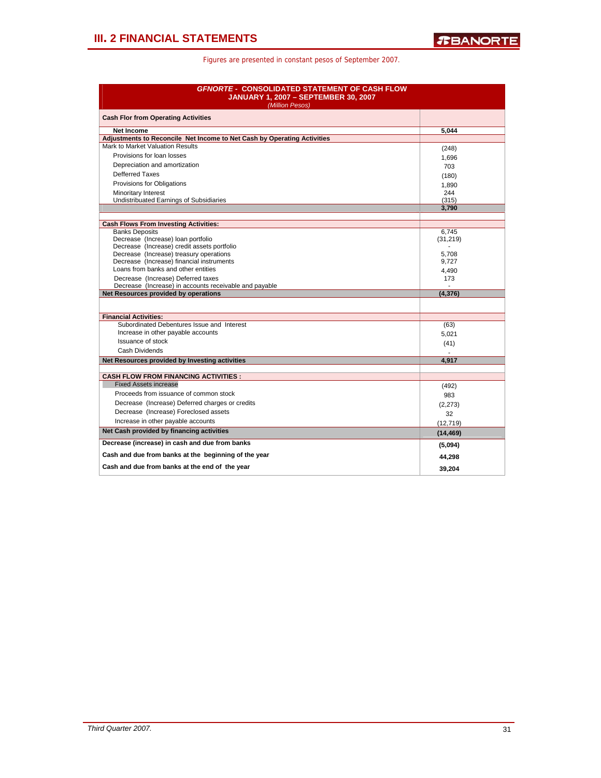| <b>GFNORTE - CONSOLIDATED STATEMENT OF CASH FLOW</b><br><b>JANUARY 1, 2007 - SEPTEMBER 30, 2007</b><br>(Million Pesos) |           |  |  |  |  |
|------------------------------------------------------------------------------------------------------------------------|-----------|--|--|--|--|
| <b>Cash Flor from Operating Activities</b>                                                                             |           |  |  |  |  |
| <b>Net Income</b>                                                                                                      | 5.044     |  |  |  |  |
| Adjustments to Reconcile Net Income to Net Cash by Operating Activities                                                |           |  |  |  |  |
| Mark to Market Valuation Results                                                                                       | (248)     |  |  |  |  |
| Provisions for loan losses                                                                                             | 1,696     |  |  |  |  |
| Depreciation and amortization                                                                                          | 703       |  |  |  |  |
| <b>Defferred Taxes</b>                                                                                                 | (180)     |  |  |  |  |
| Provisions for Obligations                                                                                             | 1,890     |  |  |  |  |
| Minoritary Interest                                                                                                    | 244       |  |  |  |  |
| Undistribuated Earnings of Subsidiaries                                                                                | (315)     |  |  |  |  |
|                                                                                                                        | 3,790     |  |  |  |  |
| <b>Cash Flows From Investing Activities:</b>                                                                           |           |  |  |  |  |
| <b>Banks Deposits</b>                                                                                                  | 6,745     |  |  |  |  |
| Decrease (Increase) loan portfolio                                                                                     | (31, 219) |  |  |  |  |
| Decrease (Increase) credit assets portfolio                                                                            |           |  |  |  |  |
| Decrease (Increase) treasury operations                                                                                | 5,708     |  |  |  |  |
| Decrease (Increase) financial instruments                                                                              | 9,727     |  |  |  |  |
| Loans from banks and other entities                                                                                    | 4.490     |  |  |  |  |
| Decrease (Increase) Deferred taxes                                                                                     | 173       |  |  |  |  |
| Decrease (Increase) in accounts receivable and payable<br>Net Resources provided by operations                         | (4, 376)  |  |  |  |  |
|                                                                                                                        |           |  |  |  |  |
|                                                                                                                        |           |  |  |  |  |
| <b>Financial Activities:</b><br>Subordinated Debentures Issue and Interest                                             |           |  |  |  |  |
| Increase in other payable accounts                                                                                     | (63)      |  |  |  |  |
| Issuance of stock                                                                                                      | 5,021     |  |  |  |  |
| Cash Dividends                                                                                                         | (41)      |  |  |  |  |
| Net Resources provided by Investing activities                                                                         |           |  |  |  |  |
|                                                                                                                        | 4,917     |  |  |  |  |
| <b>CASH FLOW FROM FINANCING ACTIVITIES :</b>                                                                           |           |  |  |  |  |
| <b>Fixed Assets increase</b>                                                                                           | (492)     |  |  |  |  |
| Proceeds from issuance of common stock                                                                                 | 983       |  |  |  |  |
| Decrease (Increase) Deferred charges or credits                                                                        | (2,273)   |  |  |  |  |
| Decrease (Increase) Foreclosed assets                                                                                  | 32        |  |  |  |  |
| Increase in other payable accounts                                                                                     | (12, 719) |  |  |  |  |
| Net Cash provided by financing activities                                                                              | (14, 469) |  |  |  |  |
| Decrease (increase) in cash and due from banks                                                                         |           |  |  |  |  |
| Cash and due from banks at the beginning of the year                                                                   | (5,094)   |  |  |  |  |
|                                                                                                                        | 44,298    |  |  |  |  |
| Cash and due from banks at the end of the year                                                                         | 39.204    |  |  |  |  |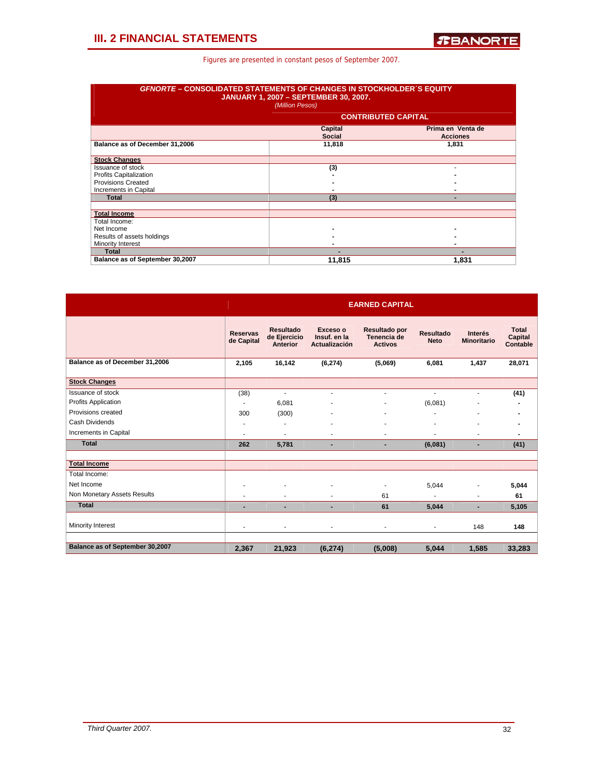|                                 | <b>GFNORTE-CONSOLIDATED STATEMENTS OF CHANGES IN STOCKHOLDER'S EQUITY</b><br><b>JANUARY 1, 2007 - SEPTEMBER 30, 2007.</b><br>(Million Pesos) |                                      |  |  |  |  |  |  |
|---------------------------------|----------------------------------------------------------------------------------------------------------------------------------------------|--------------------------------------|--|--|--|--|--|--|
| <b>CONTRIBUTED CAPITAL</b>      |                                                                                                                                              |                                      |  |  |  |  |  |  |
|                                 | Capital<br><b>Social</b>                                                                                                                     | Prima en Venta de<br><b>Acciones</b> |  |  |  |  |  |  |
| Balance as of December 31,2006  | 11,818                                                                                                                                       | 1,831                                |  |  |  |  |  |  |
| <b>Stock Changes</b>            |                                                                                                                                              |                                      |  |  |  |  |  |  |
| <b>Issuance of stock</b>        | (3)                                                                                                                                          |                                      |  |  |  |  |  |  |
| <b>Profits Capitalization</b>   |                                                                                                                                              |                                      |  |  |  |  |  |  |
| <b>Provisions Created</b>       |                                                                                                                                              |                                      |  |  |  |  |  |  |
| Increments in Capital           |                                                                                                                                              |                                      |  |  |  |  |  |  |
| <b>Total</b>                    | (3)                                                                                                                                          | -                                    |  |  |  |  |  |  |
| <b>Total Income</b>             |                                                                                                                                              |                                      |  |  |  |  |  |  |
| Total Income:                   |                                                                                                                                              |                                      |  |  |  |  |  |  |
| Net Income                      |                                                                                                                                              |                                      |  |  |  |  |  |  |
| Results of assets holdings      |                                                                                                                                              |                                      |  |  |  |  |  |  |
| Minority Interest               |                                                                                                                                              |                                      |  |  |  |  |  |  |
| <b>Total</b>                    |                                                                                                                                              |                                      |  |  |  |  |  |  |
| Balance as of September 30,2007 | 11.815                                                                                                                                       | 1.831                                |  |  |  |  |  |  |

|                                 | <b>EARNED CAPITAL</b>         |                                                     |                                                  |                                                |                                 |                               |                              |  |  |  |
|---------------------------------|-------------------------------|-----------------------------------------------------|--------------------------------------------------|------------------------------------------------|---------------------------------|-------------------------------|------------------------------|--|--|--|
|                                 | <b>Reservas</b><br>de Capital | <b>Resultado</b><br>de Ejercicio<br><b>Anterior</b> | Exceso o<br>Insuf. en la<br><b>Actualización</b> | Resultado por<br>Tenencia de<br><b>Activos</b> | <b>Resultado</b><br><b>Neto</b> | Interés<br><b>Minoritario</b> | Total<br>Capital<br>Contable |  |  |  |
| Balance as of December 31,2006  | 2.105                         | 16.142                                              | (6, 274)                                         | (5,069)                                        | 6,081                           | 1,437                         | 28,071                       |  |  |  |
| <b>Stock Changes</b>            |                               |                                                     |                                                  |                                                |                                 |                               |                              |  |  |  |
| <b>Issuance of stock</b>        | (38)                          | $\overline{\phantom{a}}$                            | ۰                                                | ٠                                              | $\overline{\phantom{a}}$        | $\blacksquare$                | (41)                         |  |  |  |
| <b>Profits Application</b>      | ٠                             | 6,081                                               |                                                  |                                                | (6,081)                         |                               |                              |  |  |  |
| Provisions created              | 300                           | (300)                                               |                                                  | ٠                                              | ٠                               | ٠                             |                              |  |  |  |
| Cash Dividends                  | ٠                             | ٠                                                   |                                                  |                                                |                                 | ٠                             |                              |  |  |  |
| Increments in Capital           | ٠                             | ٠                                                   | ÷                                                |                                                |                                 |                               |                              |  |  |  |
| <b>Total</b>                    | 262                           | 5,781                                               |                                                  | ٠                                              | (6,081)                         | ٠                             | (41)                         |  |  |  |
|                                 |                               |                                                     |                                                  |                                                |                                 |                               |                              |  |  |  |
| <b>Total Income</b>             |                               |                                                     |                                                  |                                                |                                 |                               |                              |  |  |  |
| Total Income:                   |                               |                                                     |                                                  |                                                |                                 |                               |                              |  |  |  |
| Net Income                      | ٠                             |                                                     |                                                  | ٠                                              | 5,044                           |                               | 5,044                        |  |  |  |
| Non Monetary Assets Results     |                               |                                                     |                                                  | 61                                             | ÷                               |                               | 61                           |  |  |  |
| <b>Total</b>                    | ٠                             | ٠                                                   | $\blacksquare$                                   | 61                                             | 5,044                           | ۰                             | 5,105                        |  |  |  |
| Minority Interest               | ٠                             | ٠                                                   | ۰                                                | ٠                                              | ÷.                              | 148                           | 148                          |  |  |  |
|                                 |                               |                                                     |                                                  |                                                |                                 |                               |                              |  |  |  |
| Balance as of September 30,2007 | 2,367                         | 21,923                                              | (6, 274)                                         | (5,008)                                        | 5,044                           | 1,585                         | 33,283                       |  |  |  |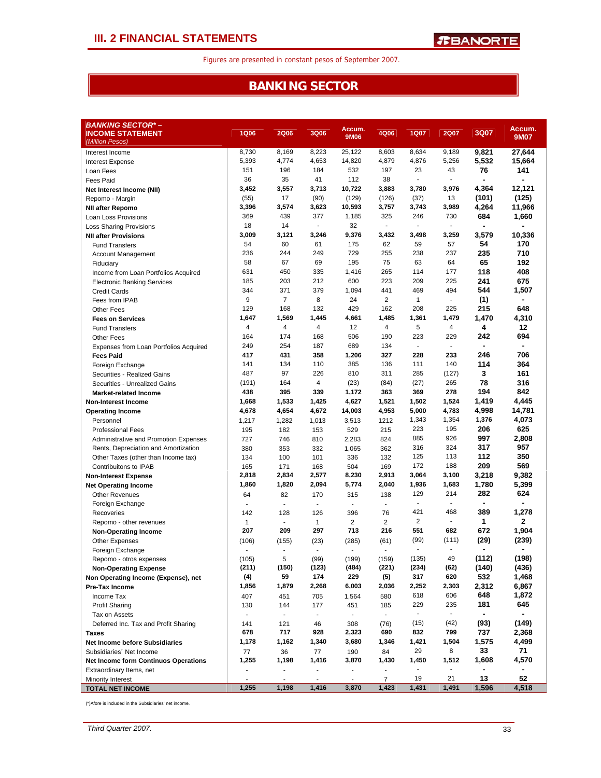### **BANKING SECTOR**

| BANKING SECTOR*-                                           |                          |                          |                          |                |                          |                          |                       |                       |                       |
|------------------------------------------------------------|--------------------------|--------------------------|--------------------------|----------------|--------------------------|--------------------------|-----------------------|-----------------------|-----------------------|
| <b>INCOME STATEMENT</b>                                    | <b>1Q06</b>              | <b>2Q06</b>              | 3Q06                     | Accum.<br>9M06 | 4Q06                     | <b>1Q07</b>              | <b>2Q07</b>           | 3Q07                  | Accum.<br><b>9M07</b> |
| (Million Pesos)                                            |                          |                          |                          |                |                          |                          |                       |                       |                       |
| Interest Income                                            | 8,730                    | 8,169                    | 8,223                    | 25,122         | 8,603                    | 8,634                    | 9,189                 | 9,821                 | 27,644                |
| <b>Interest Expense</b>                                    | 5,393<br>151             | 4,774<br>196             | 4,653<br>184             | 14,820<br>532  | 4,879<br>197             | 4,876<br>23              | 5,256<br>43           | 5,532<br>76           | 15,664<br>141         |
| Loan Fees                                                  | 36                       | 35                       | 41                       | 112            | 38                       | ٠                        |                       | ۰                     |                       |
| Fees Paid                                                  | 3,452                    | 3,557                    | 3,713                    | 10,722         | 3,883                    | 3,780                    | 3,976                 | 4,364                 | 12,121                |
| Net Interest Income (NII)<br>Repomo - Margin               | (55)                     | 17                       | (90)                     | (129)          | (126)                    | (37)                     | 13                    | (101)                 | (125)                 |
| <b>NII after Repomo</b>                                    | 3,396                    | 3,574                    | 3,623                    | 10,593         | 3,757                    | 3,743                    | 3,989                 | 4,264                 | 11,966                |
| Loan Loss Provisions                                       | 369                      | 439                      | 377                      | 1,185          | 325                      | 246                      | 730                   | 684                   | 1,660                 |
| <b>Loss Sharing Provisions</b>                             | 18                       | 14                       | $\overline{a}$           | 32             | $\overline{\phantom{a}}$ |                          | ä,                    |                       |                       |
| <b>NII after Provisions</b>                                | 3,009                    | 3,121                    | 3,246                    | 9,376          | 3,432                    | 3,498                    | 3,259                 | 3,579                 | 10,336                |
| <b>Fund Transfers</b>                                      | 54                       | 60                       | 61                       | 175            | 62                       | 59                       | 57                    | 54                    | 170                   |
| <b>Account Management</b>                                  | 236                      | 244                      | 249                      | 729            | 255                      | 238                      | 237                   | 235                   | 710                   |
| Fiduciary                                                  | 58                       | 67                       | 69                       | 195            | 75                       | 63                       | 64                    | 65                    | 192                   |
| Income from Loan Portfolios Acquired                       | 631                      | 450                      | 335                      | 1,416          | 265                      | 114                      | 177                   | 118                   | 408                   |
| <b>Electronic Banking Services</b>                         | 185                      | 203                      | 212                      | 600            | 223                      | 209                      | 225                   | 241                   | 675                   |
| <b>Credit Cards</b>                                        | 344                      | 371                      | 379                      | 1,094          | 441                      | 469                      | 494                   | 544                   | 1,507                 |
| Fees from IPAB                                             | 9                        | $\overline{7}$           | 8                        | 24             | 2                        | $\mathbf{1}$             | $\blacksquare$        | (1)                   | ×,                    |
| <b>Other Fees</b>                                          | 129                      | 168                      | 132                      | 429            | 162                      | 208                      | 225                   | 215                   | 648                   |
| <b>Fees on Services</b>                                    | 1,647                    | 1,569                    | 1,445                    | 4,661          | 1,485                    | 1,361                    | 1,479                 | 1,470                 | 4,310                 |
| <b>Fund Transfers</b>                                      | 4                        | 4                        | $\overline{4}$           | 12             | 4                        | 5                        | $\overline{4}$        | 4                     | $12 \,$               |
| <b>Other Fees</b>                                          | 164                      | 174                      | 168                      | 506            | 190                      | 223                      | 229                   | 242                   | 694                   |
| Expenses from Loan Portfolios Acquired                     | 249                      | 254                      | 187                      | 689            | 134                      | $\sim$                   | $\sim$                | ÷                     |                       |
| <b>Fees Paid</b>                                           | 417                      | 431                      | 358                      | 1,206          | 327                      | 228                      | 233                   | 246                   | 706                   |
| Foreign Exchange                                           | 141<br>487               | 134<br>97                | 110<br>226               | 385<br>810     | 136<br>311               | 111<br>285               | 140                   | 114<br>3              | 364                   |
| Securities - Realized Gains                                | (191)                    | 164                      | 4                        | (23)           | (84)                     |                          | (127)<br>265          | 78                    | 161<br>316            |
| Securities - Unrealized Gains                              | 438                      | 395                      | 339                      | 1,172          | 363                      | (27)<br>369              | 278                   | 194                   | 842                   |
| <b>Market-related Income</b><br><b>Non-Interest Income</b> | 1,668                    | 1,533                    | 1,425                    | 4,627          | 1,521                    | 1,502                    | 1,524                 | 1,419                 | 4,445                 |
| <b>Operating Income</b>                                    | 4,678                    | 4,654                    | 4,672                    | 14,003         | 4,953                    | 5,000                    | 4,783                 | 4,998                 | 14,781                |
| Personnel                                                  | 1,217                    | 1,282                    | 1,013                    | 3,513          | 1212                     | 1,343                    | 1,354                 | 1,376                 | 4,073                 |
| <b>Professional Fees</b>                                   | 195                      | 182                      | 153                      | 529            | 215                      | 223                      | 195                   | 206                   | 625                   |
| Administrative and Promotion Expenses                      | 727                      | 746                      | 810                      | 2,283          | 824                      | 885                      | 926                   | 997                   | 2,808                 |
| Rents, Depreciation and Amortization                       | 380                      | 353                      | 332                      | 1,065          | 362                      | 316                      | 324                   | 317                   | 957                   |
| Other Taxes (other than Income tax)                        | 134                      | 100                      | 101                      | 336            | 132                      | 125                      | 113                   | 112                   | 350                   |
| Contribuitons to IPAB                                      | 165                      | 171                      | 168                      | 504            | 169                      | 172                      | 188                   | 209                   | 569                   |
| <b>Non-Interest Expense</b>                                | 2,818                    | 2,834                    | 2,577                    | 8,230          | 2,913                    | 3,064                    | 3,100                 | 3,218                 | 9,382                 |
| <b>Net Operating Income</b>                                | 1,860                    | 1,820                    | 2,094                    | 5,774          | 2,040                    | 1,936                    | 1,683                 | 1,780                 | 5,399                 |
| <b>Other Revenues</b>                                      | 64                       | 82                       | 170                      | 315            | 138                      | 129                      | 214                   | 282                   | 624                   |
| Foreign Exchange                                           | ٠                        | ٠                        | $\blacksquare$           | ٠              | $\blacksquare$           | $\overline{\phantom{a}}$ | ä,                    | ٠                     |                       |
| Recoveries                                                 | 142                      | 128                      | 126                      | 396            | 76                       | 421                      | 468                   | 389                   | 1,278                 |
| Repomo - other revenues                                    | $\mathbf{1}$             | $\overline{\phantom{a}}$ | $\mathbf{1}$             | $\overline{2}$ | $\overline{2}$           | $\overline{2}$           | $\blacksquare$        | 1                     | $\mathbf{2}$          |
| <b>Non-Operating Income</b>                                | 207                      | 209                      | 297                      | 713            | 216                      | 551                      | 682                   | 672                   | 1,904                 |
| <b>Other Expenses</b>                                      | (106)                    | (155)                    | (23)                     | (285)          | (61)                     | (99)                     | (111)                 | (29)                  | (239)                 |
| Foreign Exchange                                           | $\overline{\phantom{m}}$ | $\overline{a}$           |                          |                | $\overline{a}$           | $\sim$                   | ä,                    | ٠                     |                       |
| Repomo - otros expenses                                    | (105)                    | 5                        | (99)                     | (199)          | (159)                    | (135)                    | 49                    | (112)                 | (198)                 |
| <b>Non-Operating Expense</b>                               | (211)                    | (150)                    | (123)                    | (484)          | (221)                    | (234)                    | (62)                  | (140)                 | (436)                 |
| Non Operating Income (Expense), net                        | (4)                      | 59                       | 174                      | 229            | (5)                      | 317                      | 620                   | 532                   | 1,468                 |
| Pre-Tax Income                                             | 1,856                    | 1,879                    | 2,268                    | 6,003          | 2,036                    | 2,252                    | 2,303                 | 2,312                 | 6,867                 |
| Income Tax                                                 | 407                      | 451                      | 705                      | 1,564          | 580                      | 618                      | 606                   | 648                   | 1,872                 |
| <b>Profit Sharing</b>                                      | 130                      | 144                      | 177                      | 451            | 185<br>$\blacksquare$    | 229<br>$\blacksquare$    | 235<br>$\blacksquare$ | 181<br>$\blacksquare$ | 645                   |
| Tax on Assets                                              |                          | ÷.                       | $\overline{\phantom{a}}$ | $\blacksquare$ |                          |                          |                       |                       | (149)                 |
| Deferred Inc. Tax and Profit Sharing<br><b>Taxes</b>       | 141<br>678               | 121<br>717               | 46<br>928                | 308<br>2,323   | (76)<br>690              | (15)<br>832              | (42)<br>799           | (93)<br>737           | 2,368                 |
| Net Income before Subsidiaries                             | 1,178                    | 1,162                    | 1,340                    | 3,680          | 1,346                    | 1,421                    | 1,504                 | 1,575                 | 4,499                 |
| Subsidiaries' Net Income                                   | 77                       | 36                       | 77                       | 190            | 84                       | 29                       | 8                     | 33                    | 71                    |
| <b>Net Income form Continuos Operations</b>                | 1,255                    | 1,198                    | 1,416                    | 3,870          | 1,430                    | 1,450                    | 1,512                 | 1,608                 | 4,570                 |
| Extraordinary Items, net                                   |                          |                          |                          |                |                          |                          |                       |                       |                       |
| Minority Interest                                          |                          | ÷,                       |                          | $\blacksquare$ | $\overline{7}$           | 19                       | 21                    | 13                    | 52                    |
| <b>TOTAL NET INCOME</b>                                    | 1,255                    | 1,198                    | 1,416                    | 3,870          | 1,423                    | 1,431                    | 1,491                 | 1,596                 | 4,518                 |

(\*)Afore is included in the Subsidiaries' net income.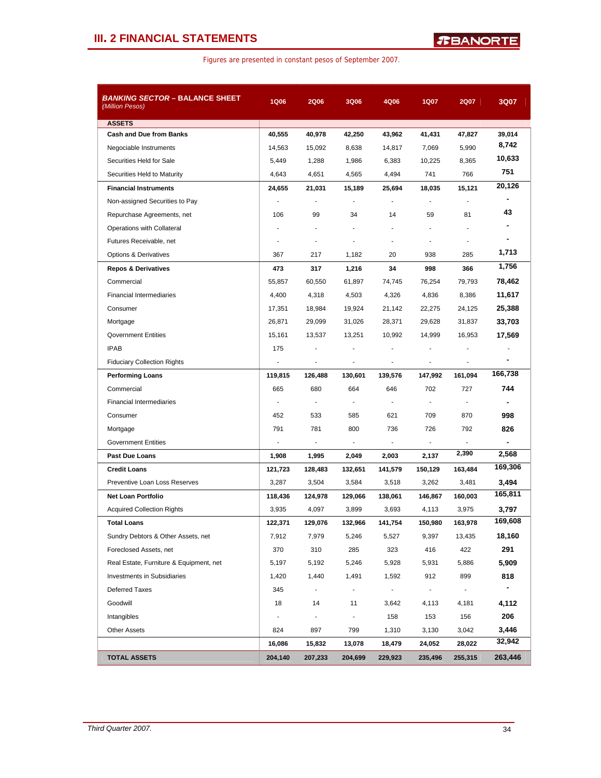### **III. 2 FINANCIAL STATEMENTS**

| <b>BANKING SECTOR - BALANCE SHEET</b><br>(Million Pesos) | <b>1Q06</b>    | <b>2Q06</b>    | 3Q06           | 4Q06                     | 1Q07                     | <b>2Q07</b>    | 3Q07    |
|----------------------------------------------------------|----------------|----------------|----------------|--------------------------|--------------------------|----------------|---------|
| <b>ASSETS</b>                                            |                |                |                |                          |                          |                |         |
| <b>Cash and Due from Banks</b>                           | 40,555         | 40,978         | 42,250         | 43,962                   | 41,431                   | 47,827         | 39,014  |
| Negociable Instruments                                   | 14,563         | 15,092         | 8,638          | 14,817                   | 7.069                    | 5,990          | 8,742   |
| Securities Held for Sale                                 | 5,449          | 1,288          | 1,986          | 6,383                    | 10,225                   | 8,365          | 10,633  |
| Securities Held to Maturity                              | 4,643          | 4,651          | 4,565          | 4,494                    | 741                      | 766            | 751     |
| <b>Financial Instruments</b>                             | 24,655         | 21,031         | 15,189         | 25,694                   | 18,035                   | 15,121         | 20,126  |
| Non-assigned Securities to Pay                           |                |                |                |                          | ÷,                       |                |         |
| Repurchase Agreements, net                               | 106            | 99             | 34             | 14                       | 59                       | 81             | 43      |
| Operations with Collateral                               |                |                |                |                          |                          |                |         |
| Futures Receivable, net                                  |                |                |                |                          | ÷                        |                |         |
| <b>Options &amp; Derivatives</b>                         | 367            | 217            | 1,182          | 20                       | 938                      | 285            | 1,713   |
| <b>Repos &amp; Derivatives</b>                           | 473            | 317            | 1,216          | 34                       | 998                      | 366            | 1,756   |
| Commercial                                               | 55,857         | 60,550         | 61,897         | 74,745                   | 76,254                   | 79,793         | 78,462  |
| <b>Financial Intermediaries</b>                          | 4,400          | 4,318          | 4,503          | 4,326                    | 4,836                    | 8,386          | 11,617  |
| Consumer                                                 | 17,351         | 18,984         | 19,924         | 21,142                   | 22,275                   | 24,125         | 25,388  |
| Mortgage                                                 | 26,871         | 29,099         | 31,026         | 28,371                   | 29,628                   | 31,837         | 33,703  |
| <b>Qovernment Entities</b>                               | 15,161         | 13,537         | 13,251         | 10,992                   | 14,999                   | 16,953         | 17,569  |
| <b>IPAB</b>                                              | 175            |                |                |                          |                          |                |         |
| <b>Fiduciary Collection Rights</b>                       |                |                |                |                          |                          |                |         |
| <b>Performing Loans</b>                                  | 119,815        | 126,488        | 130,601        | 139,576                  | 147,992                  | 161,094        | 166,738 |
| Commercial                                               | 665            | 680            | 664            | 646                      | 702                      | 727            | 744     |
| <b>Financial Intermediaries</b>                          | ÷              | $\blacksquare$ |                | ÷                        | ÷                        | $\blacksquare$ | ٠       |
| Consumer                                                 | 452            | 533            | 585            | 621                      | 709                      | 870            | 998     |
| Mortgage                                                 | 791            | 781            | 800            | 736                      | 726                      | 792            | 826     |
| <b>Government Entities</b>                               | $\blacksquare$ |                |                | $\overline{\phantom{a}}$ | $\overline{\phantom{a}}$ |                |         |
| <b>Past Due Loans</b>                                    | 1,908          | 1,995          | 2,049          | 2,003                    | 2,137                    | 2,390          | 2,568   |
| <b>Credit Loans</b>                                      | 121,723        | 128,483        | 132,651        | 141,579                  | 150,129                  | 163,484        | 169,306 |
| Preventive Loan Loss Reserves                            | 3,287          | 3,504          | 3,584          | 3,518                    | 3,262                    | 3,481          | 3,494   |
| <b>Net Loan Portfolio</b>                                | 118,436        | 124,978        | 129,066        | 138,061                  | 146,867                  | 160,003        | 165,811 |
| <b>Acquired Collection Rights</b>                        | 3,935          | 4,097          | 3,899          | 3,693                    | 4,113                    | 3,975          | 3,797   |
| Total Loans                                              | 122,371        | 129,076        | 132,966        | 141,754                  | 150,980                  | 163,978        | 169,608 |
| Sundry Debtors & Other Assets, net                       | 7,912          | 7,979          | 5,246          | 5,527                    | 9,397                    | 13,435         | 18,160  |
| Foreclosed Assets, net                                   | 370            | 310            | 285            | 323                      | 416                      | 422            | 291     |
| Real Estate, Furniture & Equipment, net                  | 5,197          | 5,192          | 5,246          | 5,928                    | 5,931                    | 5,886          | 5,909   |
| Investments in Subsidiaries                              | 1,420          | 1,440          | 1,491          | 1,592                    | 912                      | 899            | 818     |
| <b>Deferred Taxes</b>                                    | 345            | $\blacksquare$ | $\blacksquare$ | $\sim$                   | $\sim$                   | $\blacksquare$ | ٠       |
| Goodwill                                                 | 18             | 14             | 11             | 3,642                    | 4,113                    | 4,181          | 4,112   |
| Intangibles                                              | $\blacksquare$ |                | $\blacksquare$ | 158                      | 153                      | 156            | 206     |
| <b>Other Assets</b>                                      | 824            | 897            | 799            | 1,310                    | 3,130                    | 3,042          | 3,446   |
|                                                          | 16,086         | 15,832         | 13,078         | 18,479                   | 24,052                   | 28,022         | 32,942  |
| <b>TOTAL ASSETS</b>                                      | 204,140        | 207,233        | 204,699        | 229,923                  | 235,496                  | 255,315        | 263,446 |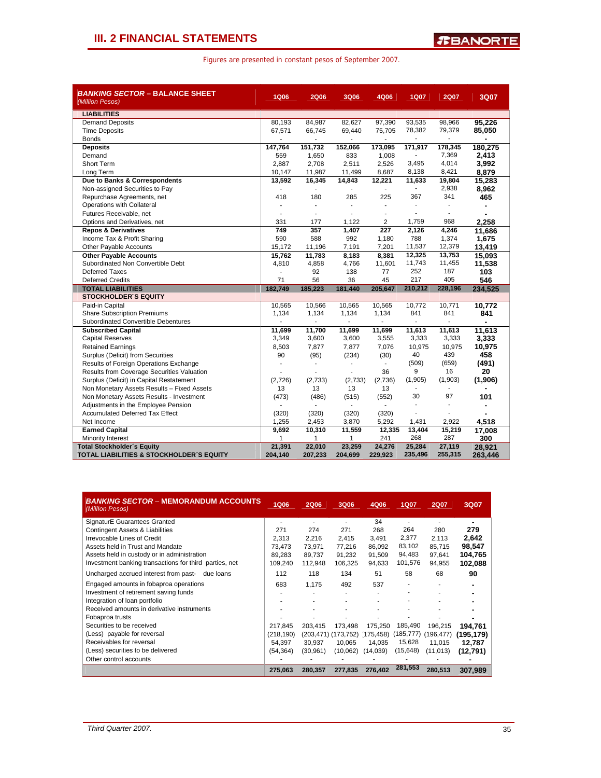|  |  |  |  | Figures are presented in constant pesos of September 2007. |  |
|--|--|--|--|------------------------------------------------------------|--|
|--|--|--|--|------------------------------------------------------------|--|

| <b>BANKING SECTOR - BALANCE SHEET</b><br>(Million Pesos) | <b>1Q06</b> | <b>2Q06</b>    | <b>3Q06</b> | 4Q06           | 1Q07    | <b>2Q07</b>              | 3Q07    |
|----------------------------------------------------------|-------------|----------------|-------------|----------------|---------|--------------------------|---------|
| <b>LIABILITIES</b>                                       |             |                |             |                |         |                          |         |
| <b>Demand Deposits</b>                                   | 80,193      | 84,987         | 82,627      | 97,390         | 93,535  | 98,966                   | 95,226  |
| <b>Time Deposits</b>                                     | 67,571      | 66,745         | 69,440      | 75,705         | 78,382  | 79,379                   | 85,050  |
| <b>Bonds</b>                                             |             | ٠              |             | $\blacksquare$ |         | $\overline{\phantom{a}}$ | ٠       |
| <b>Deposits</b>                                          | 147,764     | 151,732        | 152,066     | 173,095        | 171,917 | 178,345                  | 180,275 |
| Demand                                                   | 559         | 1,650          | 833         | 1,008          |         | 7,369                    | 2,413   |
| Short Term                                               | 2,887       | 2,708          | 2,511       | 2,526          | 3,495   | 4,014                    | 3,992   |
| Long Term                                                | 10,147      | 11,987         | 11,499      | 8,687          | 8,138   | 8,421                    | 8,879   |
| Due to Banks & Correspondents                            | 13,592      | 16,345         | 14,843      | 12,221         | 11,633  | 19,804                   | 15,283  |
| Non-assigned Securities to Pay                           |             | $\blacksquare$ |             |                | ÷.      | 2,938                    | 8,962   |
| Repurchase Agreements, net                               | 418         | 180            | 285         | 225            | 367     | 341                      | 465     |
| Operations with Collateral                               |             | ÷              |             | $\overline{a}$ |         | ÷.                       |         |
| Futures Receivable, net                                  |             | ÷.             |             |                | ÷       | $\overline{\phantom{a}}$ |         |
| Options and Derivatives, net                             | 331         | 177            | 1,122       | 2              | 1,759   | 968                      | 2,258   |
| <b>Repos &amp; Derivatives</b>                           | 749         | 357            | 1,407       | 227            | 2,126   | 4,246                    | 11,686  |
| Income Tax & Profit Sharing                              | 590         | 588            | 992         | 1,180          | 788     | 1,374                    | 1,675   |
| Other Payable Accounts                                   | 15,172      | 11,196         | 7,191       | 7,201          | 11,537  | 12,379                   | 13,419  |
| <b>Other Payable Accounts</b>                            | 15,762      | 11,783         | 8,183       | 8,381          | 12,325  | 13,753                   | 15,093  |
| Subordinated Non Convertible Debt                        | 4,810       | 4,858          | 4,766       | 11,601         | 11,743  | 11,455                   | 11,538  |
| <b>Deferred Taxes</b>                                    |             | 92             | 138         | 77             | 252     | 187                      | 103     |
| <b>Deferred Credits</b>                                  | 71          | 56             | 36          | 45             | 217     | 405                      | 546     |
| <b>TOTAL LIABILITIES</b>                                 | 182,749     | 185,223        | 181,440     | 205,647        | 210,212 | 228,196                  | 234,525 |
| <b>STOCKHOLDER S EQUITY</b>                              |             |                |             |                |         |                          |         |
| Paid-in Capital                                          | 10,565      | 10,566         | 10,565      | 10,565         | 10,772  | 10,771                   | 10,772  |
| <b>Share Subscription Premiums</b>                       | 1,134       | 1,134          | 1,134       | 1,134          | 841     | 841                      | 841     |
| Subordinated Convertible Debentures                      |             |                |             | $\overline{a}$ |         | -                        |         |
| <b>Subscribed Capital</b>                                | 11,699      | 11,700         | 11,699      | 11,699         | 11,613  | 11,613                   | 11,613  |
| <b>Capital Reserves</b>                                  | 3,349       | 3,600          | 3,600       | 3,555          | 3,333   | 3,333                    | 3,333   |
| <b>Retained Earnings</b>                                 | 8,503       | 7,877          | 7,877       | 7,076          | 10,975  | 10,975                   | 10,975  |
| Surplus (Deficit) from Securities                        | 90          | (95)           | (234)       | (30)           | 40      | 439                      | 458     |
| Results of Foreign Operations Exchange                   |             | ÷              |             | $\mathbf{r}$   | (509)   | (659)                    | (491)   |
| Results from Coverage Securities Valuation               |             |                |             | 36             | 9       | 16                       | 20      |
| Surplus (Deficit) in Capital Restatement                 | (2,726)     | (2,733)        | (2,733)     | (2,736)        | (1,905) | (1,903)                  | (1,906) |
| Non Monetary Assets Results - Fixed Assets               | 13          | 13             | 13          | 13             | ٠       |                          |         |
| Non Monetary Assets Results - Investment                 | (473)       | (486)          | (515)       | (552)          | 30      | 97                       | 101     |
| Adjustments in the Employee Pension                      |             |                |             | $\blacksquare$ |         | L.                       |         |
| <b>Accumulated Deferred Tax Effect</b>                   | (320)       | (320)          | (320)       | (320)          | ä,      | ä,                       |         |
| Net Income                                               | 1,255       | 2,453          | 3,870       | 5,292          | 1,431   | 2,922                    | 4,518   |
| <b>Earned Capital</b>                                    | 9,692       | 10,310         | 11,559      | 12,335         | 13,404  | 15,219                   | 17,008  |
| Minority Interest                                        | 1           | 1              | 1           | 241            | 268     | 287                      | 300     |
| <b>Total Stockholder's Equity</b>                        | 21,391      | 22,010         | 23,259      | 24,276         | 25,284  | 27,119                   | 28,921  |
| TOTAL LIABILITIES & STOCKHOLDER'S EQUITY                 | 204,140     | 207,233        | 204,699     | 229,923        | 235,496 | 255,315                  | 263,446 |

| <b>BANKING SECTOR – MEMORANDUM ACCOUNTS</b><br>(Milllon Pesos) | <b>1Q06</b> | <b>2Q06</b> | 3Q06     | 4Q06                          | <b>1Q07</b> | <b>2Q07</b> | 3Q07       |
|----------------------------------------------------------------|-------------|-------------|----------|-------------------------------|-------------|-------------|------------|
| SignaturE Guarantees Granted                                   |             |             |          | 34                            |             |             |            |
| Contingent Assets & Liabilities                                | 271         | 274         | 271      | 268                           | 264         | 280         | 279        |
| Irrevocable Lines of Credit                                    | 2.313       | 2,216       | 2,415    | 3,491                         | 2,377       | 2,113       | 2.642      |
| Assets held in Trust and Mandate                               | 73.473      | 73.971      | 77.216   | 86.092                        | 83,102      | 85.715      | 98,547     |
| Assets held in custody or in administration                    | 89.283      | 89.737      | 91,232   | 91,509                        | 94,483      | 97.641      | 104,765    |
| Investment banking transactions for third parties, net         | 109.240     | 112,948     | 106,325  | 94,633                        | 101,576     | 94,955      | 102,088    |
| Uncharged accrued interest from past-<br>due loans             | 112         | 118         | 134      | 51                            | 58          | 68          | 90         |
| Engaged amounts in fobaproa operations                         | 683         | 1,175       | 492      | 537                           |             |             |            |
| Investment of retirement saving funds                          |             | ٠           | ٠        |                               |             |             |            |
| Integration of loan portfolio                                  |             |             | ٠        |                               |             |             |            |
| Received amounts in derivative instruments                     |             |             |          |                               |             |             |            |
| Fobaproa trusts                                                |             |             |          |                               |             |             |            |
| Securities to be received                                      | 217.845     | 203.415     | 173.498  | 175.250                       | 185,490     | 196.215     | 194,761    |
| (Less) payable for reversal                                    | (218, 190)  |             |          | (203,471) (173,752) (175,458) | (185, 777)  | (196, 477)  | (195, 179) |
| Receivables for reversal                                       | 54.397      | 30,937      | 10.065   | 14.035                        | 15,628      | 11.015      | 12.787     |
| (Less) securities to be delivered                              | (54, 364)   | (30, 961)   | (10,062) | (14,039)                      | (15,648)    | (11,013)    | (12,791)   |
| Other control accounts                                         |             |             |          |                               |             |             |            |
|                                                                | 275,063     | 280,357     | 277,835  | 276,402                       | 281,553     | 280.513     | 307.989    |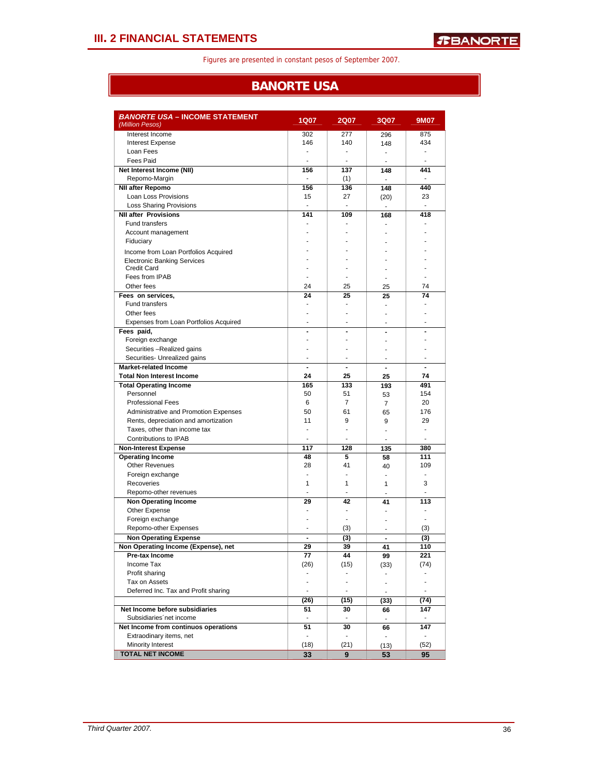### **BANORTE USA**

| <b>BANORTE USA - INCOME STATEMENT</b><br>(Million Pesos)            | 1Q07                     | <b>2Q07</b>              | <b>3Q07</b>                   | 9M07           |
|---------------------------------------------------------------------|--------------------------|--------------------------|-------------------------------|----------------|
| Interest Income                                                     | 302                      | 277                      | 296                           | 875            |
| <b>Interest Expense</b>                                             | 146                      | 140                      | 148                           | 434            |
| Loan Fees                                                           | ÷,                       | ÷.                       | $\mathbf{r}$                  | ä,             |
| <b>Fees Paid</b>                                                    |                          |                          | ÷.                            |                |
| Net Interest Income (NII)                                           | 156                      | 137                      | 148                           | 441            |
| Repomo-Margin                                                       | ۰                        | (1)                      | ÷.                            | ٠              |
| <b>NII after Repomo</b>                                             | 156                      | 136                      | 148                           | 440            |
| Loan Loss Provisions                                                | 15                       | 27                       | (20)                          | 23             |
| <b>Loss Sharing Provisions</b>                                      | ÷                        | $\overline{a}$           | ÷.                            | $\blacksquare$ |
| <b>NII after Provisions</b>                                         | 141                      | 109                      | 168                           | 418            |
| <b>Fund transfers</b>                                               |                          |                          |                               |                |
| Account management                                                  |                          |                          |                               |                |
| Fiduciary                                                           |                          |                          |                               |                |
| Income from Loan Portfolios Acquired                                |                          |                          |                               |                |
| <b>Electronic Banking Services</b>                                  |                          |                          |                               |                |
| <b>Credit Card</b>                                                  |                          |                          |                               |                |
| Fees from IPAB                                                      |                          |                          |                               |                |
| Other fees                                                          | 24                       | 25                       | 25                            | 74             |
| Fees on services,                                                   | 24                       | 25                       | 25                            | 74             |
| Fund transfers                                                      |                          |                          |                               |                |
| Other fees                                                          |                          |                          |                               |                |
| Expenses from Loan Portfolios Acquired                              | ٠                        | ä,                       | ٠                             |                |
| Fees paid,                                                          |                          | $\overline{a}$           |                               |                |
| Foreign exchange                                                    |                          |                          | ٠                             |                |
| Securities -Realized gains                                          |                          |                          | ٠                             |                |
| Securities- Unrealized gains                                        | $\overline{\phantom{a}}$ | ٠                        | $\blacksquare$                |                |
| <b>Market-related Income</b>                                        |                          |                          |                               |                |
| <b>Total Non Interest Income</b>                                    | 24                       | 25                       | 25                            | 74             |
| <b>Total Operating Income</b>                                       | 165                      | 133                      | 193                           | 491            |
| Personnel                                                           | 50                       | 51                       | 53                            | 154            |
| <b>Professional Fees</b>                                            | 6                        | 7                        | $\overline{7}$                | 20             |
| Administrative and Promotion Expenses                               | 50                       | 61                       | 65                            | 176            |
| Rents, depreciation and amortization                                | 11                       | 9                        | 9                             | 29             |
| Taxes, other than income tax                                        | ÷.                       | ä,                       | ä,                            | $\blacksquare$ |
| <b>Contributions to IPAB</b>                                        | $\blacksquare$           | ÷,                       | ÷                             | ÷.             |
| <b>Non-Interest Expense</b>                                         | 117                      | 128                      | 135                           | 380            |
| <b>Operating Income</b>                                             | 48                       | 5                        | 58                            | 111            |
| <b>Other Revenues</b>                                               | 28                       | 41                       | 40                            | 109            |
| Foreign exchange                                                    | ÷,                       | Ĭ.                       | ÷                             | ä,             |
| Recoveries                                                          | 1                        | 1                        | 1                             | 3              |
| Repomo-other revenues                                               |                          |                          |                               |                |
| <b>Non Operating Income</b>                                         | 29                       | 42                       | 41                            | 113            |
| Other Expense                                                       |                          | ä,                       |                               |                |
| Foreign exchange                                                    |                          | ä,                       |                               |                |
| Repomo-other Expenses                                               |                          |                          | ä,                            | (3)            |
|                                                                     | $\blacksquare$           | (3)                      | $\blacksquare$                | (3)            |
| <b>Non Operating Expense</b><br>Non Operating Income (Expense), net | 29                       | (3)<br>39                | 41                            | 110            |
| Pre-tax Income                                                      | 77                       | 44                       |                               | 221            |
| Income Tax                                                          | (26)                     | (15)                     | 99                            | (74)           |
| Profit sharing                                                      | ٠                        | $\overline{\phantom{0}}$ | (33)                          |                |
| Tax on Assets                                                       | ÷                        | $\blacksquare$           | ۰<br>$\overline{\phantom{a}}$ | $\blacksquare$ |
| Deferred Inc. Tax and Profit sharing                                | $\blacksquare$           | $\overline{\phantom{a}}$ |                               | $\blacksquare$ |
|                                                                     |                          |                          | $\overline{\phantom{a}}$      |                |
|                                                                     | (26)                     | (15)                     | (33)                          | (74)           |
| Net Income before subsidiaries                                      | 51                       | 30                       | 66                            | 147            |
| Subsidiaries net income                                             | $\blacksquare$           |                          | $\mathbf{r}$                  |                |
| Net Income from continuos operations                                | 51                       | 30                       | 66                            | 147            |
| Extraodinary items, net                                             | $\blacksquare$           | $\overline{\phantom{a}}$ | $\blacksquare$                | $\blacksquare$ |
| Minority Interest                                                   | (18)                     | (21)                     | (13)                          | (52)           |
| <b>TOTAL NET INCOME</b>                                             | 33                       | 9                        | 53                            | 95             |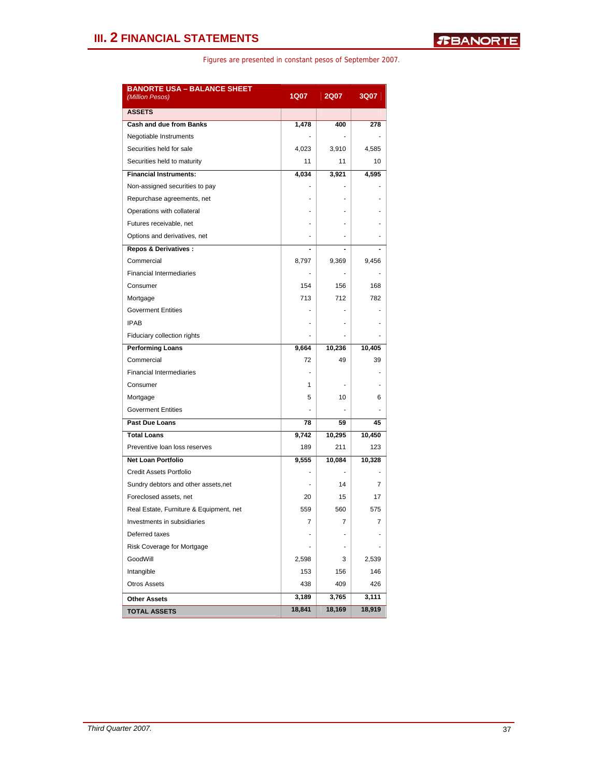| <b>BANORTE USA - BALANCE SHEET</b><br>(Million Pesos) | <b>1Q07</b>              | <b>2Q07</b>    | 3Q07           |
|-------------------------------------------------------|--------------------------|----------------|----------------|
| <b>ASSETS</b>                                         |                          |                |                |
| <b>Cash and due from Banks</b>                        | 1,478                    | 400            | 278            |
| Negotiable Instruments                                |                          |                |                |
| Securities held for sale                              | 4,023                    | 3,910          | 4,585          |
| Securities held to maturity                           | 11                       | 11             | 10             |
| <b>Financial Instruments:</b>                         | 4,034                    | 3,921          | 4,595          |
| Non-assigned securities to pay                        |                          |                |                |
| Repurchase agreements, net                            |                          |                |                |
| Operations with collateral                            |                          |                |                |
| Futures receivable, net                               |                          |                |                |
| Options and derivatives, net                          |                          |                |                |
| <b>Repos &amp; Derivatives:</b>                       | $\overline{\phantom{0}}$ | $\blacksquare$ |                |
| Commercial                                            | 8,797                    | 9,369          | 9,456          |
| <b>Financial Intermediaries</b>                       | ä,                       |                |                |
| Consumer                                              | 154                      | 156            | 168            |
| Mortgage                                              | 713                      | 712            | 782            |
| <b>Goverment Entities</b>                             |                          |                |                |
| <b>IPAB</b>                                           |                          |                |                |
| Fiduciary collection rights                           |                          |                |                |
| <b>Performing Loans</b>                               | 9,664                    | 10,236         | 10,405         |
| Commercial                                            | 72                       | 49             | 39             |
| <b>Financial Intermediaries</b>                       |                          |                |                |
| Consumer                                              | 1                        |                |                |
| Mortgage                                              | 5                        | 10             | 6              |
| <b>Goverment Entities</b>                             |                          |                |                |
| Past Due Loans                                        | 78                       | 59             | 45             |
| <b>Total Loans</b>                                    | 9,742                    | 10,295         | 10,450         |
| Preventive loan loss reserves                         | 189                      | 211            | 123            |
| <b>Net Loan Portfolio</b>                             | 9,555                    | 10,084         | 10,328         |
| <b>Credit Assets Portfolio</b>                        | ä,                       |                |                |
| Sundry debtors and other assets, net                  |                          | 14             | 7              |
| Foreclosed assets, net                                | 20                       | 15             | 17             |
| Real Estate, Furniture & Equipment, net               | 559                      | 560            | 575            |
| Investments in subsidiaries                           | $\overline{7}$           | $\overline{7}$ | $\overline{7}$ |
| Deferred taxes                                        |                          |                |                |
| Risk Coverage for Mortgage                            |                          |                |                |
| GoodWill                                              | 2,598                    | 3              | 2,539          |
| Intangible                                            | 153                      | 156            | 146            |
| <b>Otros Assets</b>                                   | 438                      | 409            | 426            |
| <b>Other Assets</b>                                   | 3,189                    | 3,765          | 3,111          |
| <b>TOTAL ASSETS</b>                                   | 18,841                   | 18,169         | 18,919         |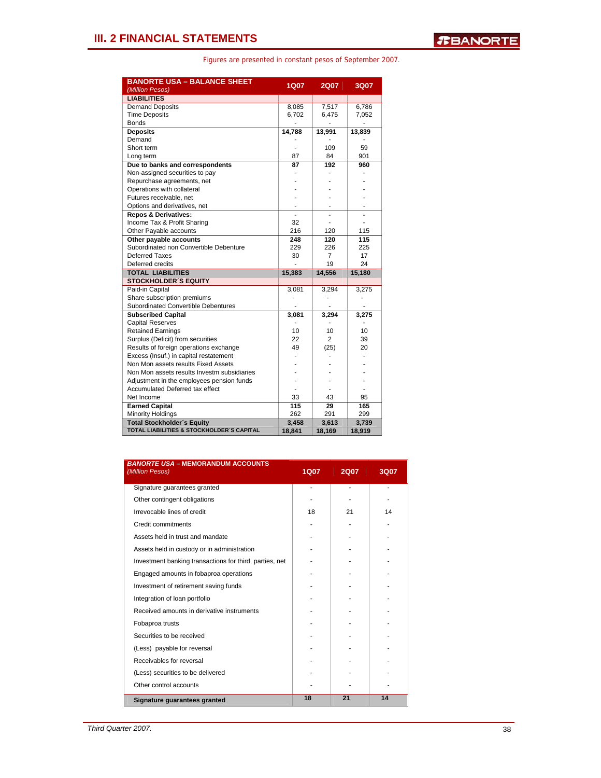| <b>BANORTE USA - BALANCE SHEET</b><br>(Million Pesos) | <b>1Q07</b> | <b>2Q07</b>    | 3Q07   |
|-------------------------------------------------------|-------------|----------------|--------|
| <b>LIABILITIES</b>                                    |             |                |        |
| <b>Demand Deposits</b>                                | 8,085       | 7,517          | 6,786  |
| <b>Time Deposits</b>                                  | 6,702       | 6,475          | 7,052  |
| <b>Bonds</b>                                          |             |                |        |
| <b>Deposits</b>                                       | 14,788      | 13,991         | 13,839 |
| Demand                                                |             |                |        |
| Short term                                            |             | 109            | 59     |
| Long term                                             | 87          | 84             | 901    |
| Due to banks and correspondents                       | 87          | 192            | 960    |
| Non-assigned securities to pay                        |             |                |        |
| Repurchase agreements, net                            |             |                |        |
| Operations with collateral                            |             |                |        |
| Futures receivable, net                               |             |                |        |
| Options and derivatives, net                          |             |                |        |
| <b>Repos &amp; Derivatives:</b>                       |             |                |        |
| Income Tax & Profit Sharing                           | 32          |                | ٠      |
| Other Payable accounts                                | 216         | 120            | 115    |
| Other payable accounts                                | 248         | 120            | 115    |
| Subordinated non Convertible Debenture                | 229         | 226            | 225    |
| Deferred Taxes                                        | 30          | 7              | 17     |
| Deferred credits                                      |             | 19             | 24     |
| <b>TOTAL LIABILITIES</b>                              | 15,383      | 14,556         | 15,180 |
| <b>STOCKHOLDER'S EQUITY</b>                           |             |                |        |
| Paid-in Capital                                       | 3,081       | 3,294          | 3,275  |
| Share subscription premiums                           |             |                |        |
| <b>Subordinated Convertible Debentures</b>            |             |                |        |
| <b>Subscribed Capital</b>                             | 3,081       | 3,294          | 3,275  |
| <b>Capital Reserves</b>                               |             |                |        |
| <b>Retained Earnings</b>                              | 10          | 10             | 10     |
| Surplus (Deficit) from securities                     | 22          | $\overline{2}$ | 39     |
| Results of foreign operations exchange                | 49          | (25)           | 20     |
| Excess (Insuf.) in capital restatement                |             |                |        |
| Non Mon assets results Fixed Assets                   |             |                |        |
| Non Mon assets results Investm subsidiaries           |             |                |        |
| Adjustment in the employees pension funds             |             |                |        |
| <b>Accumulated Deferred tax effect</b>                |             |                |        |
| Net Income                                            | 33          | 43             | 95     |
| <b>Earned Capital</b>                                 | 115         | 29             | 165    |
| <b>Minority Holdings</b>                              | 262         | 291            | 299    |
| <b>Total Stockholder's Equity</b>                     | 3,458       | 3,613          | 3,739  |
| TOTAL LIABILITIES & STOCKHOLDER'S CAPITAL             | 18,841      | 18,169         | 18,919 |

| <b>BANORTE USA - MEMORANDUM ACCOUNTS</b><br>(Million Pesos) | <b>1Q07</b> | <b>2Q07</b> | 3Q07 |
|-------------------------------------------------------------|-------------|-------------|------|
| Signature guarantees granted                                | ä,          |             |      |
| Other contingent obligations                                |             |             |      |
| Irrevocable lines of credit                                 | 18          | 21          | 14   |
| Credit commitments                                          |             |             |      |
| Assets held in trust and mandate                            |             |             |      |
| Assets held in custody or in administration                 |             |             |      |
| Investment banking transactions for third parties, net      |             |             |      |
| Engaged amounts in fobaproa operations                      |             |             |      |
| Investment of retirement saving funds                       |             |             |      |
| Integration of loan portfolio                               |             |             |      |
| Received amounts in derivative instruments                  |             |             |      |
| Fobaproa trusts                                             |             |             |      |
| Securities to be received                                   |             |             |      |
| (Less) payable for reversal                                 |             |             |      |
| Receivables for reversal                                    |             |             |      |
| (Less) securities to be delivered                           |             |             |      |
| Other control accounts                                      |             |             |      |
| Signature guarantees granted                                | 18          | 21          | 14   |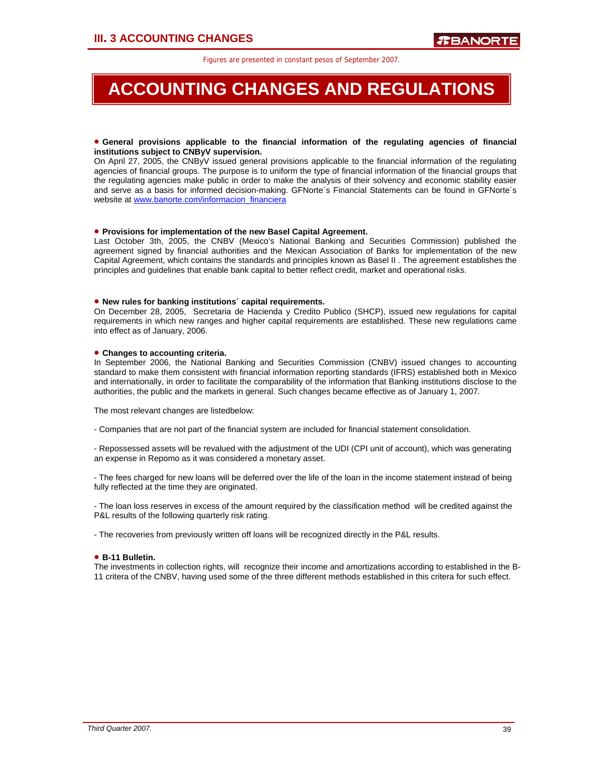# **ACCOUNTING CHANGES AND REGULATIONS**

### • **General provisions applicable to the financial information of the regulating agencies of financial institutions subject to CNByV supervision.**

On April 27, 2005, the CNByV issued general provisions applicable to the financial information of the regulating agencies of financial groups. The purpose is to uniform the type of financial information of the financial groups that the regulating agencies make public in order to make the analysis of their solvency and economic stability easier and serve as a basis for informed decision-making. GFNorte´s Financial Statements can be found in GFNorte´s website at www.banorte.com/informacion\_financiera

### • **Provisions for implementation of the new Basel Capital Agreement.**

Last October 3th, 2005, the CNBV (Mexico's National Banking and Securities Commission) published the agreement signed by financial authorities and the Mexican Association of Banks for implementation of the new Capital Agreement, which contains the standards and principles known as Basel II . The agreement establishes the principles and guidelines that enable bank capital to better reflect credit, market and operational risks.

### • **New rules for banking institutions´ capital requirements.**

On December 28, 2005, Secretaria de Hacienda y Credito Publico (SHCP), issued new regulations for capital requirements in which new ranges and higher capital requirements are established. These new regulations came into effect as of January, 2006.

### • **Changes to accounting criteria.**

In September 2006, the National Banking and Securities Commission (CNBV) issued changes to accounting standard to make them consistent with financial information reporting standards (IFRS) established both in Mexico and internationally, in order to facilitate the comparability of the information that Banking institutions disclose to the authorities, the public and the markets in general. Such changes became effective as of January 1, 2007.

The most relevant changes are listedbelow:

- Companies that are not part of the financial system are included for financial statement consolidation.

- Repossessed assets will be revalued with the adjustment of the UDI (CPI unit of account), which was generating an expense in Repomo as it was considered a monetary asset.

- The fees charged for new loans will be deferred over the life of the loan in the income statement instead of being fully reflected at the time they are originated.

- The loan loss reserves in excess of the amount required by the classification method will be credited against the P&L results of the following quarterly risk rating.

- The recoveries from previously written off loans will be recognized directly in the P&L results.

### • **B-11 Bulletin.**

The investments in collection rights, will recognize their income and amortizations according to established in the B-11 critera of the CNBV, having used some of the three different methods established in this critera for such effect.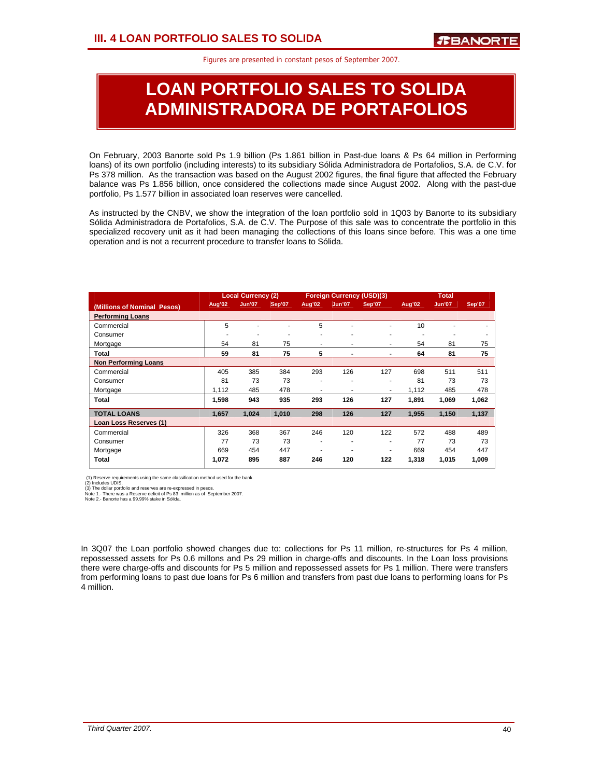# **LOAN PORTFOLIO SALES TO SOLIDA ADMINISTRADORA DE PORTAFOLIOS**

On February, 2003 Banorte sold Ps 1.9 billion (Ps 1.861 billion in Past-due loans & Ps 64 million in Performing loans) of its own portfolio (including interests) to its subsidiary Sólida Administradora de Portafolios, S.A. de C.V. for Ps 378 million. As the transaction was based on the August 2002 figures, the final figure that affected the February balance was Ps 1.856 billion, once considered the collections made since August 2002. Along with the past-due portfolio, Ps 1.577 billion in associated loan reserves were cancelled.

As instructed by the CNBV, we show the integration of the loan portfolio sold in 1Q03 by Banorte to its subsidiary Sólida Administradora de Portafolios, S.A. de C.V. The Purpose of this sale was to concentrate the portfolio in this specialized recovery unit as it had been managing the collections of this loans since before. This was a one time operation and is not a recurrent procedure to transfer loans to Sólida.

|                             | <b>Local Currency (2)</b><br><b>Foreign Currency (USD)(3)</b> |               |        |        | <b>Total</b>   |                |        |               |        |
|-----------------------------|---------------------------------------------------------------|---------------|--------|--------|----------------|----------------|--------|---------------|--------|
| (Millions of Nominal Pesos) | <b>Aug'02</b>                                                 | <b>Jun'07</b> | Sep'07 | Aug'02 | <b>Jun'07</b>  | Sep'07         | Aug'02 | <b>Jun'07</b> | Sep'07 |
| <b>Performing Loans</b>     |                                                               |               |        |        |                |                |        |               |        |
| Commercial                  | 5                                                             |               |        | 5      | ٠              | ٠              | 10     |               |        |
| Consumer                    |                                                               |               | ۰      | ۰      | ۰              | ٠              | ۰      | ۰             | ٠      |
| Mortgage                    | 54                                                            | 81            | 75     | ۰      | ٠              | ٠              | 54     | 81            | 75     |
| Total                       | 59                                                            | 81            | 75     | 5      | $\blacksquare$ | $\blacksquare$ | 64     | 81            | 75     |
| <b>Non Performing Loans</b> |                                                               |               |        |        |                |                |        |               |        |
| Commercial                  | 405                                                           | 385           | 384    | 293    | 126            | 127            | 698    | 511           | 511    |
| Consumer                    | 81                                                            | 73            | 73     | ٠      | ٠              | ٠              | 81     | 73            | 73     |
| Mortgage                    | 1,112                                                         | 485           | 478    |        | ۰              | ٠              | 1,112  | 485           | 478    |
| Total                       | 1,598                                                         | 943           | 935    | 293    | 126            | 127            | 1.891  | 1,069         | 1,062  |
| <b>TOTAL LOANS</b>          | 1.657                                                         | 1.024         | 1.010  | 298    | 126            | 127            | 1,955  | 1,150         | 1,137  |
| Loan Loss Reserves (1)      |                                                               |               |        |        |                |                |        |               |        |
| Commercial                  | 326                                                           | 368           | 367    | 246    | 120            | 122            | 572    | 488           | 489    |
| Consumer                    | 77                                                            | 73            | 73     |        | ۰              | ٠              | 77     | 73            | 73     |
| Mortgage                    | 669                                                           | 454           | 447    | ۰      |                | ۰              | 669    | 454           | 447    |
| Total                       | 1,072                                                         | 895           | 887    | 246    | 120            | 122            | 1,318  | 1,015         | 1,009  |

(1) Reserve requirements using the same classification method used for the bank.

(2) Includes UDIS. (3) The dollar portfolio and reserves are re-expressed in pesos. Note 1.- There was a Reserve deficit of Ps 83 million as of September 2007. Note 2.- Banorte has a 99.99% stake in Sólida.

In 3Q07 the Loan portfolio showed changes due to: collections for Ps 11 million, re-structures for Ps 4 million, repossessed assets for Ps 0.6 millons and Ps 29 million in charge-offs and discounts. In the Loan loss provisions there were charge-offs and discounts for Ps 5 million and repossessed assets for Ps 1 million. There were transfers from performing loans to past due loans for Ps 6 million and transfers from past due loans to performing loans for Ps 4 million.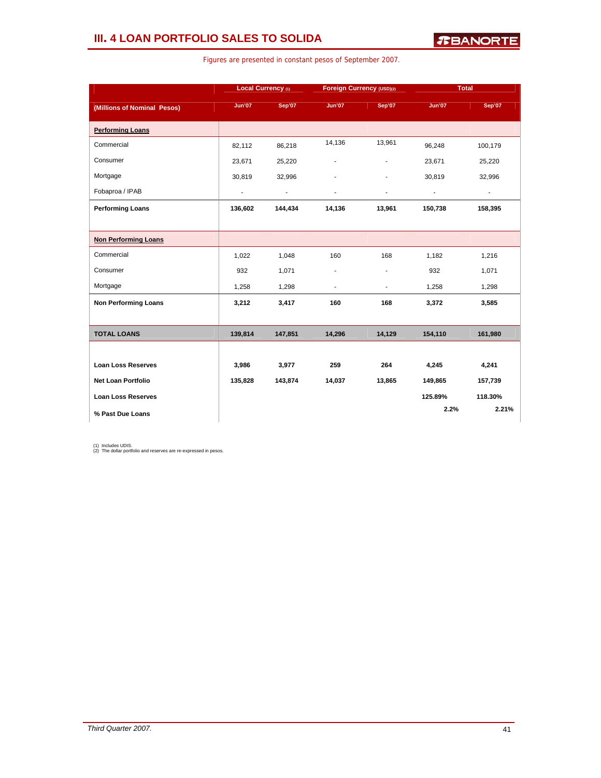### **III. 4 LOAN PORTFOLIO SALES TO SOLIDA**

|                             | Local Currency (1)       |                          | Foreign Currency (USD)(2) |                          | <b>Total</b>             |                |
|-----------------------------|--------------------------|--------------------------|---------------------------|--------------------------|--------------------------|----------------|
| (Millions of Nominal Pesos) | <b>Jun'07</b>            | Sep'07                   | <b>Jun'07</b>             | Sep'07                   | <b>Jun'07</b>            | Sep'07         |
| <b>Performing Loans</b>     |                          |                          |                           |                          |                          |                |
| Commercial                  | 82,112                   | 86,218                   | 14,136                    | 13,961                   | 96,248                   | 100,179        |
| Consumer                    | 23,671                   | 25,220                   | ä,                        | $\blacksquare$           | 23,671                   | 25,220         |
| Mortgage                    | 30,819                   | 32,996                   |                           | ÷.                       | 30,819                   | 32,996         |
| Fobaproa / IPAB             | $\overline{\phantom{a}}$ | $\overline{\phantom{a}}$ | $\blacksquare$            | ÷                        | $\overline{\phantom{a}}$ | $\blacksquare$ |
| <b>Performing Loans</b>     | 136,602                  | 144,434                  | 14,136                    | 13,961                   | 150,738                  | 158,395        |
|                             |                          |                          |                           |                          |                          |                |
| <b>Non Performing Loans</b> |                          |                          |                           |                          |                          |                |
| Commercial                  | 1,022                    | 1,048                    | 160                       | 168                      | 1,182                    | 1,216          |
| Consumer                    | 932                      | 1,071                    | ٠                         | $\overline{\phantom{a}}$ | 932                      | 1,071          |
| Mortgage                    | 1,258                    | 1,298                    | ÷.                        | ÷.                       | 1,258                    | 1,298          |
| <b>Non Performing Loans</b> | 3,212                    | 3,417                    | 160                       | 168                      | 3,372                    | 3,585          |
|                             |                          |                          |                           |                          |                          |                |
| <b>TOTAL LOANS</b>          | 139,814                  | 147,851                  | 14,296                    | 14,129                   | 154,110                  | 161,980        |
|                             |                          |                          |                           |                          |                          |                |
| <b>Loan Loss Reserves</b>   | 3,986                    | 3,977                    | 259                       | 264                      | 4,245                    | 4,241          |
| <b>Net Loan Portfolio</b>   | 135,828                  | 143,874                  | 14,037                    | 13,865                   | 149,865                  | 157,739        |
| <b>Loan Loss Reserves</b>   |                          |                          |                           |                          | 125.89%                  | 118.30%        |
| % Past Due Loans            |                          |                          |                           |                          | 2.2%                     | 2.21%          |

Figures are presented in constant pesos of September 2007.

(1) Includes UDIS. (2) The dollar portfolio and reserves are re-expressed in pesos.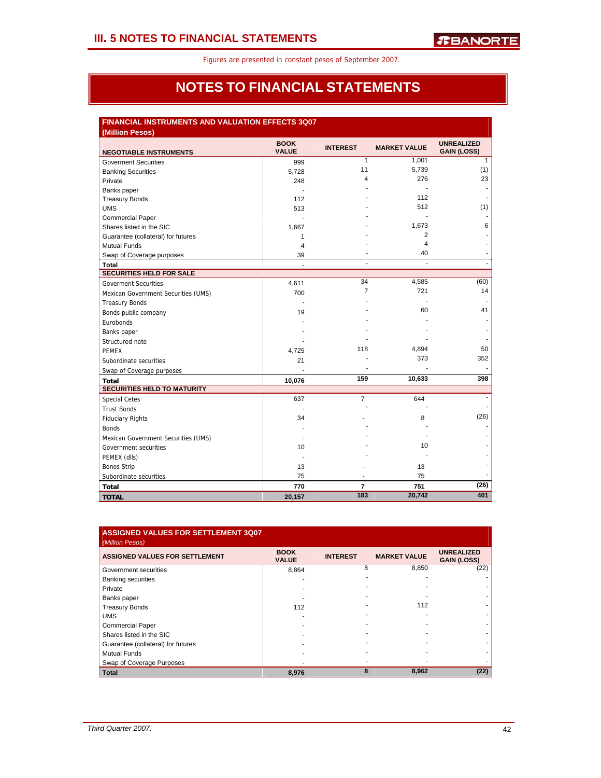### **NOTES TO FINANCIAL STATEMENTS**

| <b>FINANCIAL INSTRUMENTS AND VALUATION EFFECTS 3Q07</b><br>(Million Pesos) |                             |                 |                     |                                         |  |  |  |  |
|----------------------------------------------------------------------------|-----------------------------|-----------------|---------------------|-----------------------------------------|--|--|--|--|
| <b>NEGOTIABLE INSTRUMENTS</b>                                              | <b>BOOK</b><br><b>VALUE</b> | <b>INTEREST</b> | <b>MARKET VALUE</b> | <b>UNREALIZED</b><br><b>GAIN (LOSS)</b> |  |  |  |  |
| <b>Goverment Securities</b>                                                | 999                         | 1               | 1,001               | $\mathbf{1}$                            |  |  |  |  |
| <b>Banking Securities</b>                                                  | 5,728                       | 11              | 5,739               | (1)                                     |  |  |  |  |
| Private                                                                    | 248                         | 4               | 276                 | 23                                      |  |  |  |  |
| Banks paper                                                                |                             |                 |                     |                                         |  |  |  |  |
| <b>Treasury Bonds</b>                                                      | 112                         |                 | 112                 |                                         |  |  |  |  |
| <b>UMS</b>                                                                 | 513                         |                 | 512                 | (1)                                     |  |  |  |  |
| <b>Commercial Paper</b>                                                    |                             |                 |                     |                                         |  |  |  |  |
| Shares listed in the SIC                                                   | 1,667                       |                 | 1,673               | 6                                       |  |  |  |  |
| Guarantee (collateral) for futures                                         | $\mathbf{1}$                |                 | 2                   |                                         |  |  |  |  |
| <b>Mutual Funds</b>                                                        | 4                           |                 | 4                   |                                         |  |  |  |  |
| Swap of Coverage purposes                                                  | 39                          |                 | 40                  |                                         |  |  |  |  |
| Total                                                                      | L,                          | ÷.              | $\overline{a}$      | $\frac{1}{2}$                           |  |  |  |  |
| <b>SECURITIES HELD FOR SALE</b>                                            |                             |                 |                     |                                         |  |  |  |  |
| <b>Goverment Securities</b>                                                | 4,611                       | 34              | 4,585               | (60)                                    |  |  |  |  |
| Mexican Government Securities (UMS)                                        | 700                         | 7               | 721                 | 14                                      |  |  |  |  |
| <b>Treasury Bonds</b>                                                      |                             |                 |                     |                                         |  |  |  |  |
| Bonds public company                                                       | 19                          |                 | 60                  | 41                                      |  |  |  |  |
| Eurobonds                                                                  |                             |                 |                     |                                         |  |  |  |  |
| Banks paper                                                                |                             |                 |                     |                                         |  |  |  |  |
| Structured note                                                            |                             |                 |                     |                                         |  |  |  |  |
| <b>PEMEX</b>                                                               | 4,725                       | 118             | 4,894               | 50                                      |  |  |  |  |
| Subordinate securities                                                     | 21                          |                 | 373                 | 352                                     |  |  |  |  |
| Swap of Coverage purposes                                                  |                             |                 |                     |                                         |  |  |  |  |
| <b>Total</b>                                                               | 10,076                      | 159             | 10,633              | 398                                     |  |  |  |  |
| <b>SECURITIES HELD TO MATURITY</b>                                         |                             |                 |                     |                                         |  |  |  |  |
| <b>Special Cetes</b>                                                       | 637                         | $\overline{7}$  | 644                 |                                         |  |  |  |  |
| <b>Trust Bonds</b>                                                         |                             |                 |                     |                                         |  |  |  |  |
| <b>Fiduciary Rights</b>                                                    | 34                          |                 | 8                   | (26)                                    |  |  |  |  |
| <b>Bonds</b>                                                               |                             |                 |                     |                                         |  |  |  |  |
| Mexican Government Securities (UMS)                                        |                             |                 |                     |                                         |  |  |  |  |
| Government securities                                                      | 10                          |                 | 10                  |                                         |  |  |  |  |
| PEMEX (dlls)                                                               |                             |                 |                     |                                         |  |  |  |  |
| <b>Bonos Strip</b>                                                         | 13                          |                 | 13                  |                                         |  |  |  |  |
| Subordinate securities                                                     | 75                          |                 | 75                  |                                         |  |  |  |  |
| <b>Total</b>                                                               | 770                         | 7               | 751                 | (26)                                    |  |  |  |  |
| <b>TOTAL</b>                                                               | 20,157                      | 183             | 20,742              | 401                                     |  |  |  |  |

| ASSIGNED VALUES FOR SETTLEMENT 3Q07   |                             |                 |                     |                                         |
|---------------------------------------|-----------------------------|-----------------|---------------------|-----------------------------------------|
| (Million Pesos)                       |                             |                 |                     |                                         |
| <b>ASSIGNED VALUES FOR SETTLEMENT</b> | <b>BOOK</b><br><b>VALUE</b> | <b>INTEREST</b> | <b>MARKET VALUE</b> | <b>UNREALIZED</b><br><b>GAIN (LOSS)</b> |
| Government securities                 | 8.864                       | 8               | 8,850               | (22)                                    |
| <b>Banking securities</b>             |                             |                 |                     |                                         |
| Private                               |                             |                 |                     |                                         |
| Banks paper                           |                             |                 |                     |                                         |
| <b>Treasury Bonds</b>                 | 112                         |                 | 112                 |                                         |
| <b>UMS</b>                            |                             |                 |                     |                                         |
| <b>Commercial Paper</b>               |                             |                 |                     |                                         |
| Shares listed in the SIC              |                             |                 |                     |                                         |
| Guarantee (collateral) for futures    |                             |                 |                     |                                         |
| <b>Mutual Funds</b>                   |                             |                 |                     |                                         |
| Swap of Coverage Purposes             |                             |                 |                     |                                         |
| <b>Total</b>                          | 8,976                       | 8               | 8,962               | (22)                                    |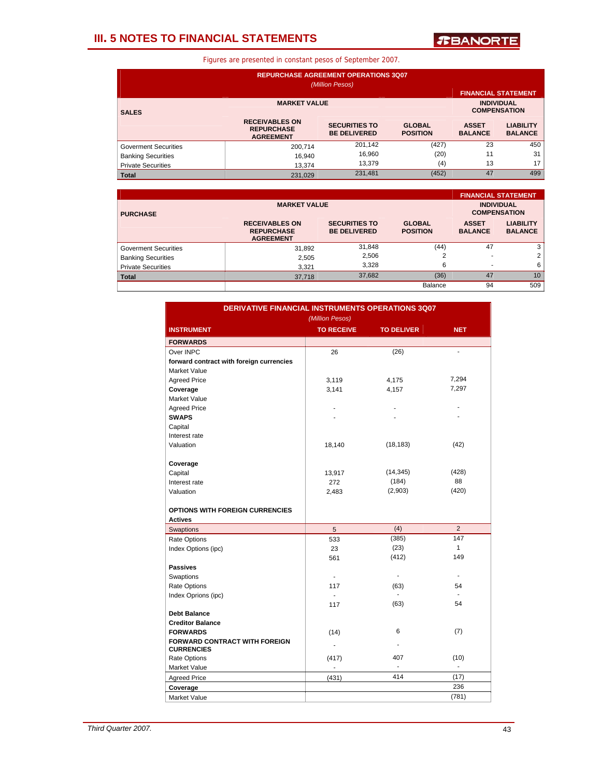### **III. 5 NOTES TO FINANCIAL STATEMENTS**

*T***BANORTE** 

| <b>REPURCHASE AGREEMENT OPERATIONS 3Q07</b><br>(Million Pesos) |                                                                |                                             |                                  |                                |                                    |  |  |
|----------------------------------------------------------------|----------------------------------------------------------------|---------------------------------------------|----------------------------------|--------------------------------|------------------------------------|--|--|
|                                                                |                                                                |                                             |                                  | <b>FINANCIAL STATEMENT</b>     |                                    |  |  |
| <b>SALES</b>                                                   | <b>INDIVIDUAL</b><br><b>COMPENSATION</b>                       |                                             |                                  |                                |                                    |  |  |
|                                                                | <b>RECEIVABLES ON</b><br><b>REPURCHASE</b><br><b>AGREEMENT</b> | <b>SECURITIES TO</b><br><b>BE DELIVERED</b> | <b>GLOBAL</b><br><b>POSITION</b> | <b>ASSET</b><br><b>BALANCE</b> | <b>LIABILITY</b><br><b>BALANCE</b> |  |  |
| <b>Goverment Securities</b>                                    | 200.714                                                        | 201,142                                     | (427)                            | 23                             | 450                                |  |  |
| <b>Banking Securities</b>                                      | 16,940                                                         | 16,960                                      | (20)                             | 11                             | 31                                 |  |  |
| <b>Private Securities</b>                                      | 13.374                                                         | 13.379                                      | (4)                              | 13                             | 17                                 |  |  |
| <b>Total</b>                                                   | 231.029                                                        | 231,481                                     | (452)                            | 47                             | 499                                |  |  |

|                             |                                                                |                                             |                                  |                                          | <b>FINANCIAL STATEMENT</b>         |  |
|-----------------------------|----------------------------------------------------------------|---------------------------------------------|----------------------------------|------------------------------------------|------------------------------------|--|
| <b>PURCHASE</b>             | <b>MARKET VALUE</b>                                            |                                             |                                  | <b>INDIVIDUAL</b><br><b>COMPENSATION</b> |                                    |  |
|                             | <b>RECEIVABLES ON</b><br><b>REPURCHASE</b><br><b>AGREEMENT</b> | <b>SECURITIES TO</b><br><b>BE DELIVERED</b> | <b>GLOBAL</b><br><b>POSITION</b> | <b>ASSET</b><br><b>BALANCE</b>           | <b>LIABILITY</b><br><b>BALANCE</b> |  |
| <b>Goverment Securities</b> | 31,892                                                         | 31,848                                      | (44)                             | 47                                       | 3                                  |  |
| <b>Banking Securities</b>   | 2,505                                                          | 2,506                                       |                                  |                                          | $\overline{2}$                     |  |
| <b>Private Securities</b>   | 3,321                                                          | 3.328                                       | 6                                |                                          | 6                                  |  |
| <b>Total</b>                | 37,718                                                         | 37,682                                      | (36)                             | 47                                       | 10                                 |  |
|                             |                                                                |                                             | Balance                          | 94                                       | 509                                |  |

| <b>DERIVATIVE FINANCIAL INSTRUMENTS OPERATIONS 3Q07</b> |                   |                   |                |  |  |  |  |  |
|---------------------------------------------------------|-------------------|-------------------|----------------|--|--|--|--|--|
|                                                         | (Million Pesos)   |                   |                |  |  |  |  |  |
| <b>INSTRUMENT</b>                                       | <b>TO RECEIVE</b> | <b>TO DELIVER</b> | <b>NET</b>     |  |  |  |  |  |
| <b>FORWARDS</b>                                         |                   |                   |                |  |  |  |  |  |
| Over INPC                                               | 26                | (26)              | ÷,             |  |  |  |  |  |
| forward contract with foreign currencies                |                   |                   |                |  |  |  |  |  |
| Market Value                                            |                   |                   |                |  |  |  |  |  |
| <b>Agreed Price</b>                                     | 3,119             | 4,175             | 7,294          |  |  |  |  |  |
| Coverage                                                | 3,141             | 4,157             | 7,297          |  |  |  |  |  |
| <b>Market Value</b>                                     |                   |                   |                |  |  |  |  |  |
| <b>Agreed Price</b>                                     |                   |                   |                |  |  |  |  |  |
| <b>SWAPS</b>                                            | ä,                |                   |                |  |  |  |  |  |
| Capital                                                 |                   |                   |                |  |  |  |  |  |
| Interest rate                                           |                   |                   |                |  |  |  |  |  |
| Valuation                                               | 18,140            | (18, 183)         | (42)           |  |  |  |  |  |
|                                                         |                   |                   |                |  |  |  |  |  |
| Coverage                                                |                   |                   |                |  |  |  |  |  |
| Capital                                                 | 13,917            | (14, 345)         | (428)          |  |  |  |  |  |
| Interest rate                                           | 272               | (184)             | 88             |  |  |  |  |  |
| Valuation                                               | 2,483             | (2,903)           | (420)          |  |  |  |  |  |
| <b>OPTIONS WITH FOREIGN CURRENCIES</b>                  |                   |                   |                |  |  |  |  |  |
| <b>Actives</b>                                          |                   |                   |                |  |  |  |  |  |
| Swaptions                                               | 5                 | (4)               | $\overline{2}$ |  |  |  |  |  |
| Rate Options                                            | 533               | (385)             | 147            |  |  |  |  |  |
| Index Options (ipc)                                     | 23                | (23)              | $\mathbf{1}$   |  |  |  |  |  |
|                                                         | 561               | (412)             | 149            |  |  |  |  |  |
| <b>Passives</b>                                         |                   |                   |                |  |  |  |  |  |
| Swaptions                                               | $\blacksquare$    | $\overline{a}$    | ä,             |  |  |  |  |  |
| Rate Options                                            | 117               | (63)              | 54             |  |  |  |  |  |
| Index Oprions (ipc)                                     | ÷                 | L.                | ä,             |  |  |  |  |  |
|                                                         | 117               | (63)              | 54             |  |  |  |  |  |
| <b>Debt Balance</b>                                     |                   |                   |                |  |  |  |  |  |
| <b>Creditor Balance</b>                                 |                   |                   |                |  |  |  |  |  |
| <b>FORWARDS</b>                                         | (14)              | 6                 | (7)            |  |  |  |  |  |
| <b>FORWARD CONTRACT WITH FOREIGN</b>                    |                   | ٠                 |                |  |  |  |  |  |
| <b>CURRENCIES</b>                                       |                   |                   |                |  |  |  |  |  |
| Rate Options                                            | (417)             | 407               | (10)           |  |  |  |  |  |
| Market Value                                            |                   | $\overline{a}$    | -              |  |  |  |  |  |
| <b>Agreed Price</b>                                     | (431)             | 414               | (17)           |  |  |  |  |  |
| Coverage                                                |                   |                   | 236            |  |  |  |  |  |
| <b>Market Value</b>                                     |                   |                   | (781)          |  |  |  |  |  |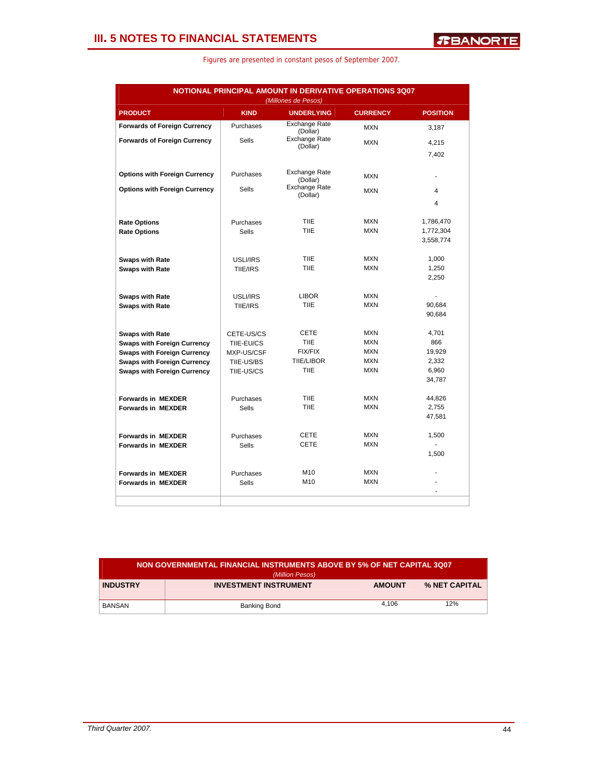| NOTIONAL PRINCIPAL AMOUNT IN DERIVATIVE OPERATIONS 3Q07<br>(Millones de Pesos) |              |                           |                 |                         |  |  |  |  |  |
|--------------------------------------------------------------------------------|--------------|---------------------------|-----------------|-------------------------|--|--|--|--|--|
| <b>PRODUCT</b>                                                                 | <b>KIND</b>  | <b>UNDERLYING</b>         | <b>CURRENCY</b> | <b>POSITION</b>         |  |  |  |  |  |
| <b>Forwards of Foreign Currency</b>                                            | Purchases    | Exchange Rate<br>(Dollar) | <b>MXN</b>      | 3,187                   |  |  |  |  |  |
| <b>Forwards of Foreign Currency</b>                                            | <b>Sells</b> | Exchange Rate             | <b>MXN</b>      | 4,215                   |  |  |  |  |  |
|                                                                                |              | (Dollar)                  |                 | 7,402                   |  |  |  |  |  |
| <b>Options with Foreign Currency</b>                                           | Purchases    | Exchange Rate<br>(Dollar) | <b>MXN</b>      |                         |  |  |  |  |  |
| <b>Options with Foreign Currency</b>                                           | <b>Sells</b> | <b>Exchange Rate</b>      | <b>MXN</b>      | 4                       |  |  |  |  |  |
|                                                                                |              | (Dollar)                  |                 | $\overline{\mathbf{A}}$ |  |  |  |  |  |
| <b>Rate Options</b>                                                            | Purchases    | <b>TIIE</b>               | <b>MXN</b>      | 1,786,470               |  |  |  |  |  |
| <b>Rate Options</b>                                                            | Sells        | <b>TIIE</b>               | <b>MXN</b>      | 1,772,304               |  |  |  |  |  |
|                                                                                |              |                           |                 | 3,558,774               |  |  |  |  |  |
| <b>Swaps with Rate</b>                                                         | USLI/IRS     | <b>TIIE</b>               | <b>MXN</b>      | 1.000                   |  |  |  |  |  |
| <b>Swaps with Rate</b>                                                         | TIIE/IRS     | TIIE                      | <b>MXN</b>      | 1,250                   |  |  |  |  |  |
|                                                                                |              |                           |                 | 2,250                   |  |  |  |  |  |
| <b>Swaps with Rate</b>                                                         | USLI/IRS     | <b>LIBOR</b>              | <b>MXN</b>      |                         |  |  |  |  |  |
| <b>Swaps with Rate</b>                                                         | TIIE/IRS     | <b>TIIE</b>               | <b>MXN</b>      | 90,684                  |  |  |  |  |  |
|                                                                                |              |                           |                 | 90,684                  |  |  |  |  |  |
| <b>Swaps with Rate</b>                                                         | CETE-US/CS   | CETE                      | <b>MXN</b>      | 4,701                   |  |  |  |  |  |
| <b>Swaps with Foreign Currency</b>                                             | TIIE-EU/CS   | <b>TIIE</b>               | <b>MXN</b>      | 866                     |  |  |  |  |  |
| <b>Swaps with Foreign Currency</b>                                             | MXP-US/CSF   | <b>FIX/FIX</b>            | <b>MXN</b>      | 19,929                  |  |  |  |  |  |
| <b>Swaps with Foreign Currency</b>                                             | TIIE-US/BS   | <b>TIIE/LIBOR</b>         | <b>MXN</b>      | 2,332                   |  |  |  |  |  |
| <b>Swaps with Foreign Currency</b>                                             | TIIE-US/CS   | <b>TIIE</b>               | <b>MXN</b>      | 6,960<br>34,787         |  |  |  |  |  |
|                                                                                |              |                           |                 |                         |  |  |  |  |  |
| <b>Forwards in MEXDER</b>                                                      | Purchases    | TIIE                      | <b>MXN</b>      | 44,826                  |  |  |  |  |  |
| <b>Forwards in MEXDER</b>                                                      | <b>Sells</b> | <b>TIIE</b>               | <b>MXN</b>      | 2,755<br>47,581         |  |  |  |  |  |
|                                                                                |              |                           |                 |                         |  |  |  |  |  |
| <b>Forwards in MEXDER</b>                                                      | Purchases    | <b>CETE</b>               | <b>MXN</b>      | 1,500                   |  |  |  |  |  |
| <b>Forwards in MEXDER</b>                                                      | <b>Sells</b> | <b>CETE</b>               | <b>MXN</b>      | ÷                       |  |  |  |  |  |
|                                                                                |              |                           |                 | 1,500                   |  |  |  |  |  |
| <b>Forwards in MEXDER</b>                                                      | Purchases    | M10                       | <b>MXN</b>      |                         |  |  |  |  |  |
| <b>Forwards in MEXDER</b>                                                      | <b>Sells</b> | M10                       | <b>MXN</b>      |                         |  |  |  |  |  |

| NON GOVERNMENTAL FINANCIAL INSTRUMENTS ABOVE BY 5% OF NET CAPITAL 3Q07<br>(Million Pesos) |                              |               |               |  |  |  |
|-------------------------------------------------------------------------------------------|------------------------------|---------------|---------------|--|--|--|
| <b>INDUSTRY</b>                                                                           | <b>INVESTMENT INSTRUMENT</b> | <b>AMOUNT</b> | % NET CAPITAL |  |  |  |
| BANSAN                                                                                    | Banking Bond                 | 4.106         | 12%           |  |  |  |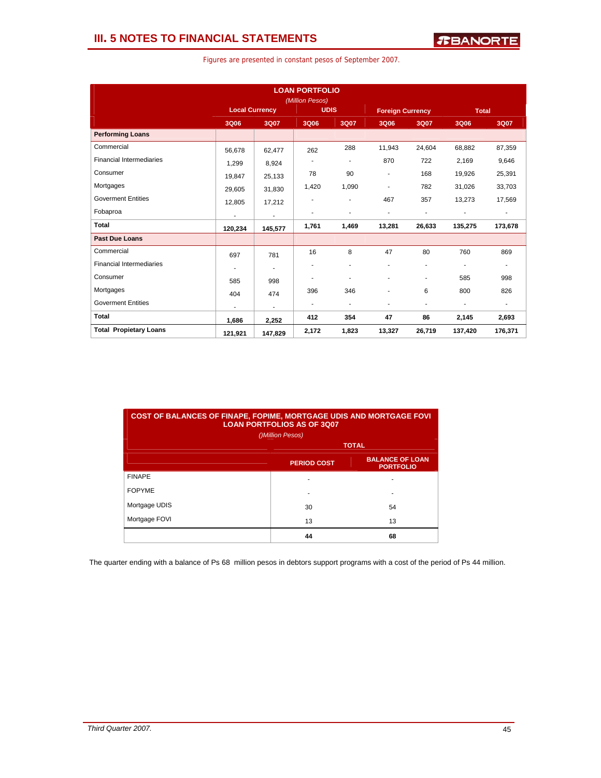| Figures are presented in constant pesos of September 2007. |  |  |  |  |  |  |
|------------------------------------------------------------|--|--|--|--|--|--|
|------------------------------------------------------------|--|--|--|--|--|--|

| <b>LOAN PORTFOLIO</b><br>(Million Pesos) |                       |                          |                          |                          |                          |                         |                |                          |
|------------------------------------------|-----------------------|--------------------------|--------------------------|--------------------------|--------------------------|-------------------------|----------------|--------------------------|
|                                          | <b>Local Currency</b> |                          |                          | <b>UDIS</b>              |                          | <b>Foreign Currency</b> | <b>Total</b>   |                          |
|                                          | 3Q06                  | 3Q07                     | 3Q06                     | 3Q07                     | 3Q06                     | 3Q07                    | 3Q06           | 3Q07                     |
| <b>Performing Loans</b>                  |                       |                          |                          |                          |                          |                         |                |                          |
| Commercial                               | 56,678                | 62,477                   | 262                      | 288                      | 11,943                   | 24.604                  | 68.882         | 87,359                   |
| <b>Financial Intermediaries</b>          | 1,299                 | 8,924                    |                          | $\overline{\phantom{a}}$ | 870                      | 722                     | 2,169          | 9,646                    |
| Consumer                                 | 19,847                | 25,133                   | 78                       | 90                       | $\overline{\phantom{a}}$ | 168                     | 19,926         | 25,391                   |
| Mortgages                                | 29,605                | 31,830                   | 1,420                    | 1,090                    |                          | 782                     | 31,026         | 33,703                   |
| <b>Goverment Entities</b>                | 12,805                | 17,212                   |                          | ٠                        | 467                      | 357                     | 13,273         | 17,569                   |
| Fobaproa                                 | ٠                     | $\blacksquare$           |                          | ä,                       | $\overline{\phantom{a}}$ | ÷.                      | $\overline{a}$ | $\blacksquare$           |
| <b>Total</b>                             | 120,234               | 145,577                  | 1,761                    | 1,469                    | 13,281                   | 26,633                  | 135,275        | 173,678                  |
| <b>Past Due Loans</b>                    |                       |                          |                          |                          |                          |                         |                |                          |
| Commercial                               | 697                   | 781                      | 16                       | 8                        | 47                       | 80                      | 760            | 869                      |
| <b>Financial Intermediaries</b>          |                       | ٠                        |                          | ٠                        | $\overline{a}$           | ٠                       | ÷              | $\blacksquare$           |
| Consumer                                 | 585                   | 998                      | ٠                        | ä,                       | ٠                        | ٠                       | 585            | 998                      |
| Mortgages                                | 404                   | 474                      | 396                      | 346                      |                          | 6                       | 800            | 826                      |
| <b>Goverment Entities</b>                |                       | $\overline{\phantom{0}}$ | $\overline{\phantom{a}}$ | $\overline{\phantom{a}}$ | $\overline{\phantom{a}}$ | ٠                       | $\overline{a}$ | $\overline{\phantom{0}}$ |
| <b>Total</b>                             | 1,686                 | 2,252                    | 412                      | 354                      | 47                       | 86                      | 2,145          | 2,693                    |
| <b>Total Propietary Loans</b>            | 121,921               | 147,829                  | 2,172                    | 1,823                    | 13,327                   | 26,719                  | 137,420        | 176,371                  |

| <b>COST OF BALANCES OF FINAPE, FOPIME, MORTGAGE UDIS AND MORTGAGE FOVI</b><br><b>LOAN PORTFOLIOS AS OF 3007</b><br>()Million Pesos) |                    |                                            |  |  |  |  |  |
|-------------------------------------------------------------------------------------------------------------------------------------|--------------------|--------------------------------------------|--|--|--|--|--|
|                                                                                                                                     | <b>TOTAL</b>       |                                            |  |  |  |  |  |
|                                                                                                                                     | <b>PERIOD COST</b> | <b>BALANCE OF LOAN</b><br><b>PORTFOLIO</b> |  |  |  |  |  |
| <b>FINAPE</b>                                                                                                                       |                    |                                            |  |  |  |  |  |
| <b>FOPYME</b>                                                                                                                       |                    |                                            |  |  |  |  |  |
| Mortgage UDIS                                                                                                                       | 30                 | 54                                         |  |  |  |  |  |
| Mortgage FOVI                                                                                                                       | 13                 | 13                                         |  |  |  |  |  |
|                                                                                                                                     | 44                 | 68                                         |  |  |  |  |  |

The quarter ending with a balance of Ps 68 million pesos in debtors support programs with a cost of the period of Ps 44 million.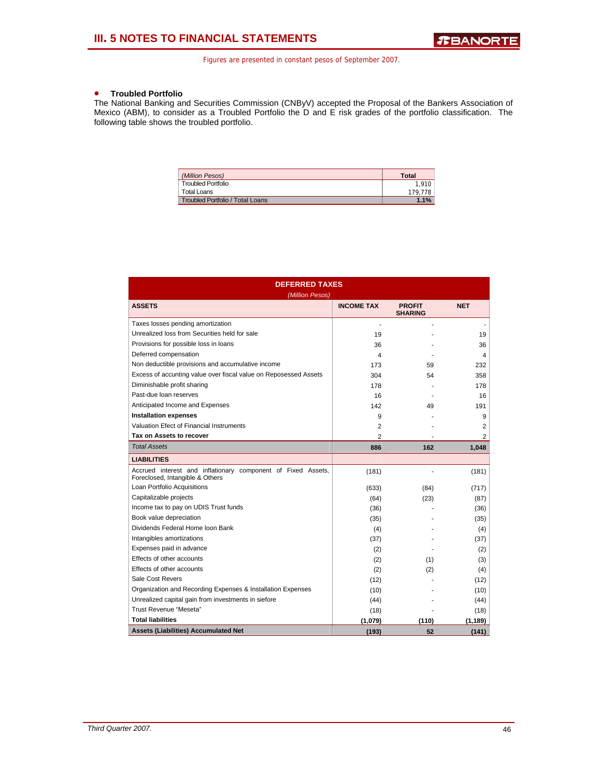### • **Troubled Portfolio**

The National Banking and Securities Commission (CNByV) accepted the Proposal of the Bankers Association of Mexico (ABM), to consider as a Troubled Portfolio the D and E risk grades of the portfolio classification. The following table shows the troubled portfolio.

| (Million Pesos)                  | <b>Total</b> |
|----------------------------------|--------------|
| <b>Troubled Portfolio</b>        | 1.910        |
| <b>Total Loans</b>               | 179.778      |
| Troubled Portfolio / Total Loans | 1.1%         |

| <b>DEFERRED TAXES</b>                                                                           |                          |                                 |            |  |  |  |  |  |
|-------------------------------------------------------------------------------------------------|--------------------------|---------------------------------|------------|--|--|--|--|--|
| (Million Pesos)                                                                                 |                          |                                 |            |  |  |  |  |  |
| <b>ASSETS</b>                                                                                   | <b>INCOME TAX</b>        | <b>PROFIT</b><br><b>SHARING</b> | <b>NET</b> |  |  |  |  |  |
| Taxes losses pending amortization                                                               |                          |                                 |            |  |  |  |  |  |
| Unrealized loss from Securities held for sale                                                   | 19                       |                                 | 19         |  |  |  |  |  |
| Provisions for possible loss in loans                                                           | 36                       |                                 | 36         |  |  |  |  |  |
| Deferred compensation                                                                           | $\overline{\mathcal{A}}$ |                                 | 4          |  |  |  |  |  |
| Non deductible provisions and accumulative income                                               | 173                      | 59                              | 232        |  |  |  |  |  |
| Excess of accunting value over fiscal value on Reposessed Assets                                | 304                      | 54                              | 358        |  |  |  |  |  |
| Diminishable profit sharing                                                                     | 178                      |                                 | 178        |  |  |  |  |  |
| Past-due loan reserves                                                                          | 16                       |                                 | 16         |  |  |  |  |  |
| Anticipated Income and Expenses                                                                 | 142                      | 49                              | 191        |  |  |  |  |  |
| <b>Installation expenses</b>                                                                    | 9                        |                                 | 9          |  |  |  |  |  |
| Valuation Efect of Financial Instruments                                                        | $\overline{2}$           |                                 | 2          |  |  |  |  |  |
| Tax on Assets to recover                                                                        | $\overline{c}$           |                                 | 2          |  |  |  |  |  |
| <b>Total Assets</b>                                                                             | 886                      | 162                             | 1,048      |  |  |  |  |  |
| <b>LIABILITIES</b>                                                                              |                          |                                 |            |  |  |  |  |  |
| Accrued interest and inflationary component of Fixed Assets,<br>Foreclosed, Intangible & Others | (181)                    |                                 | (181)      |  |  |  |  |  |
| Loan Portfolio Acquisitions                                                                     | (633)                    | (84)                            | (717)      |  |  |  |  |  |
| Capitalizable projects                                                                          | (64)                     | (23)                            | (87)       |  |  |  |  |  |
| Income tax to pay on UDIS Trust funds                                                           | (36)                     |                                 | (36)       |  |  |  |  |  |
| Book value depreciation                                                                         | (35)                     |                                 | (35)       |  |  |  |  |  |
| Dividends Federal Home loon Bank                                                                | (4)                      |                                 | (4)        |  |  |  |  |  |
| Intangibles amortizations                                                                       | (37)                     |                                 | (37)       |  |  |  |  |  |
| Expenses paid in advance                                                                        | (2)                      |                                 | (2)        |  |  |  |  |  |
| Effects of other accounts                                                                       | (2)                      | (1)                             | (3)        |  |  |  |  |  |
| Effects of other accounts                                                                       | (2)                      | (2)                             | (4)        |  |  |  |  |  |
| Sale Cost Revers                                                                                | (12)                     |                                 | (12)       |  |  |  |  |  |
| Organization and Recording Expenses & Installation Expenses                                     | (10)                     |                                 | (10)       |  |  |  |  |  |
| Unrealized capital gain from investments in siefore                                             | (44)                     |                                 | (44)       |  |  |  |  |  |
| Trust Revenue "Meseta"                                                                          | (18)                     |                                 | (18)       |  |  |  |  |  |
| <b>Total liabilities</b>                                                                        | (1,079)                  | (110)                           | (1, 189)   |  |  |  |  |  |
| <b>Assets (Liabilities) Accumulated Net</b>                                                     | (193)                    | 52                              | (141)      |  |  |  |  |  |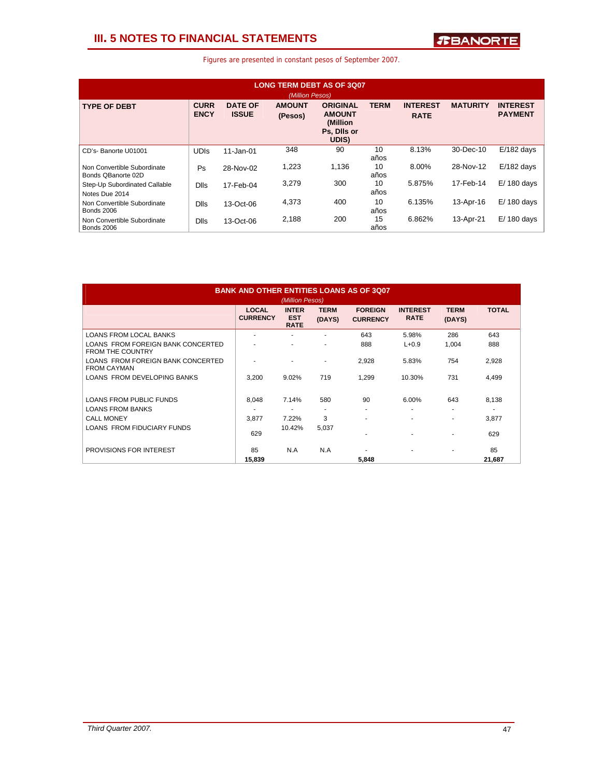### **III. 5 NOTES TO FINANCIAL STATEMENTS**

| <b>LONG TERM DEBT AS OF 3007</b><br>(Million Pesos) |                            |                                |                          |                                                                      |             |                                |                 |                                   |  |
|-----------------------------------------------------|----------------------------|--------------------------------|--------------------------|----------------------------------------------------------------------|-------------|--------------------------------|-----------------|-----------------------------------|--|
| <b>TYPE OF DEBT</b>                                 | <b>CURR</b><br><b>ENCY</b> | <b>DATE OF</b><br><b>ISSUE</b> | <b>AMOUNT</b><br>(Pesos) | <b>ORIGINAL</b><br><b>AMOUNT</b><br>(Million<br>Ps, Dils or<br>UDIS) | <b>TERM</b> | <b>INTEREST</b><br><b>RATE</b> | <b>MATURITY</b> | <b>INTEREST</b><br><b>PAYMENT</b> |  |
| CD's-Banorte U01001                                 | <b>UDIS</b>                | $11 - Jan-01$                  | 348                      | 90                                                                   | 10<br>años  | 8.13%                          | 30-Dec-10       | $E/182$ days                      |  |
| Non Convertible Subordinate<br>Bonds QBanorte 02D   | Ps                         | 28-Nov-02                      | 1,223                    | 1.136                                                                | 10<br>años  | 8.00%                          | 28-Nov-12       | $E/182$ days                      |  |
| Step-Up Subordinated Callable<br>Notes Due 2014     | <b>Dlls</b>                | 17-Feb-04                      | 3,279                    | 300                                                                  | 10<br>años  | 5.875%                         | 17-Feb-14       | $E/180$ days                      |  |
| Non Convertible Subordinate<br><b>Bonds 2006</b>    | <b>Dlls</b>                | 13-Oct-06                      | 4,373                    | 400                                                                  | 10<br>años  | 6.135%                         | 13-Apr-16       | $E/180$ days                      |  |
| Non Convertible Subordinate<br><b>Bonds 2006</b>    | <b>Dlls</b>                | 13-Oct-06                      | 2,188                    | 200                                                                  | 15<br>años  | 6.862%                         | 13-Apr-21       | $E/180$ days                      |  |

| <b>BANK AND OTHER ENTITIES LOANS AS OF 3007</b><br>(Million Pesos) |                                 |                                           |                          |                                   |                                |                       |              |  |
|--------------------------------------------------------------------|---------------------------------|-------------------------------------------|--------------------------|-----------------------------------|--------------------------------|-----------------------|--------------|--|
|                                                                    | <b>LOCAL</b><br><b>CURRENCY</b> | <b>INTER</b><br><b>EST</b><br><b>RATE</b> | <b>TERM</b><br>(DAYS)    | <b>FOREIGN</b><br><b>CURRENCY</b> | <b>INTEREST</b><br><b>RATE</b> | <b>TERM</b><br>(DAYS) | <b>TOTAL</b> |  |
| <b>LOANS FROM LOCAL BANKS</b>                                      | ٠                               |                                           |                          | 643                               | 5.98%                          | 286                   | 643          |  |
| LOANS FROM FOREIGN BANK CONCERTED<br><b>FROM THE COUNTRY</b>       |                                 | ٠                                         | ٠                        | 888                               | $L + 0.9$                      | 1,004                 | 888          |  |
| LOANS FROM FOREIGN BANK CONCERTED<br><b>FROM CAYMAN</b>            |                                 |                                           | ۰                        | 2,928                             | 5.83%                          | 754                   | 2,928        |  |
| LOANS FROM DEVELOPING BANKS                                        | 3,200                           | 9.02%                                     | 719                      | 1,299                             | 10.30%                         | 731                   | 4,499        |  |
| <b>LOANS FROM PUBLIC FUNDS</b>                                     | 8.048                           | 7.14%                                     | 580                      | 90                                | 6.00%                          | 643                   | 8.138        |  |
| <b>LOANS FROM BANKS</b>                                            | ٠                               | $\overline{\phantom{a}}$                  | $\overline{\phantom{a}}$ |                                   | $\overline{\phantom{a}}$       | ٠                     | ٠            |  |
| <b>CALL MONEY</b>                                                  | 3,877                           | 7.22%                                     | 3                        |                                   | $\blacksquare$                 | ٠                     | 3,877        |  |
| LOANS FROM FIDUCIARY FUNDS                                         | 629                             | 10.42%                                    | 5,037                    |                                   | ٠                              | ۰                     | 629          |  |
| PROVISIONS FOR INTEREST                                            | 85                              | N.A                                       | N.A                      |                                   | ٠                              | ۰                     | 85           |  |
|                                                                    | 15,839                          |                                           |                          | 5,848                             |                                |                       | 21,687       |  |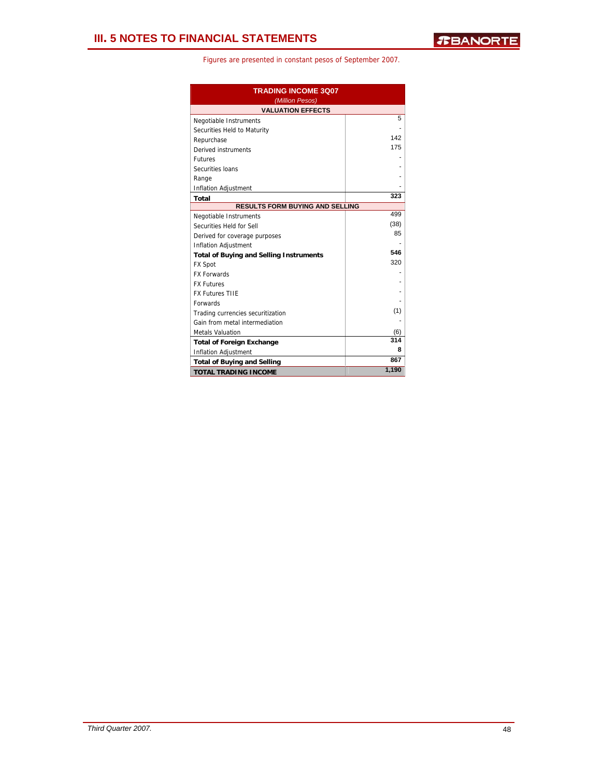| <b>TRADING INCOME 3Q07</b><br>(Million Pesos)  |       |  |  |  |  |  |
|------------------------------------------------|-------|--|--|--|--|--|
| <b>VALUATION EFFECTS</b>                       |       |  |  |  |  |  |
| Negotiable Instruments                         | 5     |  |  |  |  |  |
| Securities Held to Maturity                    |       |  |  |  |  |  |
| Repurchase                                     | 142   |  |  |  |  |  |
| Derived instruments                            | 175   |  |  |  |  |  |
| <b>Futures</b>                                 |       |  |  |  |  |  |
| Securities Ioans                               |       |  |  |  |  |  |
| Range                                          |       |  |  |  |  |  |
| Inflation Adjustment                           |       |  |  |  |  |  |
| <b>Total</b>                                   | 323   |  |  |  |  |  |
| <b>RESULTS FORM BUYING AND SELLING</b>         |       |  |  |  |  |  |
| Negotiable Instruments                         | 499   |  |  |  |  |  |
| Securities Held for Sell                       | (38)  |  |  |  |  |  |
| Derived for coverage purposes                  | 85    |  |  |  |  |  |
| Inflation Adjustment                           |       |  |  |  |  |  |
| <b>Total of Buying and Selling Instruments</b> | 546   |  |  |  |  |  |
| <b>FX Spot</b>                                 | 320   |  |  |  |  |  |
| <b>FX Forwards</b>                             |       |  |  |  |  |  |
| <b>FX Futures</b>                              |       |  |  |  |  |  |
| <b>FX Futures TIIE</b>                         |       |  |  |  |  |  |
| <b>Forwards</b>                                |       |  |  |  |  |  |
| Trading currencies securitization              | (1)   |  |  |  |  |  |
| Gain from metal intermediation                 |       |  |  |  |  |  |
| <b>Metals Valuation</b>                        | (6)   |  |  |  |  |  |
| <b>Total of Foreign Exchange</b>               | 314   |  |  |  |  |  |
| Inflation Adjustment                           | 8     |  |  |  |  |  |
| <b>Total of Buying and Selling</b>             | 867   |  |  |  |  |  |
| <b>TOTAL TRADING INCOME</b>                    | 1,190 |  |  |  |  |  |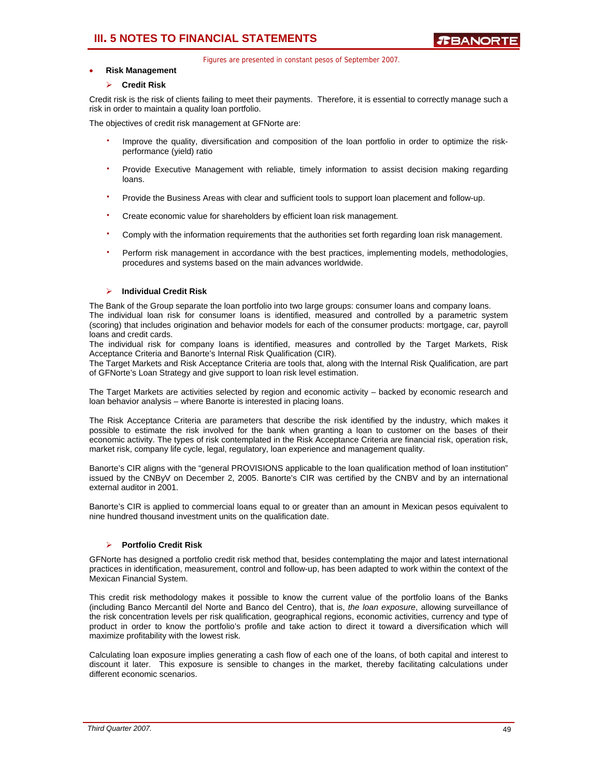### **III. 5 NOTES TO FINANCIAL STATEMENTS**

Figures are presented in constant pesos of September 2007.

### • **Risk Management**

### ¾ **Credit Risk**

Credit risk is the risk of clients failing to meet their payments. Therefore, it is essential to correctly manage such a risk in order to maintain a quality loan portfolio.

The objectives of credit risk management at GFNorte are:

- Improve the quality, diversification and composition of the loan portfolio in order to optimize the riskperformance (yield) ratio
- Provide Executive Management with reliable, timely information to assist decision making regarding loans.
- ⋅ Provide the Business Areas with clear and sufficient tools to support loan placement and follow-up.
- Create economic value for shareholders by efficient loan risk management.
- Comply with the information requirements that the authorities set forth regarding loan risk management.
- Perform risk management in accordance with the best practices, implementing models, methodologies, procedures and systems based on the main advances worldwide.

### ¾ **Individual Credit Risk**

The Bank of the Group separate the loan portfolio into two large groups: consumer loans and company loans. The individual loan risk for consumer loans is identified, measured and controlled by a parametric system (scoring) that includes origination and behavior models for each of the consumer products: mortgage, car, payroll loans and credit cards.

The individual risk for company loans is identified, measures and controlled by the Target Markets, Risk Acceptance Criteria and Banorte's Internal Risk Qualification (CIR).

The Target Markets and Risk Acceptance Criteria are tools that, along with the Internal Risk Qualification, are part of GFNorte's Loan Strategy and give support to loan risk level estimation.

The Target Markets are activities selected by region and economic activity – backed by economic research and loan behavior analysis – where Banorte is interested in placing loans.

The Risk Acceptance Criteria are parameters that describe the risk identified by the industry, which makes it possible to estimate the risk involved for the bank when granting a loan to customer on the bases of their economic activity. The types of risk contemplated in the Risk Acceptance Criteria are financial risk, operation risk, market risk, company life cycle, legal, regulatory, loan experience and management quality.

Banorte's CIR aligns with the "general PROVISIONS applicable to the loan qualification method of loan institution" issued by the CNByV on December 2, 2005. Banorte's CIR was certified by the CNBV and by an international external auditor in 2001.

Banorte's CIR is applied to commercial loans equal to or greater than an amount in Mexican pesos equivalent to nine hundred thousand investment units on the qualification date.

### ¾ **Portfolio Credit Risk**

GFNorte has designed a portfolio credit risk method that, besides contemplating the major and latest international practices in identification, measurement, control and follow-up, has been adapted to work within the context of the Mexican Financial System.

This credit risk methodology makes it possible to know the current value of the portfolio loans of the Banks (including Banco Mercantil del Norte and Banco del Centro), that is, *the loan exposure*, allowing surveillance of the risk concentration levels per risk qualification, geographical regions, economic activities, currency and type of product in order to know the portfolio's profile and take action to direct it toward a diversification which will maximize profitability with the lowest risk.

Calculating loan exposure implies generating a cash flow of each one of the loans, of both capital and interest to discount it later. This exposure is sensible to changes in the market, thereby facilitating calculations under different economic scenarios.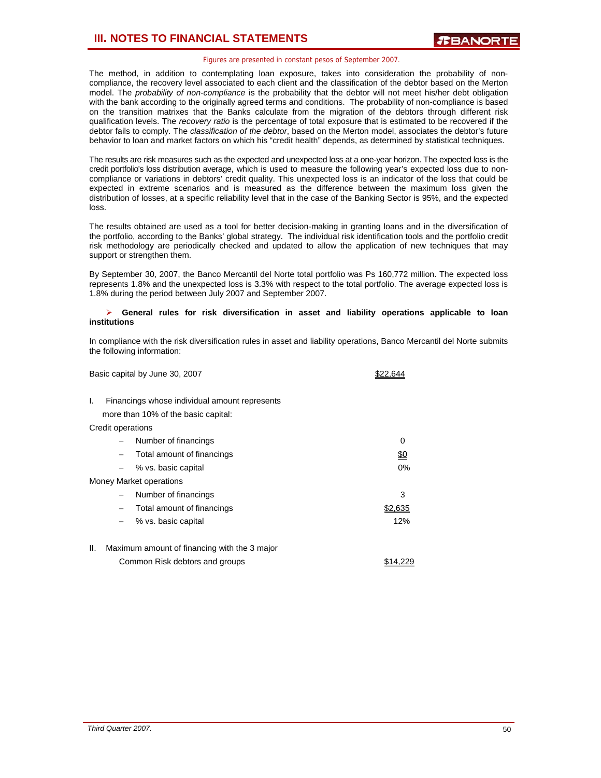The method, in addition to contemplating loan exposure, takes into consideration the probability of noncompliance, the recovery level associated to each client and the classification of the debtor based on the Merton model. The *probability of non-compliance* is the probability that the debtor will not meet his/her debt obligation with the bank according to the originally agreed terms and conditions. The probability of non-compliance is based on the transition matrixes that the Banks calculate from the migration of the debtors through different risk qualification levels. The *recovery ratio* is the percentage of total exposure that is estimated to be recovered if the debtor fails to comply. The *classification of the debtor*, based on the Merton model, associates the debtor's future behavior to loan and market factors on which his "credit health" depends, as determined by statistical techniques.

The results are risk measures such as the expected and unexpected loss at a one-year horizon. The expected loss is the credit portfolio's loss distribution average, which is used to measure the following year's expected loss due to noncompliance or variations in debtors' credit quality. This unexpected loss is an indicator of the loss that could be expected in extreme scenarios and is measured as the difference between the maximum loss given the distribution of losses, at a specific reliability level that in the case of the Banking Sector is 95%, and the expected loss.

The results obtained are used as a tool for better decision-making in granting loans and in the diversification of the portfolio, according to the Banks' global strategy. The individual risk identification tools and the portfolio credit risk methodology are periodically checked and updated to allow the application of new techniques that may support or strengthen them.

By September 30, 2007, the Banco Mercantil del Norte total portfolio was Ps 160,772 million. The expected loss represents 1.8% and the unexpected loss is 3.3% with respect to the total portfolio. The average expected loss is 1.8% during the period between July 2007 and September 2007.

### ¾ **General rules for risk diversification in asset and liability operations applicable to loan institutions**

In compliance with the risk diversification rules in asset and liability operations, Banco Mercantil del Norte submits the following information:

Basic capital by June 30, 2007 **\$22,644** 

- I. Financings whose individual amount represents more than 10% of the basic capital: Credit operations − Number of financings 0 Total amount of financings \$0 − % vs. basic capital 0% Money Market operations − Number of financings 3 − Total amount of financings \$2,635 − % vs. basic capital 12% II. Maximum amount of financing with the 3 major
- Common Risk debtors and groups **\$14,229**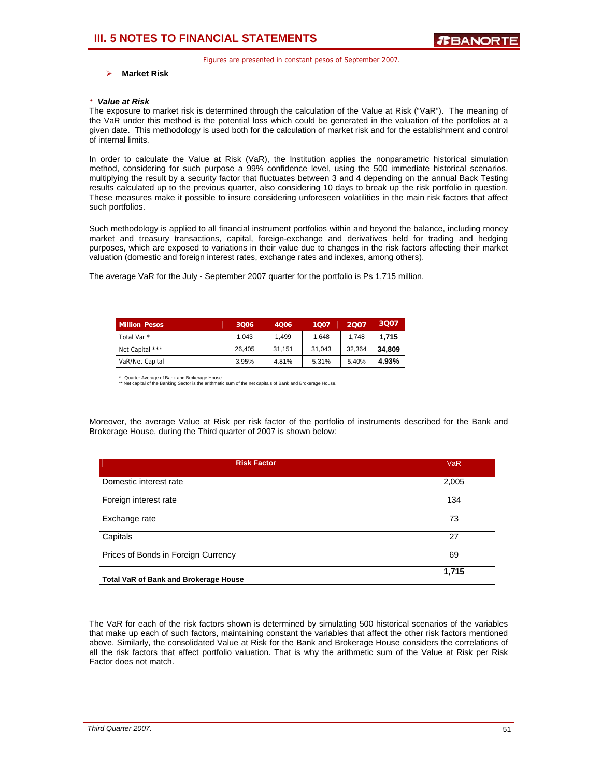### ¾ **Market Risk**

#### ⋅ *Value at Risk*

The exposure to market risk is determined through the calculation of the Value at Risk ("VaR"). The meaning of the VaR under this method is the potential loss which could be generated in the valuation of the portfolios at a given date. This methodology is used both for the calculation of market risk and for the establishment and control of internal limits.

In order to calculate the Value at Risk (VaR), the Institution applies the nonparametric historical simulation method, considering for such purpose a 99% confidence level, using the 500 immediate historical scenarios, multiplying the result by a security factor that fluctuates between 3 and 4 depending on the annual Back Testing results calculated up to the previous quarter, also considering 10 days to break up the risk portfolio in question. These measures make it possible to insure considering unforeseen volatilities in the main risk factors that affect such portfolios.

Such methodology is applied to all financial instrument portfolios within and beyond the balance, including money market and treasury transactions, capital, foreign-exchange and derivatives held for trading and hedging purposes, which are exposed to variations in their value due to changes in the risk factors affecting their market valuation (domestic and foreign interest rates, exchange rates and indexes, among others).

The average VaR for the July - September 2007 quarter for the portfolio is Ps 1,715 million.

| <b>Million Pesos</b>   | 3006   | 4006   | 1007   | 2007   | 3007   |
|------------------------|--------|--------|--------|--------|--------|
| Total Var <sup>*</sup> | 1.043  | 1.499  | 1.648  | 1.748  | 1.715  |
| Net Capital ***        | 26.405 | 31.151 | 31.043 | 32.364 | 34.809 |
| VaR/Net Capital        | 3.95%  | 4.81%  | 5.31%  | 5.40%  | 4.93%  |

\* Quarter Average of Bank and Brokerage House \*\* Net capital of the Banking Sector is the arithmetic sum of the net capitals of Bank and Brokerage House.

Moreover, the average Value at Risk per risk factor of the portfolio of instruments described for the Bank and Brokerage House, during the Third quarter of 2007 is shown below:

| <b>Risk Factor</b>                           | <b>VaR</b> |
|----------------------------------------------|------------|
| Domestic interest rate                       | 2,005      |
| Foreign interest rate                        | 134        |
| Exchange rate                                | 73         |
| Capitals                                     | 27         |
| Prices of Bonds in Foreign Currency          | 69         |
| <b>Total VaR of Bank and Brokerage House</b> | 1,715      |

The VaR for each of the risk factors shown is determined by simulating 500 historical scenarios of the variables that make up each of such factors, maintaining constant the variables that affect the other risk factors mentioned above. Similarly, the consolidated Value at Risk for the Bank and Brokerage House considers the correlations of all the risk factors that affect portfolio valuation. That is why the arithmetic sum of the Value at Risk per Risk Factor does not match.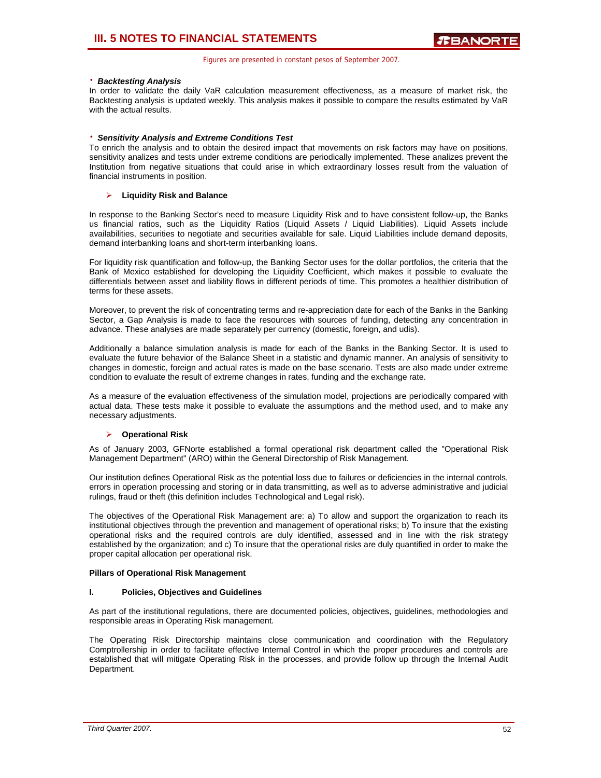### ⋅ *Backtesting Analysis*

In order to validate the daily VaR calculation measurement effectiveness, as a measure of market risk, the Backtesting analysis is updated weekly. This analysis makes it possible to compare the results estimated by VaR with the actual results.

### ⋅ *Sensitivity Analysis and Extreme Conditions Test*

To enrich the analysis and to obtain the desired impact that movements on risk factors may have on positions, sensitivity analizes and tests under extreme conditions are periodically implemented. These analizes prevent the Institution from negative situations that could arise in which extraordinary losses result from the valuation of financial instruments in position.

### ¾ **Liquidity Risk and Balance**

In response to the Banking Sector's need to measure Liquidity Risk and to have consistent follow-up, the Banks us financial ratios, such as the Liquidity Ratios (Liquid Assets / Liquid Liabilities). Liquid Assets include availabilities, securities to negotiate and securities available for sale. Liquid Liabilities include demand deposits, demand interbanking loans and short-term interbanking loans.

For liquidity risk quantification and follow-up, the Banking Sector uses for the dollar portfolios, the criteria that the Bank of Mexico established for developing the Liquidity Coefficient, which makes it possible to evaluate the differentials between asset and liability flows in different periods of time. This promotes a healthier distribution of terms for these assets.

Moreover, to prevent the risk of concentrating terms and re-appreciation date for each of the Banks in the Banking Sector, a Gap Analysis is made to face the resources with sources of funding, detecting any concentration in advance. These analyses are made separately per currency (domestic, foreign, and udis).

Additionally a balance simulation analysis is made for each of the Banks in the Banking Sector. It is used to evaluate the future behavior of the Balance Sheet in a statistic and dynamic manner. An analysis of sensitivity to changes in domestic, foreign and actual rates is made on the base scenario. Tests are also made under extreme condition to evaluate the result of extreme changes in rates, funding and the exchange rate.

As a measure of the evaluation effectiveness of the simulation model, projections are periodically compared with actual data. These tests make it possible to evaluate the assumptions and the method used, and to make any necessary adjustments.

### ¾ **Operational Risk**

As of January 2003, GFNorte established a formal operational risk department called the "Operational Risk Management Department" (ARO) within the General Directorship of Risk Management.

Our institution defines Operational Risk as the potential loss due to failures or deficiencies in the internal controls, errors in operation processing and storing or in data transmitting, as well as to adverse administrative and judicial rulings, fraud or theft (this definition includes Technological and Legal risk).

The objectives of the Operational Risk Management are: a) To allow and support the organization to reach its institutional objectives through the prevention and management of operational risks; b) To insure that the existing operational risks and the required controls are duly identified, assessed and in line with the risk strategy established by the organization; and c) To insure that the operational risks are duly quantified in order to make the proper capital allocation per operational risk.

### **Pillars of Operational Risk Management**

### **I. Policies, Objectives and Guidelines**

As part of the institutional regulations, there are documented policies, objectives, guidelines, methodologies and responsible areas in Operating Risk management.

The Operating Risk Directorship maintains close communication and coordination with the Regulatory Comptrollership in order to facilitate effective Internal Control in which the proper procedures and controls are established that will mitigate Operating Risk in the processes, and provide follow up through the Internal Audit Department.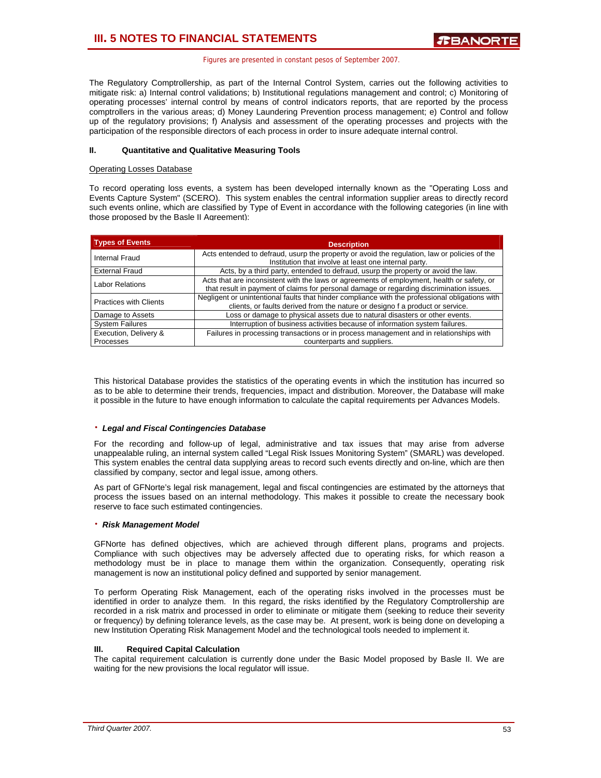The Regulatory Comptrollership, as part of the Internal Control System, carries out the following activities to mitigate risk: a) Internal control validations; b) Institutional regulations management and control; c) Monitoring of operating processes' internal control by means of control indicators reports, that are reported by the process comptrollers in the various areas; d) Money Laundering Prevention process management; e) Control and follow up of the regulatory provisions; f) Analysis and assessment of the operating processes and projects with the participation of the responsible directors of each process in order to insure adequate internal control.

### **II. Quantitative and Qualitative Measuring Tools**

### Operating Losses Database

To record operating loss events, a system has been developed internally known as the "Operating Loss and Events Capture System" (SCERO). This system enables the central information supplier areas to directly record such events online, which are classified by Type of Event in accordance with the following categories (in line with those proposed by the Basle II Agreement):

| <b>Types of Events</b>             | <b>Description</b>                                                                                                                                                                     |
|------------------------------------|----------------------------------------------------------------------------------------------------------------------------------------------------------------------------------------|
| Internal Fraud                     | Acts entended to defraud, usurp the property or avoid the regulation, law or policies of the<br>Institution that involve at least one internal party.                                  |
| <b>External Fraud</b>              | Acts, by a third party, entended to defraud, usurp the property or avoid the law.                                                                                                      |
| <b>Labor Relations</b>             | Acts that are inconsistent with the laws or agreements of employment, health or safety, or<br>that result in payment of claims for personal damage or regarding discrimination issues. |
| <b>Practices with Clients</b>      | Negligent or unintentional faults that hinder compliance with the professional obligations with<br>clients, or faults derived from the nature or designo f a product or service.       |
| Damage to Assets                   | Loss or damage to physical assets due to natural disasters or other events.                                                                                                            |
| <b>System Failures</b>             | Interruption of business activities because of information system failures.                                                                                                            |
| Execution, Delivery &<br>Processes | Failures in processing transactions or in process management and in relationships with<br>counterparts and suppliers.                                                                  |

This historical Database provides the statistics of the operating events in which the institution has incurred so as to be able to determine their trends, frequencies, impact and distribution. Moreover, the Database will make it possible in the future to have enough information to calculate the capital requirements per Advances Models.

### ⋅ *Legal and Fiscal Contingencies Database*

For the recording and follow-up of legal, administrative and tax issues that may arise from adverse unappealable ruling, an internal system called "Legal Risk Issues Monitoring System" (SMARL) was developed. This system enables the central data supplying areas to record such events directly and on-line, which are then classified by company, sector and legal issue, among others.

As part of GFNorte's legal risk management, legal and fiscal contingencies are estimated by the attorneys that process the issues based on an internal methodology. This makes it possible to create the necessary book reserve to face such estimated contingencies.

### ⋅ *Risk Management Model*

GFNorte has defined objectives, which are achieved through different plans, programs and projects. Compliance with such objectives may be adversely affected due to operating risks, for which reason a methodology must be in place to manage them within the organization. Consequently, operating risk management is now an institutional policy defined and supported by senior management.

To perform Operating Risk Management, each of the operating risks involved in the processes must be identified in order to analyze them. In this regard, the risks identified by the Regulatory Comptrollership are recorded in a risk matrix and processed in order to eliminate or mitigate them (seeking to reduce their severity or frequency) by defining tolerance levels, as the case may be. At present, work is being done on developing a new Institution Operating Risk Management Model and the technological tools needed to implement it.

### **III. Required Capital Calculation**

The capital requirement calculation is currently done under the Basic Model proposed by Basle II. We are waiting for the new provisions the local regulator will issue.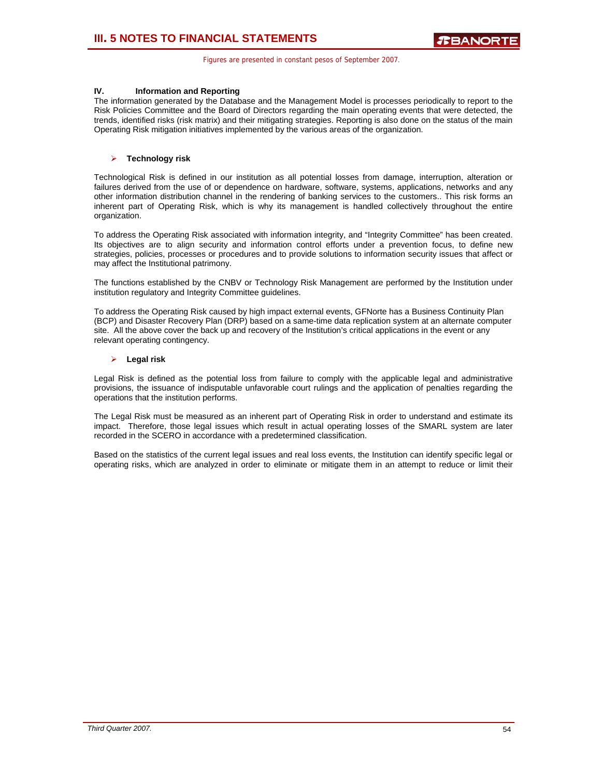### **IV. Information and Reporting**

The information generated by the Database and the Management Model is processes periodically to report to the Risk Policies Committee and the Board of Directors regarding the main operating events that were detected, the trends, identified risks (risk matrix) and their mitigating strategies. Reporting is also done on the status of the main Operating Risk mitigation initiatives implemented by the various areas of the organization.

### ¾ **Technology risk**

Technological Risk is defined in our institution as all potential losses from damage, interruption, alteration or failures derived from the use of or dependence on hardware, software, systems, applications, networks and any other information distribution channel in the rendering of banking services to the customers.. This risk forms an inherent part of Operating Risk, which is why its management is handled collectively throughout the entire organization.

To address the Operating Risk associated with information integrity, and "Integrity Committee" has been created. Its objectives are to align security and information control efforts under a prevention focus, to define new strategies, policies, processes or procedures and to provide solutions to information security issues that affect or may affect the Institutional patrimony.

The functions established by the CNBV or Technology Risk Management are performed by the Institution under institution regulatory and Integrity Committee guidelines.

To address the Operating Risk caused by high impact external events, GFNorte has a Business Continuity Plan (BCP) and Disaster Recovery Plan (DRP) based on a same-time data replication system at an alternate computer site. All the above cover the back up and recovery of the Institution's critical applications in the event or any relevant operating contingency.

### ¾ **Legal risk**

Legal Risk is defined as the potential loss from failure to comply with the applicable legal and administrative provisions, the issuance of indisputable unfavorable court rulings and the application of penalties regarding the operations that the institution performs.

The Legal Risk must be measured as an inherent part of Operating Risk in order to understand and estimate its impact. Therefore, those legal issues which result in actual operating losses of the SMARL system are later recorded in the SCERO in accordance with a predetermined classification.

Based on the statistics of the current legal issues and real loss events, the Institution can identify specific legal or operating risks, which are analyzed in order to eliminate or mitigate them in an attempt to reduce or limit their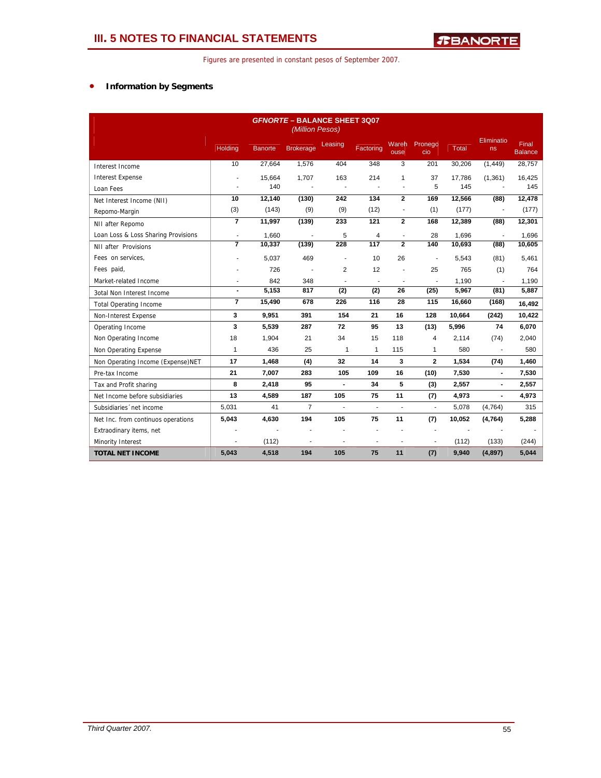### • **Information by Segments**

| <b>GFNORTE - BALANCE SHEET 3007</b><br>(Million Pesos) |                |         |                  |                |                          |                          |                          |        |                       |                                |
|--------------------------------------------------------|----------------|---------|------------------|----------------|--------------------------|--------------------------|--------------------------|--------|-----------------------|--------------------------------|
|                                                        | <b>Holding</b> | Banorte | <b>Brokerage</b> | Leasing        | Factoring                | Wareh<br>ouse            | Pronego<br>cio           | Total  | Eliminatio<br>ns      | <b>Final</b><br><b>Balance</b> |
| Interest Income                                        | 10             | 27.664  | 1.576            | 404            | 348                      | 3                        | 201                      | 30,206 | (1, 449)              | 28,757                         |
| <b>Interest Expense</b>                                |                | 15,664  | 1,707            | 163            | 214                      | $\mathbf{1}$             | 37                       | 17,786 | (1, 361)              | 16,425                         |
| Loan Fees                                              |                | 140     |                  |                |                          |                          | 5                        | 145    |                       | 145                            |
| Net Interest Income (NII)                              | 10             | 12,140  | (130)            | 242            | 134                      | $\overline{2}$           | 169                      | 12,566 | (88)                  | 12,478                         |
| Repomo-Margin                                          | (3)            | (143)   | (9)              | (9)            | (12)                     |                          | (1)                      | (177)  |                       | (177)                          |
| NII after Repomo                                       | $\overline{7}$ | 11,997  | (139)            | 233            | 121                      | $\mathbf{2}$             | 168                      | 12,389 | (88)                  | 12,301                         |
| Loan Loss & Loss Sharing Provisions                    | ÷,             | 1,660   |                  | 5              | 4                        |                          | 28                       | 1.696  | $\tilde{\phantom{a}}$ | 1,696                          |
| NII after Provisions                                   | $\overline{7}$ | 10,337  | (139)            | 228            | 117                      | $\overline{2}$           | 140                      | 10,693 | (88)                  | 10,605                         |
| Fees on services,                                      |                | 5,037   | 469              |                | 10                       | 26                       | ÷                        | 5.543  | (81)                  | 5,461                          |
| Fees paid,                                             |                | 726     |                  | $\overline{2}$ | 12                       |                          | 25                       | 765    | (1)                   | 764                            |
| Market-related Income                                  | $\overline{a}$ | 842     | 348              | $\blacksquare$ | $\blacksquare$           | $\overline{\phantom{a}}$ | $\blacksquare$           | 1.190  | ÷,                    | 1.190                          |
| 3otal Non Interest Income                              | $\blacksquare$ | 5,153   | 817              | (2)            | (2)                      | 26                       | (25)                     | 5,967  | (81)                  | 5,887                          |
| <b>Total Operating Income</b>                          | $\overline{7}$ | 15,490  | 678              | 226            | 116                      | 28                       | 115                      | 16,660 | (168)                 | 16,492                         |
| Non-Interest Expense                                   | 3              | 9,951   | 391              | 154            | 21                       | 16                       | 128                      | 10,664 | (242)                 | 10,422                         |
| Operating Income                                       | 3              | 5,539   | 287              | 72             | 95                       | 13                       | (13)                     | 5,996  | 74                    | 6,070                          |
| Non Operating Income                                   | 18             | 1,904   | 21               | 34             | 15                       | 118                      | 4                        | 2,114  | (74)                  | 2,040                          |
| Non Operating Expense                                  | $\mathbf{1}$   | 436     | 25               | $\mathbf{1}$   | $\mathbf{1}$             | 115                      | 1                        | 580    |                       | 580                            |
| Non Operating Income (Expense)NET                      | 17             | 1,468   | (4)              | 32             | 14                       | 3                        | $\mathbf{2}$             | 1,534  | (74)                  | 1,460                          |
| Pre-tax Income                                         | 21             | 7,007   | 283              | 105            | 109                      | 16                       | (10)                     | 7,530  | $\blacksquare$        | 7,530                          |
| Tax and Profit sharing                                 | 8              | 2,418   | 95               | ÷,             | 34                       | 5                        | (3)                      | 2,557  | $\blacksquare$        | 2,557                          |
| Net Income before subsidiaries                         | 13             | 4,589   | 187              | 105            | 75                       | 11                       | (7)                      | 4.973  | $\blacksquare$        | 4,973                          |
| Subsidiaries 'net income                               | 5,031          | 41      | $\overline{7}$   | ÷              | $\overline{\phantom{a}}$ | L.                       | $\overline{\phantom{a}}$ | 5,078  | (4,764)               | 315                            |
| Net Inc. from continuos operations                     | 5,043          | 4,630   | 194              | 105            | 75                       | 11                       | (7)                      | 10,052 | (4,764)               | 5,288                          |
| Extraodinary items, net                                |                |         |                  |                |                          |                          | ä,                       |        |                       |                                |
| Minority Interest                                      | ٠              | (112)   |                  | ٠              | ÷                        | ÷                        | ٠                        | (112)  | (133)                 | (244)                          |
| <b>TOTAL NET INCOME</b>                                | 5,043          | 4,518   | 194              | 105            | 75                       | 11                       | (7)                      | 9,940  | (4,897)               | 5,044                          |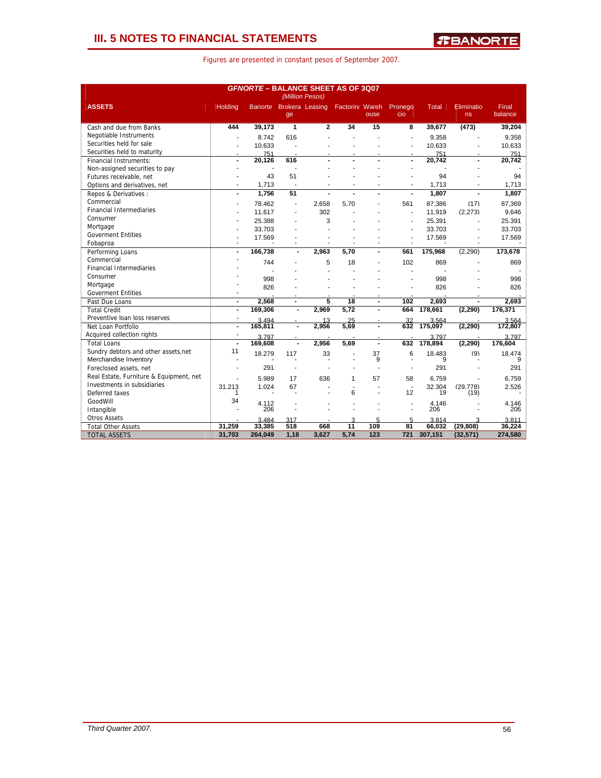### **III. 5 NOTES TO FINANCIAL STATEMENTS**

|  |  | Figures are presented in constant pesos of September 2007. |  |  |  |
|--|--|------------------------------------------------------------|--|--|--|
|--|--|------------------------------------------------------------|--|--|--|

| <b>GFNORTE-BALANCE SHEET AS OF 3Q07</b><br>(Million Pesos) |                |                 |                          |                         |                |                  |                |                 |                  |                  |
|------------------------------------------------------------|----------------|-----------------|--------------------------|-------------------------|----------------|------------------|----------------|-----------------|------------------|------------------|
| <b>ASSETS</b>                                              | <b>Holding</b> |                 | ge                       | Banorte Brokera Leasing | Factorin Wareh | ouse             | Pronego<br>cio | <b>Total</b>    | Eliminatio<br>ns | Final<br>balance |
| Cash and due from Banks                                    | 444            | 39,173          | 1                        | $\overline{2}$          | 34             | 15               | 8              | 39,677          | (473)            | 39,204           |
| Negotiable Instruments                                     |                | 8.742           | 616                      |                         |                |                  |                | 9.358           |                  | 9.358            |
| Securities held for sale                                   |                | 10.633          |                          |                         |                |                  |                | 10.633          |                  | 10.633           |
| Securities held to maturity                                |                | 751             |                          |                         |                |                  |                | 751             |                  | 751              |
| <b>Financial Instruments:</b>                              |                | 20,126          | 616                      |                         |                |                  |                | 20,742          |                  | 20,742           |
| Non-assigned securities to pay                             |                |                 |                          |                         |                |                  |                |                 |                  |                  |
| Futures receivable, net                                    |                | 43              | 51                       |                         |                |                  |                | 94              |                  | 94               |
| Options and derivatives, net                               | ÷.             | 1,713           | ÷                        |                         |                | Ĭ.               |                | 1,713           |                  | 1,713            |
| Repos & Derivatives:                                       | $\blacksquare$ | 1,756           | 51                       |                         |                |                  |                | 1,807           |                  | 1,807            |
| Commercial                                                 |                | 78.462          | ÷                        | 2.658                   | 5.70           |                  | 561            | 87.386          | (17)             | 87.369           |
| <b>Financial Intermediaries</b>                            |                | 11.617          |                          | 302                     |                |                  | ÷              | 11.919          | (2.273)          | 9.646            |
| Consumer                                                   |                | 25.388          |                          | 3                       |                |                  | ÷.             | 25.391          |                  | 25.391           |
| Mortgage                                                   |                | 33.703          |                          |                         |                |                  |                | 33.703          |                  | 33.703           |
| <b>Goverment Entities</b>                                  |                | 17.569          |                          |                         |                |                  |                | 17.569          |                  | 17.569           |
| Fobaproa                                                   |                |                 |                          |                         |                |                  |                |                 |                  |                  |
| Performing Loans                                           | ÷,             | 166,738         | $\blacksquare$           | 2,963                   | 5,70           |                  | 561            | 175,968         | (2,290)          | 173,678          |
| Commercial                                                 |                | 744             |                          | 5                       | 18             |                  | 102            | 869             |                  | 869              |
| <b>Financial Intermediaries</b>                            |                |                 |                          |                         |                |                  |                |                 |                  |                  |
| Consumer                                                   |                | 998             |                          |                         |                |                  |                | 998             |                  | 998              |
| Mortgage                                                   |                | 826             |                          |                         |                |                  |                | 826             |                  | 826              |
| <b>Goverment Entities</b>                                  |                |                 |                          |                         |                |                  |                |                 |                  |                  |
| Past Due Loans                                             | $\blacksquare$ | 2,568           | $\overline{\phantom{a}}$ | 5                       | 18             | $\blacksquare$   | 102            | 2,693           | $\blacksquare$   | 2,693            |
| <b>Total Credit</b>                                        | ÷,             | 169,306         | $\blacksquare$           | 2,969                   | 5.72           |                  | 664            | 178,661         | (2, 290)         | 176,371          |
| Preventive loan loss reserves                              |                | 3494            |                          | 13                      | 25             |                  | 32             | 3.564           |                  | 3.564            |
| Net Loan Portfolio                                         | $\overline{a}$ | 165,811         | $\overline{a}$           | 2,956                   | 5.69           | $\overline{a}$   | 632            | 175.097         | (2, 290)         | 172,807          |
| Acquired collection rights                                 | ÷,             | 3797            |                          |                         |                |                  |                | 3797            |                  | 3 7 9 7          |
| <b>Total Loans</b>                                         | $\overline{a}$ | 169,608         | $\blacksquare$           | 2.956                   | 5.69           | $\blacksquare$   | 632            | 178,894         | (2, 290)         | 176,604          |
| Sundry debtors and other assets, net                       | 11             | 18.279          | 117                      | 33                      |                | 37               | 6              | 18.483          | (9)              | 18.474           |
| Merchandise Inventory                                      |                |                 |                          |                         |                | 9                | $\blacksquare$ | 9               |                  |                  |
| Foreclosed assets, net                                     |                | 291             |                          |                         |                |                  |                | 291             |                  | 291              |
| Real Estate, Furniture & Equipment, net                    |                |                 |                          |                         |                |                  |                |                 |                  |                  |
| Investments in subsidiaries                                |                | 5.989           | 17                       | 636                     | 1              | 57               | 58             | 6.759           |                  | 6.759            |
| Deferred taxes                                             | 31.213         | 1.024           | 67                       |                         | 6              |                  | 12             | 32.304<br>19    | (29.778)<br>(19) | 2.526            |
| GoodWill                                                   | 34             |                 |                          |                         |                |                  |                |                 |                  |                  |
| Intangible                                                 |                | 4.112<br>206    |                          |                         |                |                  |                | 4.146<br>206    |                  | 4.146<br>206     |
| <b>Otros Assets</b>                                        |                |                 |                          |                         | ٩              |                  |                |                 |                  |                  |
| <b>Total Other Assets</b>                                  | 31,259         | 3.484<br>33,385 | 317<br>518               | 668                     | 11             | 5<br>109         | 5<br>81        | 3.814<br>66.032 | (29, 808)        | 3.811<br>36,224  |
| <b>TOTAL ASSETS</b>                                        | 31,703         | 264,049         | 1,18                     | 3.627                   | 5.74           | $\overline{123}$ | 721            | 307,151         | (32, 571)        | 274,580          |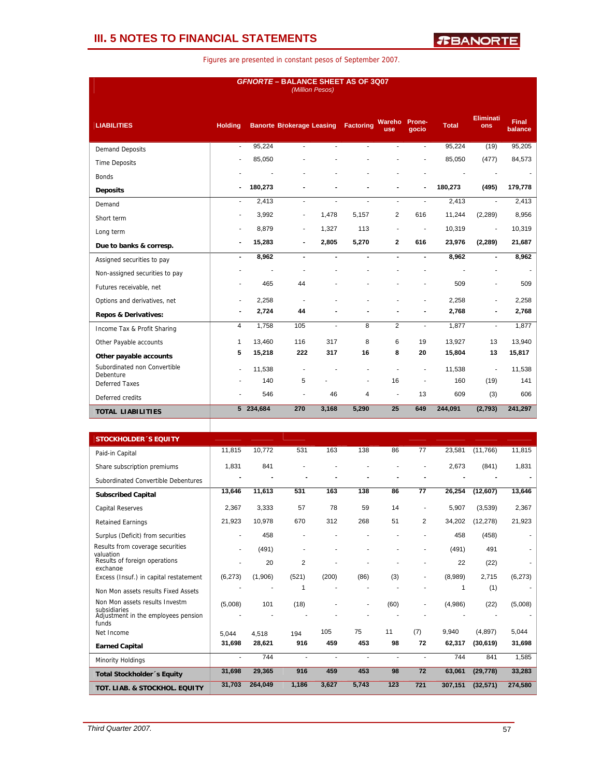### **III. 5 NOTES TO FINANCIAL STATEMENTS**

| <b>GFNORTE - BALANCE SHEET AS OF 3Q07</b><br>(Million Pesos) |                |           |                                  |                |                  |                          |                 |              |                          |                         |  |
|--------------------------------------------------------------|----------------|-----------|----------------------------------|----------------|------------------|--------------------------|-----------------|--------------|--------------------------|-------------------------|--|
| <b>LIABILITIES</b>                                           | <b>Holding</b> |           | <b>Banorte Brokerage Leasing</b> |                | <b>Factoring</b> | <b>Wareho</b><br>use     | Prone-<br>gocio | <b>Total</b> | Eliminati<br>ons         | <b>Final</b><br>balance |  |
| <b>Demand Deposits</b>                                       | ÷.             | 95,224    | ÷.                               | ÷.             | ÷.               | $\overline{a}$           | $\overline{a}$  | 95,224       | (19)                     | 95,205                  |  |
| <b>Time Deposits</b>                                         | ÷              | 85,050    |                                  |                |                  |                          |                 | 85,050       | (477)                    | 84,573                  |  |
| <b>Bonds</b>                                                 |                |           |                                  |                |                  |                          |                 |              |                          |                         |  |
| <b>Deposits</b>                                              |                | 180,273   |                                  |                |                  |                          |                 | 180,273      | (495)                    | 179,778                 |  |
| Demand                                                       | $\blacksquare$ | 2.413     | $\blacksquare$                   | ÷              |                  | $\overline{\phantom{a}}$ |                 | 2.413        | ÷.                       | 2,413                   |  |
| Short term                                                   | ٠              | 3,992     | ٠                                | 1,478          | 5,157            | $\overline{2}$           | 616             | 11,244       | (2, 289)                 | 8,956                   |  |
| Long term                                                    | ä,             | 8,879     | $\blacksquare$                   | 1,327          | 113              |                          |                 | 10,319       | $\overline{\phantom{a}}$ | 10,319                  |  |
| Due to banks & corresp.                                      | $\blacksquare$ | 15,283    | $\overline{\phantom{0}}$         | 2,805          | 5,270            | $\overline{2}$           | 616             | 23,976       | (2, 289)                 | 21,687                  |  |
| Assigned securities to pay                                   | $\blacksquare$ | 8,962     | $\blacksquare$                   | $\blacksquare$ | $\blacksquare$   | $\blacksquare$           | $\blacksquare$  | 8,962        | $\blacksquare$           | 8,962                   |  |
| Non-assigned securities to pay                               |                |           |                                  |                |                  |                          |                 |              |                          |                         |  |
| Futures receivable, net                                      | ٠              | 465       | 44                               |                |                  |                          |                 | 509          | ٠                        | 509                     |  |
| Options and derivatives, net                                 | ٠              | 2,258     |                                  |                |                  |                          |                 | 2,258        |                          | 2,258                   |  |
| <b>Repos &amp; Derivatives:</b>                              | $\blacksquare$ | 2,724     | 44                               |                |                  |                          |                 | 2,768        |                          | 2,768                   |  |
| Income Tax & Profit Sharing                                  | 4              | 1.758     | 105                              | ÷              | 8                | 2                        | $\mathbf{r}$    | 1,877        | $\blacksquare$           | 1,877                   |  |
| Other Payable accounts                                       | $\mathbf{1}$   | 13,460    | 116                              | 317            | 8                | 6                        | 19              | 13,927       | 13                       | 13,940                  |  |
| Other payable accounts                                       | 5              | 15,218    | 222                              | 317            | 16               | 8                        | 20              | 15,804       | 13                       | 15,817                  |  |
| Subordinated non Convertible<br>Debenture                    | $\overline{a}$ | 11,538    |                                  |                |                  |                          | ٠               | 11,538       |                          | 11,538                  |  |
| <b>Deferred Taxes</b>                                        |                | 140       | 5                                |                |                  | 16                       | ٠               | 160          | (19)                     | 141                     |  |
| Deferred credits                                             |                | 546       |                                  | 46             | 4                |                          | 13              | 609          | (3)                      | 606                     |  |
| <b>TOTAL LIABILITIES</b>                                     |                | 5 234,684 | 270                              | 3,168          | 5,290            | 25                       | 649             | 244,091      | (2,793)                  | 241,297                 |  |
|                                                              |                |           |                                  |                |                  |                          |                 |              |                          |                         |  |

| <b>STOCKHOLDER 'S EQUITY</b>                                 |          |         |                |       |       |      |                 |         |           |          |
|--------------------------------------------------------------|----------|---------|----------------|-------|-------|------|-----------------|---------|-----------|----------|
| Paid-in Capital                                              | 11,815   | 10,772  | 531            | 163   | 138   | 86   | 77              | 23,581  | (11,766)  | 11,815   |
| Share subscription premiums                                  | 1,831    | 841     |                |       |       |      |                 | 2,673   | (841)     | 1,831    |
| Subordinated Convertible Debentures                          |          |         |                |       |       |      |                 |         |           |          |
| <b>Subscribed Capital</b>                                    | 13,646   | 11,613  | 531            | 163   | 138   | 86   | $\overline{77}$ | 26,254  | (12,607)  | 13,646   |
| <b>Capital Reserves</b>                                      | 2,367    | 3,333   | 57             | 78    | 59    | 14   |                 | 5,907   | (3,539)   | 2,367    |
| <b>Retained Earnings</b>                                     | 21,923   | 10,978  | 670            | 312   | 268   | 51   | $\overline{2}$  | 34,202  | (12, 278) | 21,923   |
| Surplus (Deficit) from securities                            |          | 458     |                |       |       |      |                 | 458     | (458)     |          |
| Results from coverage securities                             |          | (491)   |                |       |       |      |                 | (491)   | 491       |          |
| valuation<br>Results of foreign operations<br>exchange       |          | 20      | $\overline{2}$ |       |       |      |                 | 22      | (22)      |          |
| Excess (Insuf.) in capital restatement                       | (6, 273) | (1,906) | (521)          | (200) | (86)  | (3)  |                 | (8,989) | 2.715     | (6, 273) |
| Non Mon assets results Fixed Assets                          |          |         | 1              |       |       |      |                 |         | (1)       |          |
| Non Mon assets results Investm                               | (5,008)  | 101     | (18)           |       |       | (60) |                 | (4,986) | (22)      | (5,008)  |
| subsidiaries<br>Adjustment in the employees pension<br>funds |          |         |                |       |       |      |                 |         |           |          |
| Net Income                                                   | 5.044    | 4.518   | 194            | 105   | 75    | 11   | (7)             | 9,940   | (4,897)   | 5,044    |
| <b>Earned Capital</b>                                        | 31,698   | 28,621  | 916            | 459   | 453   | 98   | 72              | 62,317  | (30, 619) | 31,698   |
| Minority Holdings                                            |          | 744     |                |       |       | ٠    |                 | 744     | 841       | 1,585    |
| <b>Total Stockholder</b> 's Equity                           | 31.698   | 29,365  | 916            | 459   | 453   | 98   | $\overline{72}$ | 63.061  | (29, 778) | 33,283   |
| TOT. LIAB. & STOCKHOL. EQUITY                                | 31,703   | 264,049 | 1,186          | 3,627 | 5,743 | 123  | 721             | 307,151 | (32, 571) | 274,580  |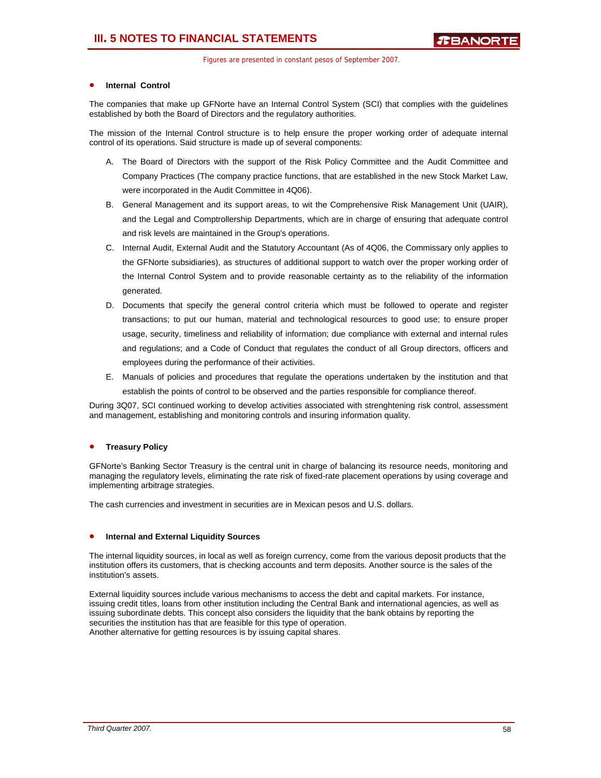### • **Internal Control**

The companies that make up GFNorte have an Internal Control System (SCI) that complies with the guidelines established by both the Board of Directors and the regulatory authorities.

The mission of the Internal Control structure is to help ensure the proper working order of adequate internal control of its operations. Said structure is made up of several components:

- A. The Board of Directors with the support of the Risk Policy Committee and the Audit Committee and Company Practices (The company practice functions, that are established in the new Stock Market Law, were incorporated in the Audit Committee in 4Q06).
- B. General Management and its support areas, to wit the Comprehensive Risk Management Unit (UAIR), and the Legal and Comptrollership Departments, which are in charge of ensuring that adequate control and risk levels are maintained in the Group's operations.
- C. Internal Audit, External Audit and the Statutory Accountant (As of 4Q06, the Commissary only applies to the GFNorte subsidiaries), as structures of additional support to watch over the proper working order of the Internal Control System and to provide reasonable certainty as to the reliability of the information generated.
- D. Documents that specify the general control criteria which must be followed to operate and register transactions; to put our human, material and technological resources to good use; to ensure proper usage, security, timeliness and reliability of information; due compliance with external and internal rules and regulations; and a Code of Conduct that regulates the conduct of all Group directors, officers and employees during the performance of their activities.
- E. Manuals of policies and procedures that regulate the operations undertaken by the institution and that establish the points of control to be observed and the parties responsible for compliance thereof.

During 3Q07, SCI continued working to develop activities associated with strenghtening risk control, assessment and management, establishing and monitoring controls and insuring information quality.

### • **Treasury Policy**

GFNorte's Banking Sector Treasury is the central unit in charge of balancing its resource needs, monitoring and managing the regulatory levels, eliminating the rate risk of fixed-rate placement operations by using coverage and implementing arbitrage strategies.

The cash currencies and investment in securities are in Mexican pesos and U.S. dollars.

#### • **Internal and External Liquidity Sources**

The internal liquidity sources, in local as well as foreign currency, come from the various deposit products that the institution offers its customers, that is checking accounts and term deposits. Another source is the sales of the institution's assets.

External liquidity sources include various mechanisms to access the debt and capital markets. For instance, issuing credit titles, loans from other institution including the Central Bank and international agencies, as well as issuing subordinate debts. This concept also considers the liquidity that the bank obtains by reporting the securities the institution has that are feasible for this type of operation. Another alternative for getting resources is by issuing capital shares.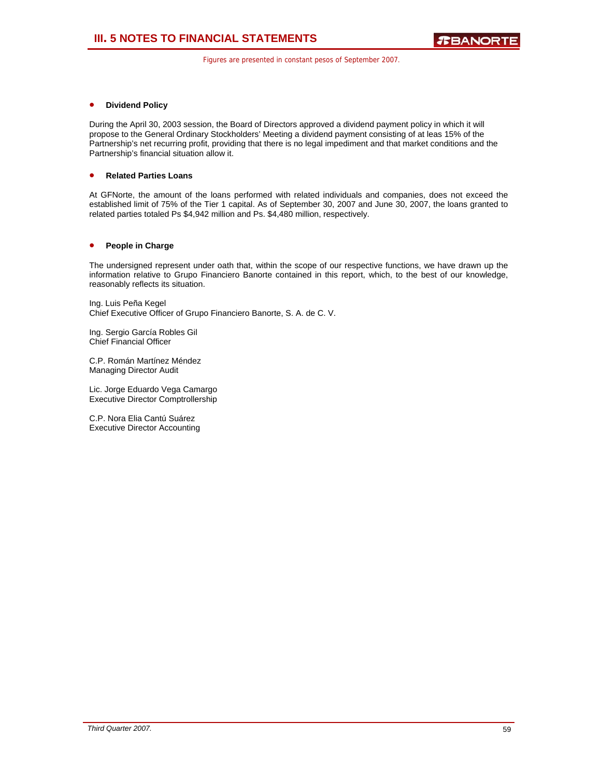### • **Dividend Policy**

During the April 30, 2003 session, the Board of Directors approved a dividend payment policy in which it will propose to the General Ordinary Stockholders' Meeting a dividend payment consisting of at leas 15% of the Partnership's net recurring profit, providing that there is no legal impediment and that market conditions and the Partnership's financial situation allow it.

### • **Related Parties Loans**

At GFNorte, the amount of the loans performed with related individuals and companies, does not exceed the established limit of 75% of the Tier 1 capital. As of September 30, 2007 and June 30, 2007, the loans granted to related parties totaled Ps \$4,942 million and Ps. \$4,480 million, respectively.

### • **People in Charge**

The undersigned represent under oath that, within the scope of our respective functions, we have drawn up the information relative to Grupo Financiero Banorte contained in this report, which, to the best of our knowledge, reasonably reflects its situation.

Ing. Luis Peña Kegel Chief Executive Officer of Grupo Financiero Banorte, S. A. de C. V.

Ing. Sergio García Robles Gil Chief Financial Officer

C.P. Román Martínez Méndez Managing Director Audit

Lic. Jorge Eduardo Vega Camargo Executive Director Comptrollership

C.P. Nora Elia Cantú Suárez Executive Director Accounting